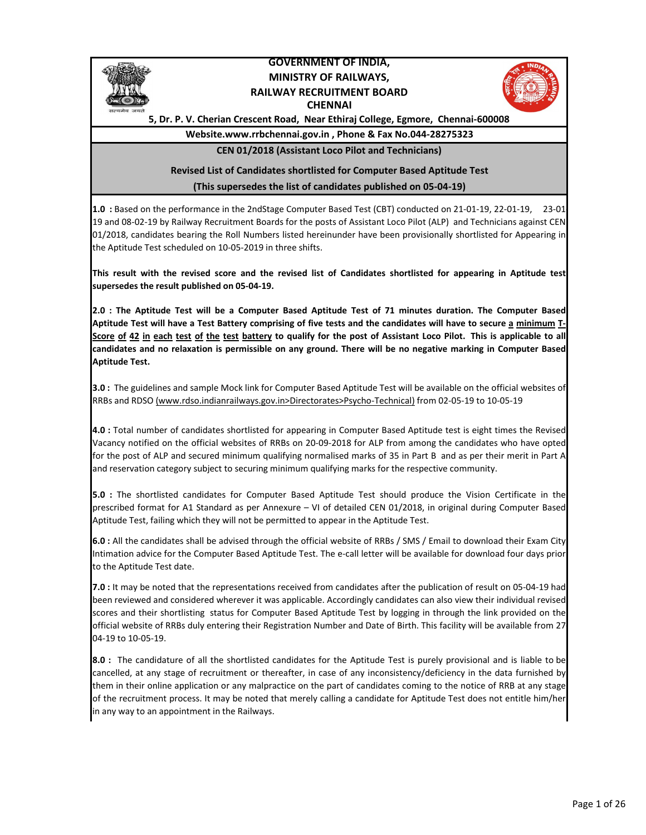

## GOVERNMENT OF INDIA, MINISTRY OF RAILWAYS, RAILWAY RECRUITMENT BOARD **CHENNAI**



5, Dr. P. V. Cherian Crescent Road, Near Ethiraj College, Egmore, Chennai-600008

## Website.www.rrbchennai.gov.in , Phone & Fax No.044-28275323 CEN 01/2018 (Assistant Loco Pilot and Technicians)

## (This supersedes the list of candidates published on 05-04-19) Revised List of Candidates shortlisted for Computer Based Aptitude Test

1.0 : Based on the performance in the 2ndStage Computer Based Test (CBT) conducted on 21-01-19, 22-01-19, 23-01- 19 and 08-02-19 by Railway Recruitment Boards for the posts of Assistant Loco Pilot (ALP) and Technicians against CEN 01/2018, candidates bearing the Roll Numbers listed hereinunder have been provisionally shortlisted for Appearing in the Aptitude Test scheduled on 10-05-2019 in three shifts.

This result with the revised score and the revised list of Candidates shortlisted for appearing in Aptitude test supersedes the result published on 05-04-19.

2.0 : The Aptitude Test will be a Computer Based Aptitude Test of 71 minutes duration. The Computer Based Aptitude Test will have a Test Battery comprising of five tests and the candidates will have to secure a minimum T-Score of 42 in each test of the test battery to qualify for the post of Assistant Loco Pilot. This is applicable to all candidates and no relaxation is permissible on any ground. There will be no negative marking in Computer Based Aptitude Test.

3.0 : The guidelines and sample Mock link for Computer Based Aptitude Test will be available on the official websites of RRBs and RDSO (www.rdso.indianrailways.gov.in>Directorates>Psycho-Technical) from 02-05-19 to 10-05-19

4.0 : Total number of candidates shortlisted for appearing in Computer Based Aptitude test is eight times the Revised Vacancy notified on the official websites of RRBs on 20-09-2018 for ALP from among the candidates who have opted for the post of ALP and secured minimum qualifying normalised marks of 35 in Part B and as per their merit in Part A and reservation category subject to securing minimum qualifying marks for the respective community.

5.0 : The shortlisted candidates for Computer Based Aptitude Test should produce the Vision Certificate in the prescribed format for A1 Standard as per Annexure – VI of detailed CEN 01/2018, in original during Computer Based Aptitude Test, failing which they will not be permitted to appear in the Aptitude Test.

6.0 : All the candidates shall be advised through the official website of RRBs / SMS / Email to download their Exam City Intimation advice for the Computer Based Aptitude Test. The e-call letter will be available for download four days prior to the Aptitude Test date.

7.0 : It may be noted that the representations received from candidates after the publication of result on 05-04-19 had been reviewed and considered wherever it was applicable. Accordingly candidates can also view their individual revised scores and their shortlisting status for Computer Based Aptitude Test by logging in through the link provided on the official website of RRBs duly entering their Registration Number and Date of Birth. This facility will be available from 27- 04-19 to 10-05-19.

8.0 : The candidature of all the shortlisted candidates for the Aptitude Test is purely provisional and is liable to be cancelled, at any stage of recruitment or thereafter, in case of any inconsistency/deficiency in the data furnished by them in their online application or any malpractice on the part of candidates coming to the notice of RRB at any stage of the recruitment process. It may be noted that merely calling a candidate for Aptitude Test does not entitle him/her in any way to an appointment in the Railways.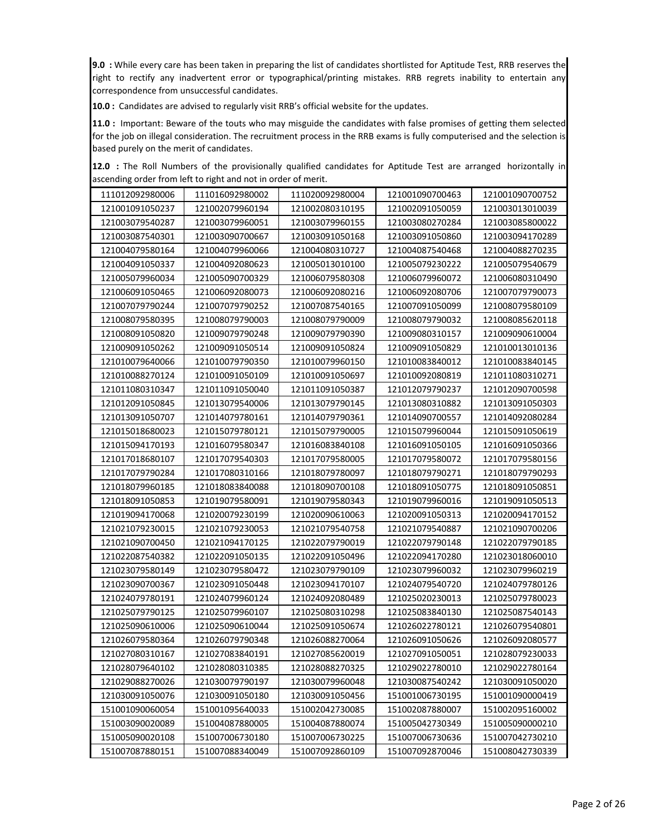9.0 : While every care has been taken in preparing the list of candidates shortlisted for Aptitude Test, RRB reserves the right to rectify any inadvertent error or typographical/printing mistakes. RRB regrets inability to entertain any correspondence from unsuccessful candidates.

10.0 : Candidates are advised to regularly visit RRB's official website for the updates.

11.0 : Important: Beware of the touts who may misguide the candidates with false promises of getting them selected for the job on illegal consideration. The recruitment process in the RRB exams is fully computerised and the selection is based purely on the merit of candidates.

|  |  |  | 12.0 : The Roll Numbers of the provisionally qualified candidates for Aptitude Test are arranged horizontally in |  |  |  |  |  |
|--|--|--|------------------------------------------------------------------------------------------------------------------|--|--|--|--|--|
|  |  |  | ascending order from left to right and not in order of merit.                                                    |  |  |  |  |  |

| 111012092980006 | 111016092980002 | 111020092980004 | 121001090700463 | 121001090700752 |
|-----------------|-----------------|-----------------|-----------------|-----------------|
| 121001091050237 | 121002079960194 | 121002080310195 | 121002091050059 | 121003013010039 |
| 121003079540287 | 121003079960051 | 121003079960155 | 121003080270284 | 121003085800022 |
| 121003087540301 | 121003090700667 | 121003091050168 | 121003091050860 | 121003094170289 |
| 121004079580164 | 121004079960066 | 121004080310727 | 121004087540468 | 121004088270235 |
| 121004091050337 | 121004092080623 | 121005013010100 | 121005079230222 | 121005079540679 |
| 121005079960034 | 121005090700329 | 121006079580308 | 121006079960072 | 121006080310490 |
| 121006091050465 | 121006092080073 | 121006092080216 | 121006092080706 | 121007079790073 |
| 121007079790244 | 121007079790252 | 121007087540165 | 121007091050099 | 121008079580109 |
| 121008079580395 | 121008079790003 | 121008079790009 | 121008079790032 | 121008085620118 |
| 121008091050820 | 121009079790248 | 121009079790390 | 121009080310157 | 121009090610004 |
| 121009091050262 | 121009091050514 | 121009091050824 | 121009091050829 | 121010013010136 |
| 121010079640066 | 121010079790350 | 121010079960150 | 121010083840012 | 121010083840145 |
| 121010088270124 | 121010091050109 | 121010091050697 | 121010092080819 | 121011080310271 |
| 121011080310347 | 121011091050040 | 121011091050387 | 121012079790237 | 121012090700598 |
| 121012091050845 | 121013079540006 | 121013079790145 | 121013080310882 | 121013091050303 |
| 121013091050707 | 121014079780161 | 121014079790361 | 121014090700557 | 121014092080284 |
| 121015018680023 | 121015079780121 | 121015079790005 | 121015079960044 | 121015091050619 |
| 121015094170193 | 121016079580347 | 121016083840108 | 121016091050105 | 121016091050366 |
| 121017018680107 | 121017079540303 | 121017079580005 | 121017079580072 | 121017079580156 |
| 121017079790284 | 121017080310166 | 121018079780097 | 121018079790271 | 121018079790293 |
| 121018079960185 | 121018083840088 | 121018090700108 | 121018091050775 | 121018091050851 |
| 121018091050853 | 121019079580091 | 121019079580343 | 121019079960016 | 121019091050513 |
| 121019094170068 | 121020079230199 | 121020090610063 | 121020091050313 | 121020094170152 |
| 121021079230015 | 121021079230053 | 121021079540758 | 121021079540887 | 121021090700206 |
| 121021090700450 | 121021094170125 | 121022079790019 | 121022079790148 | 121022079790185 |
| 121022087540382 | 121022091050135 | 121022091050496 | 121022094170280 | 121023018060010 |
| 121023079580149 | 121023079580472 | 121023079790109 | 121023079960032 | 121023079960219 |
| 121023090700367 | 121023091050448 | 121023094170107 | 121024079540720 | 121024079780126 |
| 121024079780191 | 121024079960124 | 121024092080489 | 121025020230013 | 121025079780023 |
| 121025079790125 | 121025079960107 | 121025080310298 | 121025083840130 | 121025087540143 |
| 121025090610006 | 121025090610044 | 121025091050674 | 121026022780121 | 121026079540801 |
| 121026079580364 | 121026079790348 | 121026088270064 | 121026091050626 | 121026092080577 |
| 121027080310167 | 121027083840191 | 121027085620019 | 121027091050051 | 121028079230033 |
| 121028079640102 | 121028080310385 | 121028088270325 | 121029022780010 | 121029022780164 |
| 121029088270026 | 121030079790197 | 121030079960048 | 121030087540242 | 121030091050020 |
| 121030091050076 | 121030091050180 | 121030091050456 | 151001006730195 | 151001090000419 |
| 151001090060054 | 151001095640033 | 151002042730085 | 151002087880007 | 151002095160002 |
| 151003090020089 | 151004087880005 | 151004087880074 | 151005042730349 | 151005090000210 |
| 151005090020108 | 151007006730180 | 151007006730225 | 151007006730636 | 151007042730210 |
| 151007087880151 | 151007088340049 | 151007092860109 | 151007092870046 | 151008042730339 |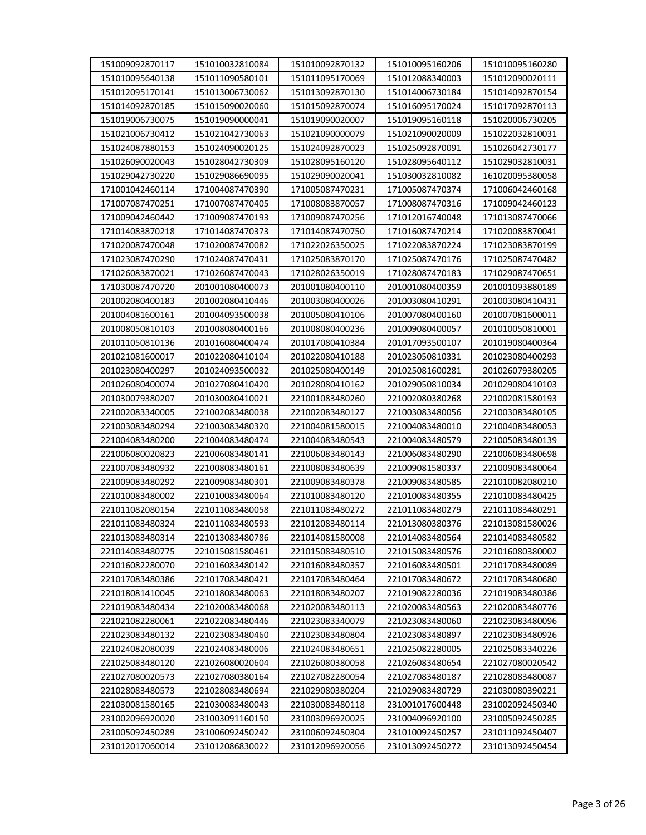| 151009092870117 | 151010032810084 | 151010092870132 | 151010095160206 | 151010095160280 |
|-----------------|-----------------|-----------------|-----------------|-----------------|
| 151010095640138 | 151011090580101 | 151011095170069 | 151012088340003 | 151012090020111 |
| 151012095170141 | 151013006730062 | 151013092870130 | 151014006730184 | 151014092870154 |
| 151014092870185 | 151015090020060 | 151015092870074 | 151016095170024 | 151017092870113 |
| 151019006730075 | 151019090000041 | 151019090020007 | 151019095160118 | 151020006730205 |
| 151021006730412 | 151021042730063 | 151021090000079 | 151021090020009 | 151022032810031 |
| 151024087880153 | 151024090020125 | 151024092870023 | 151025092870091 | 151026042730177 |
| 151026090020043 | 151028042730309 | 151028095160120 | 151028095640112 | 151029032810031 |
| 151029042730220 | 151029086690095 | 151029090020041 | 151030032810082 | 161020095380058 |
| 171001042460114 | 171004087470390 | 171005087470231 | 171005087470374 | 171006042460168 |
| 171007087470251 | 171007087470405 | 171008083870057 | 171008087470316 | 171009042460123 |
| 171009042460442 | 171009087470193 | 171009087470256 | 171012016740048 | 171013087470066 |
| 171014083870218 | 171014087470373 | 171014087470750 | 171016087470214 | 171020083870041 |
| 171020087470048 | 171020087470082 | 171022026350025 | 171022083870224 | 171023083870199 |
| 171023087470290 | 171024087470431 | 171025083870170 | 171025087470176 | 171025087470482 |
| 171026083870021 | 171026087470043 | 171028026350019 | 171028087470183 | 171029087470651 |
| 171030087470720 | 201001080400073 | 201001080400110 | 201001080400359 | 201001093880189 |
| 201002080400183 | 201002080410446 | 201003080400026 | 201003080410291 | 201003080410431 |
| 201004081600161 | 201004093500038 | 201005080410106 | 201007080400160 | 201007081600011 |
| 201008050810103 | 201008080400166 | 201008080400236 | 201009080400057 | 201010050810001 |
| 201011050810136 | 201016080400474 | 201017080410384 | 201017093500107 | 201019080400364 |
| 201021081600017 | 201022080410104 | 201022080410188 | 201023050810331 | 201023080400293 |
| 201023080400297 | 201024093500032 | 201025080400149 | 201025081600281 | 201026079380205 |
| 201026080400074 | 201027080410420 | 201028080410162 | 201029050810034 | 201029080410103 |
| 201030079380207 | 201030080410021 | 221001083480260 | 221002080380268 | 221002081580193 |
| 221002083340005 | 221002083480038 | 221002083480127 | 221003083480056 | 221003083480105 |
| 221003083480294 | 221003083480320 | 221004081580015 | 221004083480010 | 221004083480053 |
| 221004083480200 | 221004083480474 | 221004083480543 | 221004083480579 | 221005083480139 |
| 221006080020823 | 221006083480141 | 221006083480143 | 221006083480290 | 221006083480698 |
| 221007083480932 | 221008083480161 | 221008083480639 | 221009081580337 | 221009083480064 |
| 221009083480292 | 221009083480301 | 221009083480378 | 221009083480585 | 221010082080210 |
| 221010083480002 | 221010083480064 | 221010083480120 | 221010083480355 | 221010083480425 |
| 221011082080154 | 221011083480058 | 221011083480272 | 221011083480279 | 221011083480291 |
| 221011083480324 | 221011083480593 | 221012083480114 | 221013080380376 | 221013081580026 |
| 221013083480314 | 221013083480786 | 221014081580008 | 221014083480564 | 221014083480582 |
| 221014083480775 | 221015081580461 | 221015083480510 | 221015083480576 | 221016080380002 |
| 221016082280070 | 221016083480142 | 221016083480357 | 221016083480501 | 221017083480089 |
| 221017083480386 | 221017083480421 | 221017083480464 | 221017083480672 | 221017083480680 |
| 221018081410045 | 221018083480063 | 221018083480207 | 221019082280036 | 221019083480386 |
| 221019083480434 | 221020083480068 | 221020083480113 | 221020083480563 | 221020083480776 |
| 221021082280061 | 221022083480446 | 221023083340079 | 221023083480060 | 221023083480096 |
| 221023083480132 | 221023083480460 | 221023083480804 | 221023083480897 | 221023083480926 |
| 221024082080039 | 221024083480006 | 221024083480651 | 221025082280005 | 221025083340226 |
| 221025083480120 | 221026080020604 | 221026080380058 | 221026083480654 | 221027080020542 |
| 221027080020573 | 221027080380164 | 221027082280054 | 221027083480187 | 221028083480087 |
| 221028083480573 | 221028083480694 | 221029080380204 | 221029083480729 | 221030080390221 |
| 221030081580165 | 221030083480043 | 221030083480118 | 231001017600448 | 231002092450340 |
| 231002096920020 | 231003091160150 | 231003096920025 | 231004096920100 | 231005092450285 |
| 231005092450289 | 231006092450242 | 231006092450304 | 231010092450257 | 231011092450407 |
| 231012017060014 | 231012086830022 | 231012096920056 | 231013092450272 | 231013092450454 |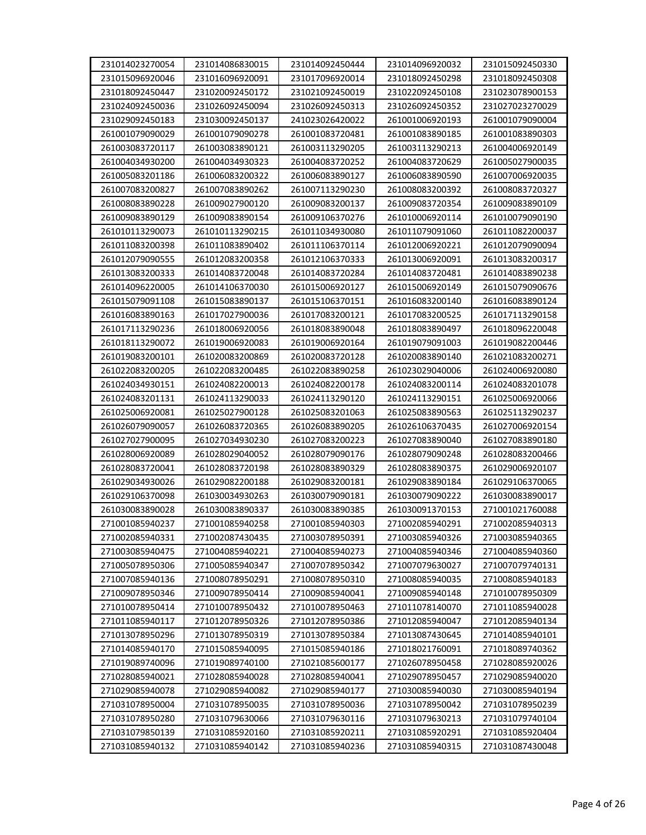| 231014023270054 | 231014086830015 | 231014092450444 | 231014096920032 | 231015092450330 |
|-----------------|-----------------|-----------------|-----------------|-----------------|
| 231015096920046 | 231016096920091 | 231017096920014 | 231018092450298 | 231018092450308 |
| 231018092450447 | 231020092450172 | 231021092450019 | 231022092450108 | 231023078900153 |
| 231024092450036 | 231026092450094 | 231026092450313 | 231026092450352 | 231027023270029 |
| 231029092450183 | 231030092450137 | 241023026420022 | 261001006920193 | 261001079090004 |
| 261001079090029 | 261001079090278 | 261001083720481 | 261001083890185 | 261001083890303 |
| 261003083720117 | 261003083890121 | 261003113290205 | 261003113290213 | 261004006920149 |
| 261004034930200 | 261004034930323 | 261004083720252 | 261004083720629 | 261005027900035 |
| 261005083201186 | 261006083200322 | 261006083890127 | 261006083890590 | 261007006920035 |
|                 |                 |                 |                 |                 |
| 261007083200827 | 261007083890262 | 261007113290230 | 261008083200392 | 261008083720327 |
| 261008083890228 | 261009027900120 | 261009083200137 | 261009083720354 | 261009083890109 |
| 261009083890129 | 261009083890154 | 261009106370276 | 261010006920114 | 261010079090190 |
| 261010113290073 | 261010113290215 | 261011034930080 | 261011079091060 | 261011082200037 |
| 261011083200398 | 261011083890402 | 261011106370114 | 261012006920221 | 261012079090094 |
| 261012079090555 | 261012083200358 | 261012106370333 | 261013006920091 | 261013083200317 |
| 261013083200333 | 261014083720048 | 261014083720284 | 261014083720481 | 261014083890238 |
| 261014096220005 | 261014106370030 | 261015006920127 | 261015006920149 | 261015079090676 |
| 261015079091108 | 261015083890137 | 261015106370151 | 261016083200140 | 261016083890124 |
| 261016083890163 | 261017027900036 | 261017083200121 | 261017083200525 | 261017113290158 |
| 261017113290236 | 261018006920056 | 261018083890048 | 261018083890497 | 261018096220048 |
| 261018113290072 | 261019006920083 | 261019006920164 | 261019079091003 | 261019082200446 |
| 261019083200101 | 261020083200869 | 261020083720128 | 261020083890140 | 261021083200271 |
| 261022083200205 | 261022083200485 | 261022083890258 | 261023029040006 | 261024006920080 |
| 261024034930151 | 261024082200013 | 261024082200178 | 261024083200114 | 261024083201078 |
| 261024083201131 | 261024113290033 | 261024113290120 | 261024113290151 | 261025006920066 |
| 261025006920081 | 261025027900128 | 261025083201063 | 261025083890563 | 261025113290237 |
| 261026079090057 | 261026083720365 | 261026083890205 | 261026106370435 | 261027006920154 |
| 261027027900095 | 261027034930230 | 261027083200223 | 261027083890040 | 261027083890180 |
| 261028006920089 | 261028029040052 | 261028079090176 | 261028079090248 | 261028083200466 |
| 261028083720041 | 261028083720198 | 261028083890329 | 261028083890375 | 261029006920107 |
| 261029034930026 | 261029082200188 | 261029083200181 | 261029083890184 | 261029106370065 |
| 261029106370098 | 261030034930263 | 261030079090181 | 261030079090222 | 261030083890017 |
| 261030083890028 | 261030083890337 | 261030083890385 | 261030091370153 | 271001021760088 |
| 271001085940237 | 271001085940258 | 271001085940303 | 271002085940291 | 271002085940313 |
| 271002085940331 | 271002087430435 | 271003078950391 | 271003085940326 | 271003085940365 |
| 271003085940475 | 271004085940221 | 271004085940273 | 271004085940346 | 271004085940360 |
| 271005078950306 | 271005085940347 | 271007078950342 | 271007079630027 | 271007079740131 |
| 271007085940136 | 271008078950291 | 271008078950310 | 271008085940035 | 271008085940183 |
| 271009078950346 | 271009078950414 | 271009085940041 | 271009085940148 | 271010078950309 |
| 271010078950414 | 271010078950432 | 271010078950463 | 271011078140070 | 271011085940028 |
| 271011085940117 | 271012078950326 | 271012078950386 | 271012085940047 | 271012085940134 |
| 271013078950296 | 271013078950319 | 271013078950384 | 271013087430645 | 271014085940101 |
| 271014085940170 | 271015085940095 | 271015085940186 | 271018021760091 | 271018089740362 |
| 271019089740096 | 271019089740100 | 271021085600177 | 271026078950458 | 271028085920026 |
| 271028085940021 | 271028085940028 | 271028085940041 | 271029078950457 | 271029085940020 |
| 271029085940078 | 271029085940082 | 271029085940177 | 271030085940030 | 271030085940194 |
| 271031078950004 | 271031078950035 | 271031078950036 | 271031078950042 | 271031078950239 |
| 271031078950280 | 271031079630066 | 271031079630116 | 271031079630213 | 271031079740104 |
| 271031079850139 | 271031085920160 | 271031085920211 | 271031085920291 | 271031085920404 |
| 271031085940132 | 271031085940142 | 271031085940236 | 271031085940315 | 271031087430048 |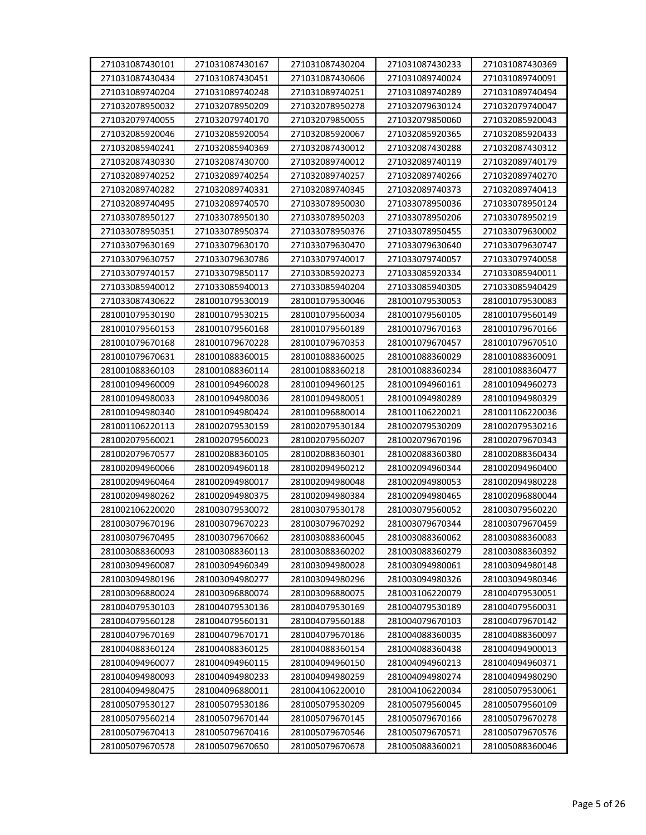| 271031087430101 | 271031087430167 | 271031087430204 | 271031087430233 | 271031087430369 |
|-----------------|-----------------|-----------------|-----------------|-----------------|
| 271031087430434 | 271031087430451 | 271031087430606 | 271031089740024 | 271031089740091 |
| 271031089740204 | 271031089740248 | 271031089740251 | 271031089740289 | 271031089740494 |
| 271032078950032 | 271032078950209 | 271032078950278 | 271032079630124 | 271032079740047 |
| 271032079740055 | 271032079740170 | 271032079850055 | 271032079850060 | 271032085920043 |
| 271032085920046 | 271032085920054 | 271032085920067 | 271032085920365 | 271032085920433 |
| 271032085940241 | 271032085940369 | 271032087430012 | 271032087430288 | 271032087430312 |
| 271032087430330 | 271032087430700 | 271032089740012 | 271032089740119 | 271032089740179 |
| 271032089740252 | 271032089740254 | 271032089740257 | 271032089740266 | 271032089740270 |
| 271032089740282 | 271032089740331 | 271032089740345 | 271032089740373 | 271032089740413 |
| 271032089740495 | 271032089740570 | 271033078950030 | 271033078950036 | 271033078950124 |
| 271033078950127 | 271033078950130 | 271033078950203 | 271033078950206 | 271033078950219 |
| 271033078950351 | 271033078950374 | 271033078950376 | 271033078950455 | 271033079630002 |
| 271033079630169 | 271033079630170 | 271033079630470 | 271033079630640 | 271033079630747 |
| 271033079630757 | 271033079630786 | 271033079740017 | 271033079740057 | 271033079740058 |
| 271033079740157 | 271033079850117 | 271033085920273 | 271033085920334 | 271033085940011 |
| 271033085940012 | 271033085940013 | 271033085940204 | 271033085940305 | 271033085940429 |
| 271033087430622 | 281001079530019 | 281001079530046 | 281001079530053 | 281001079530083 |
| 281001079530190 | 281001079530215 | 281001079560034 | 281001079560105 | 281001079560149 |
| 281001079560153 | 281001079560168 | 281001079560189 | 281001079670163 | 281001079670166 |
| 281001079670168 | 281001079670228 | 281001079670353 | 281001079670457 | 281001079670510 |
| 281001079670631 | 281001088360015 | 281001088360025 | 281001088360029 | 281001088360091 |
| 281001088360103 | 281001088360114 | 281001088360218 | 281001088360234 | 281001088360477 |
| 281001094960009 | 281001094960028 | 281001094960125 | 281001094960161 | 281001094960273 |
| 281001094980033 | 281001094980036 | 281001094980051 | 281001094980289 | 281001094980329 |
| 281001094980340 | 281001094980424 | 281001096880014 | 281001106220021 | 281001106220036 |
| 281001106220113 | 281002079530159 | 281002079530184 | 281002079530209 | 281002079530216 |
| 281002079560021 | 281002079560023 | 281002079560207 | 281002079670196 | 281002079670343 |
| 281002079670577 | 281002088360105 | 281002088360301 | 281002088360380 | 281002088360434 |
| 281002094960066 | 281002094960118 | 281002094960212 | 281002094960344 | 281002094960400 |
| 281002094960464 | 281002094980017 | 281002094980048 | 281002094980053 | 281002094980228 |
| 281002094980262 | 281002094980375 | 281002094980384 | 281002094980465 | 281002096880044 |
| 281002106220020 | 281003079530072 | 281003079530178 | 281003079560052 | 281003079560220 |
| 281003079670196 | 281003079670223 | 281003079670292 | 281003079670344 | 281003079670459 |
| 281003079670495 | 281003079670662 | 281003088360045 | 281003088360062 | 281003088360083 |
| 281003088360093 | 281003088360113 | 281003088360202 | 281003088360279 | 281003088360392 |
| 281003094960087 | 281003094960349 | 281003094980028 | 281003094980061 | 281003094980148 |
| 281003094980196 | 281003094980277 | 281003094980296 | 281003094980326 | 281003094980346 |
| 281003096880024 | 281003096880074 | 281003096880075 | 281003106220079 | 281004079530051 |
| 281004079530103 | 281004079530136 | 281004079530169 | 281004079530189 | 281004079560031 |
| 281004079560128 | 281004079560131 | 281004079560188 | 281004079670103 | 281004079670142 |
| 281004079670169 | 281004079670171 | 281004079670186 | 281004088360035 | 281004088360097 |
| 281004088360124 | 281004088360125 | 281004088360154 | 281004088360438 | 281004094900013 |
| 281004094960077 | 281004094960115 | 281004094960150 | 281004094960213 | 281004094960371 |
| 281004094980093 | 281004094980233 | 281004094980259 | 281004094980274 | 281004094980290 |
| 281004094980475 | 281004096880011 | 281004106220010 | 281004106220034 | 281005079530061 |
| 281005079530127 | 281005079530186 | 281005079530209 | 281005079560045 | 281005079560109 |
| 281005079560214 | 281005079670144 | 281005079670145 | 281005079670166 | 281005079670278 |
| 281005079670413 | 281005079670416 | 281005079670546 | 281005079670571 | 281005079670576 |
| 281005079670578 | 281005079670650 | 281005079670678 | 281005088360021 | 281005088360046 |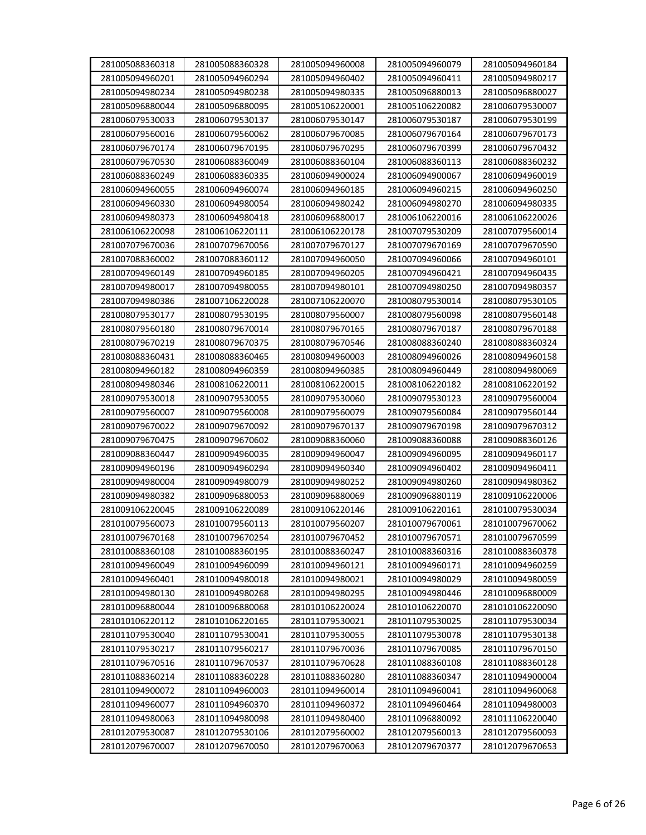| 281005088360318 | 281005088360328 | 281005094960008 | 281005094960079 | 281005094960184 |
|-----------------|-----------------|-----------------|-----------------|-----------------|
| 281005094960201 | 281005094960294 | 281005094960402 | 281005094960411 | 281005094980217 |
| 281005094980234 | 281005094980238 | 281005094980335 | 281005096880013 | 281005096880027 |
| 281005096880044 | 281005096880095 | 281005106220001 | 281005106220082 | 281006079530007 |
| 281006079530033 | 281006079530137 | 281006079530147 | 281006079530187 | 281006079530199 |
| 281006079560016 | 281006079560062 | 281006079670085 | 281006079670164 | 281006079670173 |
| 281006079670174 | 281006079670195 | 281006079670295 | 281006079670399 | 281006079670432 |
| 281006079670530 | 281006088360049 | 281006088360104 | 281006088360113 | 281006088360232 |
| 281006088360249 | 281006088360335 | 281006094900024 | 281006094900067 | 281006094960019 |
| 281006094960055 | 281006094960074 | 281006094960185 | 281006094960215 | 281006094960250 |
| 281006094960330 | 281006094980054 | 281006094980242 | 281006094980270 | 281006094980335 |
| 281006094980373 | 281006094980418 | 281006096880017 | 281006106220016 | 281006106220026 |
| 281006106220098 | 281006106220111 | 281006106220178 | 281007079530209 | 281007079560014 |
| 281007079670036 | 281007079670056 | 281007079670127 | 281007079670169 | 281007079670590 |
| 281007088360002 | 281007088360112 | 281007094960050 | 281007094960066 | 281007094960101 |
| 281007094960149 | 281007094960185 | 281007094960205 | 281007094960421 | 281007094960435 |
| 281007094980017 | 281007094980055 | 281007094980101 | 281007094980250 | 281007094980357 |
| 281007094980386 | 281007106220028 | 281007106220070 | 281008079530014 | 281008079530105 |
| 281008079530177 | 281008079530195 | 281008079560007 | 281008079560098 | 281008079560148 |
| 281008079560180 | 281008079670014 | 281008079670165 | 281008079670187 | 281008079670188 |
| 281008079670219 | 281008079670375 | 281008079670546 | 281008088360240 | 281008088360324 |
| 281008088360431 | 281008088360465 | 281008094960003 | 281008094960026 | 281008094960158 |
| 281008094960182 | 281008094960359 | 281008094960385 | 281008094960449 | 281008094980069 |
| 281008094980346 | 281008106220011 | 281008106220015 | 281008106220182 | 281008106220192 |
| 281009079530018 | 281009079530055 | 281009079530060 | 281009079530123 | 281009079560004 |
| 281009079560007 | 281009079560008 | 281009079560079 | 281009079560084 | 281009079560144 |
| 281009079670022 | 281009079670092 | 281009079670137 | 281009079670198 | 281009079670312 |
| 281009079670475 | 281009079670602 | 281009088360060 | 281009088360088 | 281009088360126 |
| 281009088360447 | 281009094960035 | 281009094960047 | 281009094960095 | 281009094960117 |
| 281009094960196 | 281009094960294 | 281009094960340 | 281009094960402 | 281009094960411 |
| 281009094980004 | 281009094980079 | 281009094980252 | 281009094980260 | 281009094980362 |
| 281009094980382 | 281009096880053 | 281009096880069 | 281009096880119 | 281009106220006 |
| 281009106220045 | 281009106220089 | 281009106220146 |                 |                 |
|                 |                 |                 | 281009106220161 | 281010079530034 |
| 281010079560073 | 281010079560113 | 281010079560207 | 281010079670061 | 281010079670062 |
| 281010079670168 | 281010079670254 | 281010079670452 | 281010079670571 | 281010079670599 |
| 281010088360108 | 281010088360195 | 281010088360247 | 281010088360316 | 281010088360378 |
| 281010094960049 | 281010094960099 | 281010094960121 | 281010094960171 | 281010094960259 |
| 281010094960401 | 281010094980018 | 281010094980021 | 281010094980029 | 281010094980059 |
| 281010094980130 | 281010094980268 | 281010094980295 | 281010094980446 | 281010096880009 |
| 281010096880044 | 281010096880068 | 281010106220024 | 281010106220070 | 281010106220090 |
| 281010106220112 | 281010106220165 | 281011079530021 | 281011079530025 | 281011079530034 |
| 281011079530040 | 281011079530041 | 281011079530055 | 281011079530078 | 281011079530138 |
| 281011079530217 | 281011079560217 | 281011079670036 | 281011079670085 | 281011079670150 |
| 281011079670516 | 281011079670537 | 281011079670628 | 281011088360108 | 281011088360128 |
| 281011088360214 | 281011088360228 | 281011088360280 | 281011088360347 | 281011094900004 |
| 281011094900072 | 281011094960003 | 281011094960014 | 281011094960041 | 281011094960068 |
| 281011094960077 | 281011094960370 | 281011094960372 | 281011094960464 | 281011094980003 |
| 281011094980063 | 281011094980098 | 281011094980400 | 281011096880092 | 281011106220040 |
| 281012079530087 | 281012079530106 | 281012079560002 | 281012079560013 | 281012079560093 |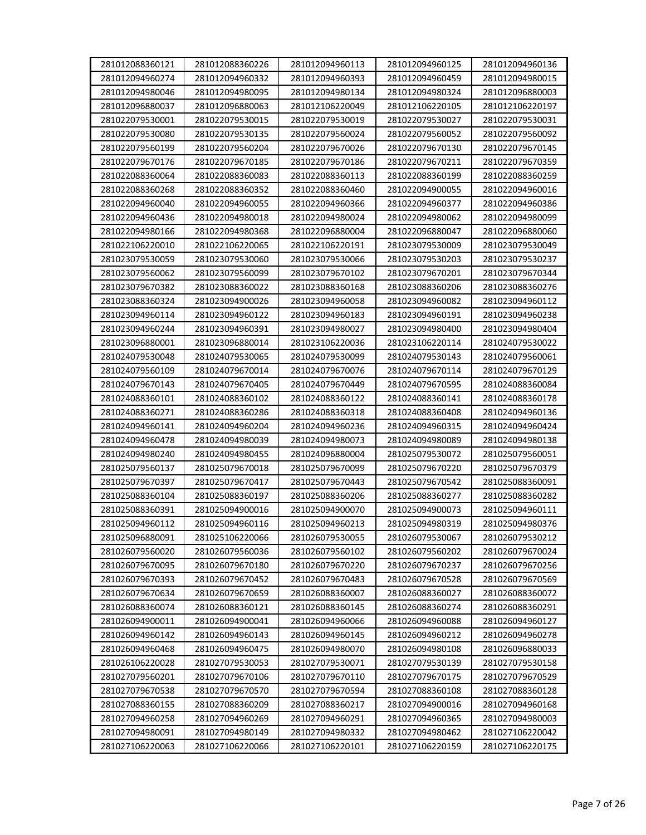| 281012088360121 | 281012088360226 | 281012094960113 | 281012094960125 | 281012094960136 |
|-----------------|-----------------|-----------------|-----------------|-----------------|
| 281012094960274 | 281012094960332 | 281012094960393 | 281012094960459 | 281012094980015 |
| 281012094980046 | 281012094980095 | 281012094980134 | 281012094980324 | 281012096880003 |
| 281012096880037 | 281012096880063 | 281012106220049 | 281012106220105 | 281012106220197 |
| 281022079530001 | 281022079530015 | 281022079530019 | 281022079530027 | 281022079530031 |
| 281022079530080 | 281022079530135 | 281022079560024 | 281022079560052 | 281022079560092 |
| 281022079560199 | 281022079560204 | 281022079670026 | 281022079670130 | 281022079670145 |
| 281022079670176 | 281022079670185 | 281022079670186 | 281022079670211 | 281022079670359 |
| 281022088360064 | 281022088360083 | 281022088360113 | 281022088360199 | 281022088360259 |
| 281022088360268 | 281022088360352 | 281022088360460 | 281022094900055 | 281022094960016 |
| 281022094960040 | 281022094960055 | 281022094960366 | 281022094960377 | 281022094960386 |
| 281022094960436 | 281022094980018 | 281022094980024 | 281022094980062 | 281022094980099 |
| 281022094980166 | 281022094980368 | 281022096880004 | 281022096880047 | 281022096880060 |
| 281022106220010 | 281022106220065 | 281022106220191 | 281023079530009 | 281023079530049 |
| 281023079530059 | 281023079530060 | 281023079530066 | 281023079530203 | 281023079530237 |
| 281023079560062 | 281023079560099 | 281023079670102 | 281023079670201 | 281023079670344 |
| 281023079670382 | 281023088360022 | 281023088360168 | 281023088360206 | 281023088360276 |
| 281023088360324 | 281023094900026 | 281023094960058 | 281023094960082 | 281023094960112 |
| 281023094960114 | 281023094960122 | 281023094960183 | 281023094960191 | 281023094960238 |
| 281023094960244 | 281023094960391 | 281023094980027 | 281023094980400 | 281023094980404 |
| 281023096880001 | 281023096880014 | 281023106220036 | 281023106220114 | 281024079530022 |
| 281024079530048 | 281024079530065 | 281024079530099 | 281024079530143 | 281024079560061 |
| 281024079560109 | 281024079670014 | 281024079670076 | 281024079670114 | 281024079670129 |
| 281024079670143 | 281024079670405 | 281024079670449 | 281024079670595 | 281024088360084 |
| 281024088360101 | 281024088360102 | 281024088360122 | 281024088360141 | 281024088360178 |
| 281024088360271 | 281024088360286 | 281024088360318 |                 |                 |
|                 |                 |                 | 281024088360408 | 281024094960136 |
| 281024094960141 | 281024094960204 | 281024094960236 | 281024094960315 | 281024094960424 |
| 281024094960478 | 281024094980039 | 281024094980073 | 281024094980089 | 281024094980138 |
| 281024094980240 | 281024094980455 | 281024096880004 | 281025079530072 | 281025079560051 |
| 281025079560137 | 281025079670018 | 281025079670099 | 281025079670220 | 281025079670379 |
| 281025079670397 | 281025079670417 | 281025079670443 | 281025079670542 | 281025088360091 |
| 281025088360104 | 281025088360197 | 281025088360206 | 281025088360277 | 281025088360282 |
| 281025088360391 | 281025094900016 | 281025094900070 | 281025094900073 | 281025094960111 |
| 281025094960112 | 281025094960116 | 281025094960213 | 281025094980319 | 281025094980376 |
| 281025096880091 | 281025106220066 | 281026079530055 | 281026079530067 | 281026079530212 |
| 281026079560020 | 281026079560036 | 281026079560102 | 281026079560202 | 281026079670024 |
| 281026079670095 | 281026079670180 | 281026079670220 | 281026079670237 | 281026079670256 |
| 281026079670393 | 281026079670452 | 281026079670483 | 281026079670528 | 281026079670569 |
| 281026079670634 | 281026079670659 | 281026088360007 | 281026088360027 | 281026088360072 |
| 281026088360074 | 281026088360121 | 281026088360145 | 281026088360274 | 281026088360291 |
| 281026094900011 | 281026094900041 | 281026094960066 | 281026094960088 | 281026094960127 |
| 281026094960142 | 281026094960143 | 281026094960145 | 281026094960212 | 281026094960278 |
| 281026094960468 | 281026094960475 | 281026094980070 | 281026094980108 | 281026096880033 |
| 281026106220028 | 281027079530053 | 281027079530071 | 281027079530139 | 281027079530158 |
| 281027079560201 | 281027079670106 | 281027079670110 | 281027079670175 | 281027079670529 |
| 281027079670538 | 281027079670570 | 281027079670594 | 281027088360108 | 281027088360128 |
| 281027088360155 | 281027088360209 | 281027088360217 | 281027094900016 | 281027094960168 |
| 281027094960258 | 281027094960269 | 281027094960291 | 281027094960365 | 281027094980003 |
| 281027094980091 | 281027094980149 | 281027094980332 | 281027094980462 | 281027106220042 |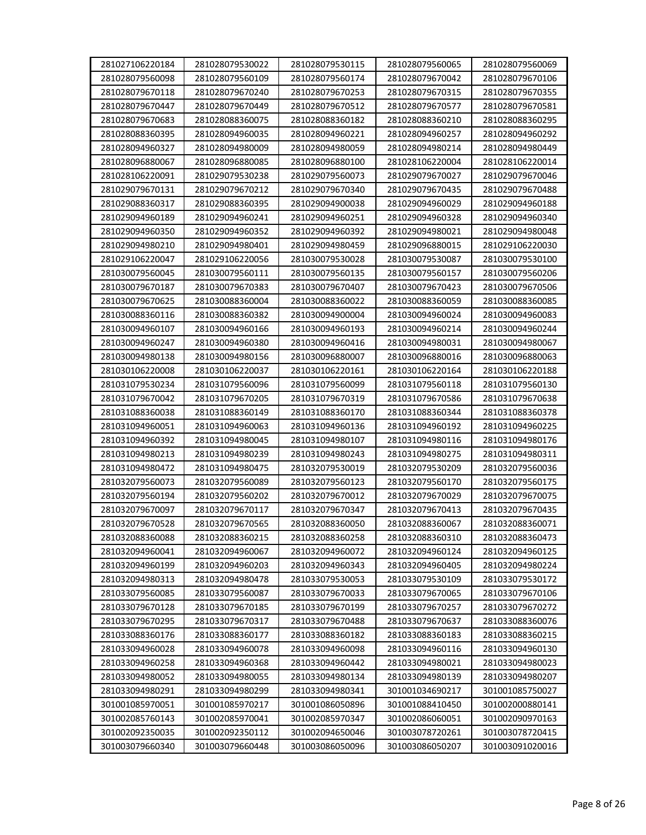| 281027106220184 | 281028079530022                    | 281028079530115 | 281028079560065 | 281028079560069 |
|-----------------|------------------------------------|-----------------|-----------------|-----------------|
| 281028079560098 | 281028079560109<br>281028079670240 | 281028079560174 | 281028079670042 | 281028079670106 |
| 281028079670118 |                                    | 281028079670253 | 281028079670315 | 281028079670355 |
| 281028079670447 | 281028079670449                    | 281028079670512 | 281028079670577 | 281028079670581 |
| 281028079670683 | 281028088360075                    | 281028088360182 | 281028088360210 | 281028088360295 |
| 281028088360395 | 281028094960035                    | 281028094960221 | 281028094960257 | 281028094960292 |
| 281028094960327 | 281028094980009                    | 281028094980059 | 281028094980214 | 281028094980449 |
| 281028096880067 | 281028096880085                    | 281028096880100 | 281028106220004 | 281028106220014 |
| 281028106220091 | 281029079530238                    | 281029079560073 | 281029079670027 | 281029079670046 |
| 281029079670131 | 281029079670212                    | 281029079670340 | 281029079670435 | 281029079670488 |
| 281029088360317 | 281029088360395                    | 281029094900038 | 281029094960029 | 281029094960188 |
| 281029094960189 | 281029094960241                    | 281029094960251 | 281029094960328 | 281029094960340 |
| 281029094960350 | 281029094960352                    | 281029094960392 | 281029094980021 | 281029094980048 |
| 281029094980210 | 281029094980401                    | 281029094980459 | 281029096880015 | 281029106220030 |
| 281029106220047 | 281029106220056                    | 281030079530028 | 281030079530087 | 281030079530100 |
| 281030079560045 | 281030079560111                    | 281030079560135 | 281030079560157 | 281030079560206 |
| 281030079670187 | 281030079670383                    | 281030079670407 | 281030079670423 | 281030079670506 |
| 281030079670625 | 281030088360004                    | 281030088360022 | 281030088360059 | 281030088360085 |
| 281030088360116 | 281030088360382                    | 281030094900004 | 281030094960024 | 281030094960083 |
| 281030094960107 | 281030094960166                    | 281030094960193 | 281030094960214 | 281030094960244 |
| 281030094960247 | 281030094960380                    | 281030094960416 | 281030094980031 | 281030094980067 |
| 281030094980138 | 281030094980156                    | 281030096880007 | 281030096880016 | 281030096880063 |
| 281030106220008 | 281030106220037                    | 281030106220161 | 281030106220164 | 281030106220188 |
| 281031079530234 | 281031079560096                    | 281031079560099 | 281031079560118 | 281031079560130 |
| 281031079670042 | 281031079670205                    | 281031079670319 | 281031079670586 | 281031079670638 |
| 281031088360038 | 281031088360149                    | 281031088360170 | 281031088360344 | 281031088360378 |
| 281031094960051 | 281031094960063                    | 281031094960136 | 281031094960192 | 281031094960225 |
| 281031094960392 | 281031094980045                    | 281031094980107 | 281031094980116 | 281031094980176 |
| 281031094980213 | 281031094980239                    | 281031094980243 | 281031094980275 | 281031094980311 |
| 281031094980472 | 281031094980475                    | 281032079530019 | 281032079530209 | 281032079560036 |
| 281032079560073 | 281032079560089                    | 281032079560123 | 281032079560170 | 281032079560175 |
| 281032079560194 | 281032079560202                    | 281032079670012 | 281032079670029 | 281032079670075 |
| 281032079670097 | 281032079670117                    | 281032079670347 | 281032079670413 | 281032079670435 |
| 281032079670528 | 281032079670565                    | 281032088360050 | 281032088360067 | 281032088360071 |
| 281032088360088 | 281032088360215                    | 281032088360258 | 281032088360310 | 281032088360473 |
| 281032094960041 | 281032094960067                    | 281032094960072 | 281032094960124 | 281032094960125 |
| 281032094960199 | 281032094960203                    | 281032094960343 | 281032094960405 | 281032094980224 |
| 281032094980313 | 281032094980478                    | 281033079530053 | 281033079530109 | 281033079530172 |
| 281033079560085 | 281033079560087                    | 281033079670033 | 281033079670065 | 281033079670106 |
| 281033079670128 | 281033079670185                    | 281033079670199 | 281033079670257 | 281033079670272 |
| 281033079670295 | 281033079670317                    | 281033079670488 | 281033079670637 | 281033088360076 |
| 281033088360176 | 281033088360177                    | 281033088360182 | 281033088360183 | 281033088360215 |
| 281033094960028 | 281033094960078                    | 281033094960098 | 281033094960116 | 281033094960130 |
| 281033094960258 | 281033094960368                    | 281033094960442 | 281033094980021 | 281033094980023 |
| 281033094980052 | 281033094980055                    | 281033094980134 | 281033094980139 | 281033094980207 |
| 281033094980291 | 281033094980299                    | 281033094980341 | 301001034690217 | 301001085750027 |
| 301001085970051 | 301001085970217                    | 301001086050896 | 301001088410450 | 301002000880141 |
| 301002085760143 | 301002085970041                    | 301002085970347 | 301002086060051 | 301002090970163 |
| 301002092350035 | 301002092350112                    | 301002094650046 | 301003078720261 | 301003078720415 |
| 301003079660340 | 301003079660448                    | 301003086050096 | 301003086050207 | 301003091020016 |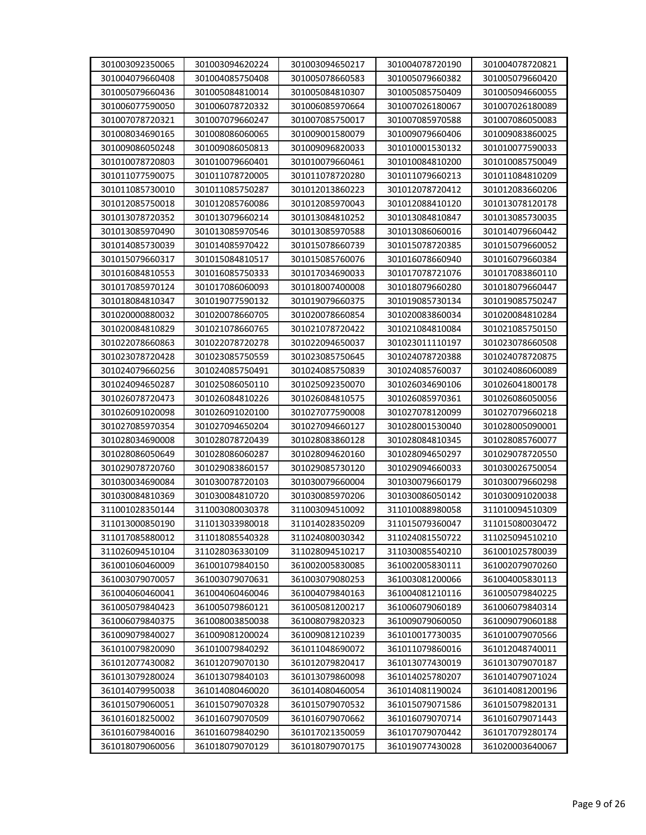| 301004079660408<br>301004085750408<br>301005078660583<br>301005079660382<br>301005079660420<br>301005079660436<br>301005084810014<br>301005084810307<br>301005085750409<br>301005094660055<br>301006077590050<br>301006078720332<br>301006085970664<br>301007026180067<br>301007026180089<br>301007085750017<br>301007078720321<br>301007079660247<br>301007085970588<br>301007086050083<br>301008034690165<br>301008086060065<br>301009001580079<br>301009079660406<br>301009083860025<br>301009086050248<br>301009086050813<br>301009096820033<br>301010001530132<br>301010077590033<br>301010078720803<br>301010079660401<br>301010079660461<br>301010084810200<br>301010085750049<br>301011077590075<br>301011078720005<br>301011078720280<br>301011079660213<br>301011084810209<br>301011085730010<br>301011085750287<br>301012013860223<br>301012078720412<br>301012083660206<br>301012085750018<br>301012085760086<br>301012085970043<br>301012088410120<br>301013078120178<br>301013078720352<br>301013079660214<br>301013084810252<br>301013084810847<br>301013085730035<br>301013085970490<br>301013085970546<br>301013085970588<br>301013086060016<br>301014079660442<br>301014085730039<br>301014085970422<br>301015078660739<br>301015078720385<br>301015079660052<br>301015079660317<br>301015084810517<br>301015085760076<br>301016079660384<br>301016078660940<br>301016084810553<br>301016085750333<br>301017034690033<br>301017078721076<br>301017083860110<br>301017085970124<br>301017086060093<br>301018007400008<br>301018079660280<br>301018079660447<br>301018084810347<br>301019077590132<br>301019079660375<br>301019085750247<br>301019085730134<br>301020083860034<br>301020000880032<br>301020078660705<br>301020078660854<br>301020084810284<br>301020084810829<br>301021078660765<br>301021078720422<br>301021084810084<br>301021085750150<br>301022078660863<br>301022078720278<br>301022094650037<br>301023011110197<br>301023078660508<br>301023078720428<br>301023085750559<br>301023085750645<br>301024078720388<br>301024078720875<br>301024079660256<br>301024085750491<br>301024085750839<br>301024085760037<br>301024086060089<br>301024094650287<br>301025086050110<br>301025092350070<br>301026034690106<br>301026041800178<br>301026078720473<br>301026084810226<br>301026084810575<br>301026085970361<br>301026086050056<br>301026091020098<br>301026091020100<br>301027077590008<br>301027078120099<br>301027079660218<br>301027085970354<br>301027094650204<br>301027094660127<br>301028001530040<br>301028005090001<br>301028078720439<br>301028034690008<br>301028083860128<br>301028084810345<br>301028085760077<br>301028086050649<br>301028086060287<br>301028094620160<br>301028094650297<br>301029078720550<br>301029078720760<br>301029083860157<br>301029085730120<br>301029094660033<br>301030026750054<br>301030034690084<br>301030078720103<br>301030079660004<br>301030079660179<br>301030079660298<br>301030084810369<br>301030084810720<br>301030085970206<br>301030086050142<br>301030091020038<br>311001028350144<br>311003080030378<br>311003094510092<br>311010088980058<br>311010094510309<br>311013000850190<br>311013033980018<br>311014028350209<br>311015079360047<br>311015080030472<br>311017085880012<br>311018085540328<br>311024080030342<br>311024081550722<br>311025094510210<br>311026094510104<br>311028036330109<br>311028094510217<br>311030085540210<br>361001025780039<br>361001060460009<br>361001079840150<br>361002005830085<br>361002005830111<br>361002079070260<br>361003079070057<br>361003079070631<br>361003079080253<br>361003081200066<br>361004005830113<br>361004060460041<br>361004060460046<br>361004079840163<br>361004081210116<br>361005079840225<br>361005079840423<br>361005081200217<br>361006079060189<br>361005079860121<br>361006079840314<br>361006079840375<br>361008003850038<br>361008079820323<br>361009079060050<br>361009079060188<br>361009079840027<br>361009081200024<br>361009081210239<br>361010017730035<br>361010079070566<br>361010079820090<br>361010079840292<br>361011048690072<br>361011079860016<br>361012048740011<br>361012079820417<br>361013079070187<br>361012077430082<br>361012079070130<br>361013077430019<br>361013079280024<br>361013079840103<br>361013079860098<br>361014025780207<br>361014079071024<br>361014079950038<br>361014080460020<br>361014080460054<br>361014081190024<br>361014081200196<br>361015079060051<br>361015079070328<br>361015079070532<br>361015079071586<br>361015079820131<br>361016018250002<br>361016079070509<br>361016079070662<br>361016079070714<br>361016079071443<br>361016079840016<br>361016079840290<br>361017021350059<br>361017079070442<br>361017079280174 | 301003092350065 | 301003094620224 | 301003094650217 | 301004078720190 | 301004078720821 |
|----------------------------------------------------------------------------------------------------------------------------------------------------------------------------------------------------------------------------------------------------------------------------------------------------------------------------------------------------------------------------------------------------------------------------------------------------------------------------------------------------------------------------------------------------------------------------------------------------------------------------------------------------------------------------------------------------------------------------------------------------------------------------------------------------------------------------------------------------------------------------------------------------------------------------------------------------------------------------------------------------------------------------------------------------------------------------------------------------------------------------------------------------------------------------------------------------------------------------------------------------------------------------------------------------------------------------------------------------------------------------------------------------------------------------------------------------------------------------------------------------------------------------------------------------------------------------------------------------------------------------------------------------------------------------------------------------------------------------------------------------------------------------------------------------------------------------------------------------------------------------------------------------------------------------------------------------------------------------------------------------------------------------------------------------------------------------------------------------------------------------------------------------------------------------------------------------------------------------------------------------------------------------------------------------------------------------------------------------------------------------------------------------------------------------------------------------------------------------------------------------------------------------------------------------------------------------------------------------------------------------------------------------------------------------------------------------------------------------------------------------------------------------------------------------------------------------------------------------------------------------------------------------------------------------------------------------------------------------------------------------------------------------------------------------------------------------------------------------------------------------------------------------------------------------------------------------------------------------------------------------------------------------------------------------------------------------------------------------------------------------------------------------------------------------------------------------------------------------------------------------------------------------------------------------------------------------------------------------------------------------------------------------------------------------------------------------------------------------------------------------------------------------------------------------------------------------------------------------------------------------------------------------------------------------------------------------------------------------------------------------------------------------------------------------------------------------------------------------------------------------------------------------------------------------------------------------------------------------------------------------------------------------------------------------------------------------------------------------------------------------------------------------------------------------------------------------------------------------------------------------------------------------------------------------------------------------------------------------------------------------------------------------------------------------------------------------------------------------------------------|-----------------|-----------------|-----------------|-----------------|-----------------|
|                                                                                                                                                                                                                                                                                                                                                                                                                                                                                                                                                                                                                                                                                                                                                                                                                                                                                                                                                                                                                                                                                                                                                                                                                                                                                                                                                                                                                                                                                                                                                                                                                                                                                                                                                                                                                                                                                                                                                                                                                                                                                                                                                                                                                                                                                                                                                                                                                                                                                                                                                                                                                                                                                                                                                                                                                                                                                                                                                                                                                                                                                                                                                                                                                                                                                                                                                                                                                                                                                                                                                                                                                                                                                                                                                                                                                                                                                                                                                                                                                                                                                                                                                                                                                                                                                                                                                                                                                                                                                                                                                                                                                                                                                                                                              |                 |                 |                 |                 |                 |
|                                                                                                                                                                                                                                                                                                                                                                                                                                                                                                                                                                                                                                                                                                                                                                                                                                                                                                                                                                                                                                                                                                                                                                                                                                                                                                                                                                                                                                                                                                                                                                                                                                                                                                                                                                                                                                                                                                                                                                                                                                                                                                                                                                                                                                                                                                                                                                                                                                                                                                                                                                                                                                                                                                                                                                                                                                                                                                                                                                                                                                                                                                                                                                                                                                                                                                                                                                                                                                                                                                                                                                                                                                                                                                                                                                                                                                                                                                                                                                                                                                                                                                                                                                                                                                                                                                                                                                                                                                                                                                                                                                                                                                                                                                                                              |                 |                 |                 |                 |                 |
|                                                                                                                                                                                                                                                                                                                                                                                                                                                                                                                                                                                                                                                                                                                                                                                                                                                                                                                                                                                                                                                                                                                                                                                                                                                                                                                                                                                                                                                                                                                                                                                                                                                                                                                                                                                                                                                                                                                                                                                                                                                                                                                                                                                                                                                                                                                                                                                                                                                                                                                                                                                                                                                                                                                                                                                                                                                                                                                                                                                                                                                                                                                                                                                                                                                                                                                                                                                                                                                                                                                                                                                                                                                                                                                                                                                                                                                                                                                                                                                                                                                                                                                                                                                                                                                                                                                                                                                                                                                                                                                                                                                                                                                                                                                                              |                 |                 |                 |                 |                 |
|                                                                                                                                                                                                                                                                                                                                                                                                                                                                                                                                                                                                                                                                                                                                                                                                                                                                                                                                                                                                                                                                                                                                                                                                                                                                                                                                                                                                                                                                                                                                                                                                                                                                                                                                                                                                                                                                                                                                                                                                                                                                                                                                                                                                                                                                                                                                                                                                                                                                                                                                                                                                                                                                                                                                                                                                                                                                                                                                                                                                                                                                                                                                                                                                                                                                                                                                                                                                                                                                                                                                                                                                                                                                                                                                                                                                                                                                                                                                                                                                                                                                                                                                                                                                                                                                                                                                                                                                                                                                                                                                                                                                                                                                                                                                              |                 |                 |                 |                 |                 |
|                                                                                                                                                                                                                                                                                                                                                                                                                                                                                                                                                                                                                                                                                                                                                                                                                                                                                                                                                                                                                                                                                                                                                                                                                                                                                                                                                                                                                                                                                                                                                                                                                                                                                                                                                                                                                                                                                                                                                                                                                                                                                                                                                                                                                                                                                                                                                                                                                                                                                                                                                                                                                                                                                                                                                                                                                                                                                                                                                                                                                                                                                                                                                                                                                                                                                                                                                                                                                                                                                                                                                                                                                                                                                                                                                                                                                                                                                                                                                                                                                                                                                                                                                                                                                                                                                                                                                                                                                                                                                                                                                                                                                                                                                                                                              |                 |                 |                 |                 |                 |
|                                                                                                                                                                                                                                                                                                                                                                                                                                                                                                                                                                                                                                                                                                                                                                                                                                                                                                                                                                                                                                                                                                                                                                                                                                                                                                                                                                                                                                                                                                                                                                                                                                                                                                                                                                                                                                                                                                                                                                                                                                                                                                                                                                                                                                                                                                                                                                                                                                                                                                                                                                                                                                                                                                                                                                                                                                                                                                                                                                                                                                                                                                                                                                                                                                                                                                                                                                                                                                                                                                                                                                                                                                                                                                                                                                                                                                                                                                                                                                                                                                                                                                                                                                                                                                                                                                                                                                                                                                                                                                                                                                                                                                                                                                                                              |                 |                 |                 |                 |                 |
|                                                                                                                                                                                                                                                                                                                                                                                                                                                                                                                                                                                                                                                                                                                                                                                                                                                                                                                                                                                                                                                                                                                                                                                                                                                                                                                                                                                                                                                                                                                                                                                                                                                                                                                                                                                                                                                                                                                                                                                                                                                                                                                                                                                                                                                                                                                                                                                                                                                                                                                                                                                                                                                                                                                                                                                                                                                                                                                                                                                                                                                                                                                                                                                                                                                                                                                                                                                                                                                                                                                                                                                                                                                                                                                                                                                                                                                                                                                                                                                                                                                                                                                                                                                                                                                                                                                                                                                                                                                                                                                                                                                                                                                                                                                                              |                 |                 |                 |                 |                 |
|                                                                                                                                                                                                                                                                                                                                                                                                                                                                                                                                                                                                                                                                                                                                                                                                                                                                                                                                                                                                                                                                                                                                                                                                                                                                                                                                                                                                                                                                                                                                                                                                                                                                                                                                                                                                                                                                                                                                                                                                                                                                                                                                                                                                                                                                                                                                                                                                                                                                                                                                                                                                                                                                                                                                                                                                                                                                                                                                                                                                                                                                                                                                                                                                                                                                                                                                                                                                                                                                                                                                                                                                                                                                                                                                                                                                                                                                                                                                                                                                                                                                                                                                                                                                                                                                                                                                                                                                                                                                                                                                                                                                                                                                                                                                              |                 |                 |                 |                 |                 |
|                                                                                                                                                                                                                                                                                                                                                                                                                                                                                                                                                                                                                                                                                                                                                                                                                                                                                                                                                                                                                                                                                                                                                                                                                                                                                                                                                                                                                                                                                                                                                                                                                                                                                                                                                                                                                                                                                                                                                                                                                                                                                                                                                                                                                                                                                                                                                                                                                                                                                                                                                                                                                                                                                                                                                                                                                                                                                                                                                                                                                                                                                                                                                                                                                                                                                                                                                                                                                                                                                                                                                                                                                                                                                                                                                                                                                                                                                                                                                                                                                                                                                                                                                                                                                                                                                                                                                                                                                                                                                                                                                                                                                                                                                                                                              |                 |                 |                 |                 |                 |
|                                                                                                                                                                                                                                                                                                                                                                                                                                                                                                                                                                                                                                                                                                                                                                                                                                                                                                                                                                                                                                                                                                                                                                                                                                                                                                                                                                                                                                                                                                                                                                                                                                                                                                                                                                                                                                                                                                                                                                                                                                                                                                                                                                                                                                                                                                                                                                                                                                                                                                                                                                                                                                                                                                                                                                                                                                                                                                                                                                                                                                                                                                                                                                                                                                                                                                                                                                                                                                                                                                                                                                                                                                                                                                                                                                                                                                                                                                                                                                                                                                                                                                                                                                                                                                                                                                                                                                                                                                                                                                                                                                                                                                                                                                                                              |                 |                 |                 |                 |                 |
|                                                                                                                                                                                                                                                                                                                                                                                                                                                                                                                                                                                                                                                                                                                                                                                                                                                                                                                                                                                                                                                                                                                                                                                                                                                                                                                                                                                                                                                                                                                                                                                                                                                                                                                                                                                                                                                                                                                                                                                                                                                                                                                                                                                                                                                                                                                                                                                                                                                                                                                                                                                                                                                                                                                                                                                                                                                                                                                                                                                                                                                                                                                                                                                                                                                                                                                                                                                                                                                                                                                                                                                                                                                                                                                                                                                                                                                                                                                                                                                                                                                                                                                                                                                                                                                                                                                                                                                                                                                                                                                                                                                                                                                                                                                                              |                 |                 |                 |                 |                 |
|                                                                                                                                                                                                                                                                                                                                                                                                                                                                                                                                                                                                                                                                                                                                                                                                                                                                                                                                                                                                                                                                                                                                                                                                                                                                                                                                                                                                                                                                                                                                                                                                                                                                                                                                                                                                                                                                                                                                                                                                                                                                                                                                                                                                                                                                                                                                                                                                                                                                                                                                                                                                                                                                                                                                                                                                                                                                                                                                                                                                                                                                                                                                                                                                                                                                                                                                                                                                                                                                                                                                                                                                                                                                                                                                                                                                                                                                                                                                                                                                                                                                                                                                                                                                                                                                                                                                                                                                                                                                                                                                                                                                                                                                                                                                              |                 |                 |                 |                 |                 |
|                                                                                                                                                                                                                                                                                                                                                                                                                                                                                                                                                                                                                                                                                                                                                                                                                                                                                                                                                                                                                                                                                                                                                                                                                                                                                                                                                                                                                                                                                                                                                                                                                                                                                                                                                                                                                                                                                                                                                                                                                                                                                                                                                                                                                                                                                                                                                                                                                                                                                                                                                                                                                                                                                                                                                                                                                                                                                                                                                                                                                                                                                                                                                                                                                                                                                                                                                                                                                                                                                                                                                                                                                                                                                                                                                                                                                                                                                                                                                                                                                                                                                                                                                                                                                                                                                                                                                                                                                                                                                                                                                                                                                                                                                                                                              |                 |                 |                 |                 |                 |
|                                                                                                                                                                                                                                                                                                                                                                                                                                                                                                                                                                                                                                                                                                                                                                                                                                                                                                                                                                                                                                                                                                                                                                                                                                                                                                                                                                                                                                                                                                                                                                                                                                                                                                                                                                                                                                                                                                                                                                                                                                                                                                                                                                                                                                                                                                                                                                                                                                                                                                                                                                                                                                                                                                                                                                                                                                                                                                                                                                                                                                                                                                                                                                                                                                                                                                                                                                                                                                                                                                                                                                                                                                                                                                                                                                                                                                                                                                                                                                                                                                                                                                                                                                                                                                                                                                                                                                                                                                                                                                                                                                                                                                                                                                                                              |                 |                 |                 |                 |                 |
|                                                                                                                                                                                                                                                                                                                                                                                                                                                                                                                                                                                                                                                                                                                                                                                                                                                                                                                                                                                                                                                                                                                                                                                                                                                                                                                                                                                                                                                                                                                                                                                                                                                                                                                                                                                                                                                                                                                                                                                                                                                                                                                                                                                                                                                                                                                                                                                                                                                                                                                                                                                                                                                                                                                                                                                                                                                                                                                                                                                                                                                                                                                                                                                                                                                                                                                                                                                                                                                                                                                                                                                                                                                                                                                                                                                                                                                                                                                                                                                                                                                                                                                                                                                                                                                                                                                                                                                                                                                                                                                                                                                                                                                                                                                                              |                 |                 |                 |                 |                 |
|                                                                                                                                                                                                                                                                                                                                                                                                                                                                                                                                                                                                                                                                                                                                                                                                                                                                                                                                                                                                                                                                                                                                                                                                                                                                                                                                                                                                                                                                                                                                                                                                                                                                                                                                                                                                                                                                                                                                                                                                                                                                                                                                                                                                                                                                                                                                                                                                                                                                                                                                                                                                                                                                                                                                                                                                                                                                                                                                                                                                                                                                                                                                                                                                                                                                                                                                                                                                                                                                                                                                                                                                                                                                                                                                                                                                                                                                                                                                                                                                                                                                                                                                                                                                                                                                                                                                                                                                                                                                                                                                                                                                                                                                                                                                              |                 |                 |                 |                 |                 |
|                                                                                                                                                                                                                                                                                                                                                                                                                                                                                                                                                                                                                                                                                                                                                                                                                                                                                                                                                                                                                                                                                                                                                                                                                                                                                                                                                                                                                                                                                                                                                                                                                                                                                                                                                                                                                                                                                                                                                                                                                                                                                                                                                                                                                                                                                                                                                                                                                                                                                                                                                                                                                                                                                                                                                                                                                                                                                                                                                                                                                                                                                                                                                                                                                                                                                                                                                                                                                                                                                                                                                                                                                                                                                                                                                                                                                                                                                                                                                                                                                                                                                                                                                                                                                                                                                                                                                                                                                                                                                                                                                                                                                                                                                                                                              |                 |                 |                 |                 |                 |
|                                                                                                                                                                                                                                                                                                                                                                                                                                                                                                                                                                                                                                                                                                                                                                                                                                                                                                                                                                                                                                                                                                                                                                                                                                                                                                                                                                                                                                                                                                                                                                                                                                                                                                                                                                                                                                                                                                                                                                                                                                                                                                                                                                                                                                                                                                                                                                                                                                                                                                                                                                                                                                                                                                                                                                                                                                                                                                                                                                                                                                                                                                                                                                                                                                                                                                                                                                                                                                                                                                                                                                                                                                                                                                                                                                                                                                                                                                                                                                                                                                                                                                                                                                                                                                                                                                                                                                                                                                                                                                                                                                                                                                                                                                                                              |                 |                 |                 |                 |                 |
|                                                                                                                                                                                                                                                                                                                                                                                                                                                                                                                                                                                                                                                                                                                                                                                                                                                                                                                                                                                                                                                                                                                                                                                                                                                                                                                                                                                                                                                                                                                                                                                                                                                                                                                                                                                                                                                                                                                                                                                                                                                                                                                                                                                                                                                                                                                                                                                                                                                                                                                                                                                                                                                                                                                                                                                                                                                                                                                                                                                                                                                                                                                                                                                                                                                                                                                                                                                                                                                                                                                                                                                                                                                                                                                                                                                                                                                                                                                                                                                                                                                                                                                                                                                                                                                                                                                                                                                                                                                                                                                                                                                                                                                                                                                                              |                 |                 |                 |                 |                 |
|                                                                                                                                                                                                                                                                                                                                                                                                                                                                                                                                                                                                                                                                                                                                                                                                                                                                                                                                                                                                                                                                                                                                                                                                                                                                                                                                                                                                                                                                                                                                                                                                                                                                                                                                                                                                                                                                                                                                                                                                                                                                                                                                                                                                                                                                                                                                                                                                                                                                                                                                                                                                                                                                                                                                                                                                                                                                                                                                                                                                                                                                                                                                                                                                                                                                                                                                                                                                                                                                                                                                                                                                                                                                                                                                                                                                                                                                                                                                                                                                                                                                                                                                                                                                                                                                                                                                                                                                                                                                                                                                                                                                                                                                                                                                              |                 |                 |                 |                 |                 |
|                                                                                                                                                                                                                                                                                                                                                                                                                                                                                                                                                                                                                                                                                                                                                                                                                                                                                                                                                                                                                                                                                                                                                                                                                                                                                                                                                                                                                                                                                                                                                                                                                                                                                                                                                                                                                                                                                                                                                                                                                                                                                                                                                                                                                                                                                                                                                                                                                                                                                                                                                                                                                                                                                                                                                                                                                                                                                                                                                                                                                                                                                                                                                                                                                                                                                                                                                                                                                                                                                                                                                                                                                                                                                                                                                                                                                                                                                                                                                                                                                                                                                                                                                                                                                                                                                                                                                                                                                                                                                                                                                                                                                                                                                                                                              |                 |                 |                 |                 |                 |
|                                                                                                                                                                                                                                                                                                                                                                                                                                                                                                                                                                                                                                                                                                                                                                                                                                                                                                                                                                                                                                                                                                                                                                                                                                                                                                                                                                                                                                                                                                                                                                                                                                                                                                                                                                                                                                                                                                                                                                                                                                                                                                                                                                                                                                                                                                                                                                                                                                                                                                                                                                                                                                                                                                                                                                                                                                                                                                                                                                                                                                                                                                                                                                                                                                                                                                                                                                                                                                                                                                                                                                                                                                                                                                                                                                                                                                                                                                                                                                                                                                                                                                                                                                                                                                                                                                                                                                                                                                                                                                                                                                                                                                                                                                                                              |                 |                 |                 |                 |                 |
|                                                                                                                                                                                                                                                                                                                                                                                                                                                                                                                                                                                                                                                                                                                                                                                                                                                                                                                                                                                                                                                                                                                                                                                                                                                                                                                                                                                                                                                                                                                                                                                                                                                                                                                                                                                                                                                                                                                                                                                                                                                                                                                                                                                                                                                                                                                                                                                                                                                                                                                                                                                                                                                                                                                                                                                                                                                                                                                                                                                                                                                                                                                                                                                                                                                                                                                                                                                                                                                                                                                                                                                                                                                                                                                                                                                                                                                                                                                                                                                                                                                                                                                                                                                                                                                                                                                                                                                                                                                                                                                                                                                                                                                                                                                                              |                 |                 |                 |                 |                 |
|                                                                                                                                                                                                                                                                                                                                                                                                                                                                                                                                                                                                                                                                                                                                                                                                                                                                                                                                                                                                                                                                                                                                                                                                                                                                                                                                                                                                                                                                                                                                                                                                                                                                                                                                                                                                                                                                                                                                                                                                                                                                                                                                                                                                                                                                                                                                                                                                                                                                                                                                                                                                                                                                                                                                                                                                                                                                                                                                                                                                                                                                                                                                                                                                                                                                                                                                                                                                                                                                                                                                                                                                                                                                                                                                                                                                                                                                                                                                                                                                                                                                                                                                                                                                                                                                                                                                                                                                                                                                                                                                                                                                                                                                                                                                              |                 |                 |                 |                 |                 |
|                                                                                                                                                                                                                                                                                                                                                                                                                                                                                                                                                                                                                                                                                                                                                                                                                                                                                                                                                                                                                                                                                                                                                                                                                                                                                                                                                                                                                                                                                                                                                                                                                                                                                                                                                                                                                                                                                                                                                                                                                                                                                                                                                                                                                                                                                                                                                                                                                                                                                                                                                                                                                                                                                                                                                                                                                                                                                                                                                                                                                                                                                                                                                                                                                                                                                                                                                                                                                                                                                                                                                                                                                                                                                                                                                                                                                                                                                                                                                                                                                                                                                                                                                                                                                                                                                                                                                                                                                                                                                                                                                                                                                                                                                                                                              |                 |                 |                 |                 |                 |
|                                                                                                                                                                                                                                                                                                                                                                                                                                                                                                                                                                                                                                                                                                                                                                                                                                                                                                                                                                                                                                                                                                                                                                                                                                                                                                                                                                                                                                                                                                                                                                                                                                                                                                                                                                                                                                                                                                                                                                                                                                                                                                                                                                                                                                                                                                                                                                                                                                                                                                                                                                                                                                                                                                                                                                                                                                                                                                                                                                                                                                                                                                                                                                                                                                                                                                                                                                                                                                                                                                                                                                                                                                                                                                                                                                                                                                                                                                                                                                                                                                                                                                                                                                                                                                                                                                                                                                                                                                                                                                                                                                                                                                                                                                                                              |                 |                 |                 |                 |                 |
|                                                                                                                                                                                                                                                                                                                                                                                                                                                                                                                                                                                                                                                                                                                                                                                                                                                                                                                                                                                                                                                                                                                                                                                                                                                                                                                                                                                                                                                                                                                                                                                                                                                                                                                                                                                                                                                                                                                                                                                                                                                                                                                                                                                                                                                                                                                                                                                                                                                                                                                                                                                                                                                                                                                                                                                                                                                                                                                                                                                                                                                                                                                                                                                                                                                                                                                                                                                                                                                                                                                                                                                                                                                                                                                                                                                                                                                                                                                                                                                                                                                                                                                                                                                                                                                                                                                                                                                                                                                                                                                                                                                                                                                                                                                                              |                 |                 |                 |                 |                 |
|                                                                                                                                                                                                                                                                                                                                                                                                                                                                                                                                                                                                                                                                                                                                                                                                                                                                                                                                                                                                                                                                                                                                                                                                                                                                                                                                                                                                                                                                                                                                                                                                                                                                                                                                                                                                                                                                                                                                                                                                                                                                                                                                                                                                                                                                                                                                                                                                                                                                                                                                                                                                                                                                                                                                                                                                                                                                                                                                                                                                                                                                                                                                                                                                                                                                                                                                                                                                                                                                                                                                                                                                                                                                                                                                                                                                                                                                                                                                                                                                                                                                                                                                                                                                                                                                                                                                                                                                                                                                                                                                                                                                                                                                                                                                              |                 |                 |                 |                 |                 |
|                                                                                                                                                                                                                                                                                                                                                                                                                                                                                                                                                                                                                                                                                                                                                                                                                                                                                                                                                                                                                                                                                                                                                                                                                                                                                                                                                                                                                                                                                                                                                                                                                                                                                                                                                                                                                                                                                                                                                                                                                                                                                                                                                                                                                                                                                                                                                                                                                                                                                                                                                                                                                                                                                                                                                                                                                                                                                                                                                                                                                                                                                                                                                                                                                                                                                                                                                                                                                                                                                                                                                                                                                                                                                                                                                                                                                                                                                                                                                                                                                                                                                                                                                                                                                                                                                                                                                                                                                                                                                                                                                                                                                                                                                                                                              |                 |                 |                 |                 |                 |
|                                                                                                                                                                                                                                                                                                                                                                                                                                                                                                                                                                                                                                                                                                                                                                                                                                                                                                                                                                                                                                                                                                                                                                                                                                                                                                                                                                                                                                                                                                                                                                                                                                                                                                                                                                                                                                                                                                                                                                                                                                                                                                                                                                                                                                                                                                                                                                                                                                                                                                                                                                                                                                                                                                                                                                                                                                                                                                                                                                                                                                                                                                                                                                                                                                                                                                                                                                                                                                                                                                                                                                                                                                                                                                                                                                                                                                                                                                                                                                                                                                                                                                                                                                                                                                                                                                                                                                                                                                                                                                                                                                                                                                                                                                                                              |                 |                 |                 |                 |                 |
|                                                                                                                                                                                                                                                                                                                                                                                                                                                                                                                                                                                                                                                                                                                                                                                                                                                                                                                                                                                                                                                                                                                                                                                                                                                                                                                                                                                                                                                                                                                                                                                                                                                                                                                                                                                                                                                                                                                                                                                                                                                                                                                                                                                                                                                                                                                                                                                                                                                                                                                                                                                                                                                                                                                                                                                                                                                                                                                                                                                                                                                                                                                                                                                                                                                                                                                                                                                                                                                                                                                                                                                                                                                                                                                                                                                                                                                                                                                                                                                                                                                                                                                                                                                                                                                                                                                                                                                                                                                                                                                                                                                                                                                                                                                                              |                 |                 |                 |                 |                 |
|                                                                                                                                                                                                                                                                                                                                                                                                                                                                                                                                                                                                                                                                                                                                                                                                                                                                                                                                                                                                                                                                                                                                                                                                                                                                                                                                                                                                                                                                                                                                                                                                                                                                                                                                                                                                                                                                                                                                                                                                                                                                                                                                                                                                                                                                                                                                                                                                                                                                                                                                                                                                                                                                                                                                                                                                                                                                                                                                                                                                                                                                                                                                                                                                                                                                                                                                                                                                                                                                                                                                                                                                                                                                                                                                                                                                                                                                                                                                                                                                                                                                                                                                                                                                                                                                                                                                                                                                                                                                                                                                                                                                                                                                                                                                              |                 |                 |                 |                 |                 |
|                                                                                                                                                                                                                                                                                                                                                                                                                                                                                                                                                                                                                                                                                                                                                                                                                                                                                                                                                                                                                                                                                                                                                                                                                                                                                                                                                                                                                                                                                                                                                                                                                                                                                                                                                                                                                                                                                                                                                                                                                                                                                                                                                                                                                                                                                                                                                                                                                                                                                                                                                                                                                                                                                                                                                                                                                                                                                                                                                                                                                                                                                                                                                                                                                                                                                                                                                                                                                                                                                                                                                                                                                                                                                                                                                                                                                                                                                                                                                                                                                                                                                                                                                                                                                                                                                                                                                                                                                                                                                                                                                                                                                                                                                                                                              |                 |                 |                 |                 |                 |
|                                                                                                                                                                                                                                                                                                                                                                                                                                                                                                                                                                                                                                                                                                                                                                                                                                                                                                                                                                                                                                                                                                                                                                                                                                                                                                                                                                                                                                                                                                                                                                                                                                                                                                                                                                                                                                                                                                                                                                                                                                                                                                                                                                                                                                                                                                                                                                                                                                                                                                                                                                                                                                                                                                                                                                                                                                                                                                                                                                                                                                                                                                                                                                                                                                                                                                                                                                                                                                                                                                                                                                                                                                                                                                                                                                                                                                                                                                                                                                                                                                                                                                                                                                                                                                                                                                                                                                                                                                                                                                                                                                                                                                                                                                                                              |                 |                 |                 |                 |                 |
|                                                                                                                                                                                                                                                                                                                                                                                                                                                                                                                                                                                                                                                                                                                                                                                                                                                                                                                                                                                                                                                                                                                                                                                                                                                                                                                                                                                                                                                                                                                                                                                                                                                                                                                                                                                                                                                                                                                                                                                                                                                                                                                                                                                                                                                                                                                                                                                                                                                                                                                                                                                                                                                                                                                                                                                                                                                                                                                                                                                                                                                                                                                                                                                                                                                                                                                                                                                                                                                                                                                                                                                                                                                                                                                                                                                                                                                                                                                                                                                                                                                                                                                                                                                                                                                                                                                                                                                                                                                                                                                                                                                                                                                                                                                                              |                 |                 |                 |                 |                 |
|                                                                                                                                                                                                                                                                                                                                                                                                                                                                                                                                                                                                                                                                                                                                                                                                                                                                                                                                                                                                                                                                                                                                                                                                                                                                                                                                                                                                                                                                                                                                                                                                                                                                                                                                                                                                                                                                                                                                                                                                                                                                                                                                                                                                                                                                                                                                                                                                                                                                                                                                                                                                                                                                                                                                                                                                                                                                                                                                                                                                                                                                                                                                                                                                                                                                                                                                                                                                                                                                                                                                                                                                                                                                                                                                                                                                                                                                                                                                                                                                                                                                                                                                                                                                                                                                                                                                                                                                                                                                                                                                                                                                                                                                                                                                              |                 |                 |                 |                 |                 |
|                                                                                                                                                                                                                                                                                                                                                                                                                                                                                                                                                                                                                                                                                                                                                                                                                                                                                                                                                                                                                                                                                                                                                                                                                                                                                                                                                                                                                                                                                                                                                                                                                                                                                                                                                                                                                                                                                                                                                                                                                                                                                                                                                                                                                                                                                                                                                                                                                                                                                                                                                                                                                                                                                                                                                                                                                                                                                                                                                                                                                                                                                                                                                                                                                                                                                                                                                                                                                                                                                                                                                                                                                                                                                                                                                                                                                                                                                                                                                                                                                                                                                                                                                                                                                                                                                                                                                                                                                                                                                                                                                                                                                                                                                                                                              |                 |                 |                 |                 |                 |
|                                                                                                                                                                                                                                                                                                                                                                                                                                                                                                                                                                                                                                                                                                                                                                                                                                                                                                                                                                                                                                                                                                                                                                                                                                                                                                                                                                                                                                                                                                                                                                                                                                                                                                                                                                                                                                                                                                                                                                                                                                                                                                                                                                                                                                                                                                                                                                                                                                                                                                                                                                                                                                                                                                                                                                                                                                                                                                                                                                                                                                                                                                                                                                                                                                                                                                                                                                                                                                                                                                                                                                                                                                                                                                                                                                                                                                                                                                                                                                                                                                                                                                                                                                                                                                                                                                                                                                                                                                                                                                                                                                                                                                                                                                                                              |                 |                 |                 |                 |                 |
|                                                                                                                                                                                                                                                                                                                                                                                                                                                                                                                                                                                                                                                                                                                                                                                                                                                                                                                                                                                                                                                                                                                                                                                                                                                                                                                                                                                                                                                                                                                                                                                                                                                                                                                                                                                                                                                                                                                                                                                                                                                                                                                                                                                                                                                                                                                                                                                                                                                                                                                                                                                                                                                                                                                                                                                                                                                                                                                                                                                                                                                                                                                                                                                                                                                                                                                                                                                                                                                                                                                                                                                                                                                                                                                                                                                                                                                                                                                                                                                                                                                                                                                                                                                                                                                                                                                                                                                                                                                                                                                                                                                                                                                                                                                                              |                 |                 |                 |                 |                 |
|                                                                                                                                                                                                                                                                                                                                                                                                                                                                                                                                                                                                                                                                                                                                                                                                                                                                                                                                                                                                                                                                                                                                                                                                                                                                                                                                                                                                                                                                                                                                                                                                                                                                                                                                                                                                                                                                                                                                                                                                                                                                                                                                                                                                                                                                                                                                                                                                                                                                                                                                                                                                                                                                                                                                                                                                                                                                                                                                                                                                                                                                                                                                                                                                                                                                                                                                                                                                                                                                                                                                                                                                                                                                                                                                                                                                                                                                                                                                                                                                                                                                                                                                                                                                                                                                                                                                                                                                                                                                                                                                                                                                                                                                                                                                              |                 |                 |                 |                 |                 |
|                                                                                                                                                                                                                                                                                                                                                                                                                                                                                                                                                                                                                                                                                                                                                                                                                                                                                                                                                                                                                                                                                                                                                                                                                                                                                                                                                                                                                                                                                                                                                                                                                                                                                                                                                                                                                                                                                                                                                                                                                                                                                                                                                                                                                                                                                                                                                                                                                                                                                                                                                                                                                                                                                                                                                                                                                                                                                                                                                                                                                                                                                                                                                                                                                                                                                                                                                                                                                                                                                                                                                                                                                                                                                                                                                                                                                                                                                                                                                                                                                                                                                                                                                                                                                                                                                                                                                                                                                                                                                                                                                                                                                                                                                                                                              |                 |                 |                 |                 |                 |
|                                                                                                                                                                                                                                                                                                                                                                                                                                                                                                                                                                                                                                                                                                                                                                                                                                                                                                                                                                                                                                                                                                                                                                                                                                                                                                                                                                                                                                                                                                                                                                                                                                                                                                                                                                                                                                                                                                                                                                                                                                                                                                                                                                                                                                                                                                                                                                                                                                                                                                                                                                                                                                                                                                                                                                                                                                                                                                                                                                                                                                                                                                                                                                                                                                                                                                                                                                                                                                                                                                                                                                                                                                                                                                                                                                                                                                                                                                                                                                                                                                                                                                                                                                                                                                                                                                                                                                                                                                                                                                                                                                                                                                                                                                                                              |                 |                 |                 |                 |                 |
|                                                                                                                                                                                                                                                                                                                                                                                                                                                                                                                                                                                                                                                                                                                                                                                                                                                                                                                                                                                                                                                                                                                                                                                                                                                                                                                                                                                                                                                                                                                                                                                                                                                                                                                                                                                                                                                                                                                                                                                                                                                                                                                                                                                                                                                                                                                                                                                                                                                                                                                                                                                                                                                                                                                                                                                                                                                                                                                                                                                                                                                                                                                                                                                                                                                                                                                                                                                                                                                                                                                                                                                                                                                                                                                                                                                                                                                                                                                                                                                                                                                                                                                                                                                                                                                                                                                                                                                                                                                                                                                                                                                                                                                                                                                                              |                 |                 |                 |                 |                 |
|                                                                                                                                                                                                                                                                                                                                                                                                                                                                                                                                                                                                                                                                                                                                                                                                                                                                                                                                                                                                                                                                                                                                                                                                                                                                                                                                                                                                                                                                                                                                                                                                                                                                                                                                                                                                                                                                                                                                                                                                                                                                                                                                                                                                                                                                                                                                                                                                                                                                                                                                                                                                                                                                                                                                                                                                                                                                                                                                                                                                                                                                                                                                                                                                                                                                                                                                                                                                                                                                                                                                                                                                                                                                                                                                                                                                                                                                                                                                                                                                                                                                                                                                                                                                                                                                                                                                                                                                                                                                                                                                                                                                                                                                                                                                              |                 |                 |                 |                 |                 |
|                                                                                                                                                                                                                                                                                                                                                                                                                                                                                                                                                                                                                                                                                                                                                                                                                                                                                                                                                                                                                                                                                                                                                                                                                                                                                                                                                                                                                                                                                                                                                                                                                                                                                                                                                                                                                                                                                                                                                                                                                                                                                                                                                                                                                                                                                                                                                                                                                                                                                                                                                                                                                                                                                                                                                                                                                                                                                                                                                                                                                                                                                                                                                                                                                                                                                                                                                                                                                                                                                                                                                                                                                                                                                                                                                                                                                                                                                                                                                                                                                                                                                                                                                                                                                                                                                                                                                                                                                                                                                                                                                                                                                                                                                                                                              |                 |                 |                 |                 |                 |
|                                                                                                                                                                                                                                                                                                                                                                                                                                                                                                                                                                                                                                                                                                                                                                                                                                                                                                                                                                                                                                                                                                                                                                                                                                                                                                                                                                                                                                                                                                                                                                                                                                                                                                                                                                                                                                                                                                                                                                                                                                                                                                                                                                                                                                                                                                                                                                                                                                                                                                                                                                                                                                                                                                                                                                                                                                                                                                                                                                                                                                                                                                                                                                                                                                                                                                                                                                                                                                                                                                                                                                                                                                                                                                                                                                                                                                                                                                                                                                                                                                                                                                                                                                                                                                                                                                                                                                                                                                                                                                                                                                                                                                                                                                                                              |                 |                 |                 |                 |                 |
|                                                                                                                                                                                                                                                                                                                                                                                                                                                                                                                                                                                                                                                                                                                                                                                                                                                                                                                                                                                                                                                                                                                                                                                                                                                                                                                                                                                                                                                                                                                                                                                                                                                                                                                                                                                                                                                                                                                                                                                                                                                                                                                                                                                                                                                                                                                                                                                                                                                                                                                                                                                                                                                                                                                                                                                                                                                                                                                                                                                                                                                                                                                                                                                                                                                                                                                                                                                                                                                                                                                                                                                                                                                                                                                                                                                                                                                                                                                                                                                                                                                                                                                                                                                                                                                                                                                                                                                                                                                                                                                                                                                                                                                                                                                                              |                 |                 |                 |                 |                 |
|                                                                                                                                                                                                                                                                                                                                                                                                                                                                                                                                                                                                                                                                                                                                                                                                                                                                                                                                                                                                                                                                                                                                                                                                                                                                                                                                                                                                                                                                                                                                                                                                                                                                                                                                                                                                                                                                                                                                                                                                                                                                                                                                                                                                                                                                                                                                                                                                                                                                                                                                                                                                                                                                                                                                                                                                                                                                                                                                                                                                                                                                                                                                                                                                                                                                                                                                                                                                                                                                                                                                                                                                                                                                                                                                                                                                                                                                                                                                                                                                                                                                                                                                                                                                                                                                                                                                                                                                                                                                                                                                                                                                                                                                                                                                              |                 |                 |                 |                 |                 |
|                                                                                                                                                                                                                                                                                                                                                                                                                                                                                                                                                                                                                                                                                                                                                                                                                                                                                                                                                                                                                                                                                                                                                                                                                                                                                                                                                                                                                                                                                                                                                                                                                                                                                                                                                                                                                                                                                                                                                                                                                                                                                                                                                                                                                                                                                                                                                                                                                                                                                                                                                                                                                                                                                                                                                                                                                                                                                                                                                                                                                                                                                                                                                                                                                                                                                                                                                                                                                                                                                                                                                                                                                                                                                                                                                                                                                                                                                                                                                                                                                                                                                                                                                                                                                                                                                                                                                                                                                                                                                                                                                                                                                                                                                                                                              | 361018079060056 | 361018079070129 | 361018079070175 | 361019077430028 | 361020003640067 |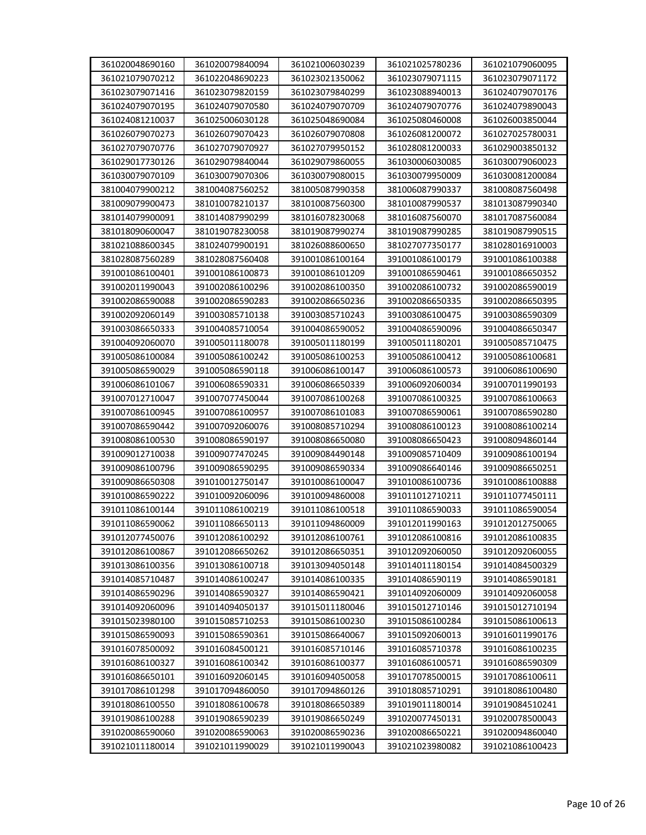| 361020048690160 | 361020079840094 | 361021006030239 | 361021025780236 | 361021079060095 |
|-----------------|-----------------|-----------------|-----------------|-----------------|
| 361021079070212 | 361022048690223 | 361023021350062 | 361023079071115 | 361023079071172 |
| 361023079071416 | 361023079820159 | 361023079840299 | 361023088940013 | 361024079070176 |
| 361024079070195 | 361024079070580 | 361024079070709 | 361024079070776 | 361024079890043 |
| 361024081210037 | 361025006030128 | 361025048690084 | 361025080460008 | 361026003850044 |
| 361026079070273 | 361026079070423 | 361026079070808 | 361026081200072 | 361027025780031 |
| 361027079070776 | 361027079070927 | 361027079950152 | 361028081200033 | 361029003850132 |
| 361029017730126 | 361029079840044 | 361029079860055 | 361030006030085 | 361030079060023 |
| 361030079070109 | 361030079070306 | 361030079080015 | 361030079950009 | 361030081200084 |
| 381004079900212 | 381004087560252 | 381005087990358 | 381006087990337 | 381008087560498 |
| 381009079900473 | 381010078210137 | 381010087560300 | 381010087990537 | 381013087990340 |
| 381014079900091 | 381014087990299 | 381016078230068 | 381016087560070 | 381017087560084 |
| 381018090600047 | 381019078230058 | 381019087990274 | 381019087990285 | 381019087990515 |
| 381021088600345 | 381024079900191 | 381026088600650 | 381027077350177 | 381028016910003 |
| 381028087560289 | 381028087560408 | 391001086100164 | 391001086100179 | 391001086100388 |
| 391001086100401 | 391001086100873 | 391001086101209 | 391001086590461 | 391001086650352 |
| 391002011990043 | 391002086100296 | 391002086100350 | 391002086100732 | 391002086590019 |
| 391002086590088 | 391002086590283 | 391002086650236 | 391002086650335 | 391002086650395 |
| 391002092060149 | 391003085710138 | 391003085710243 | 391003086100475 | 391003086590309 |
| 391003086650333 | 391004085710054 | 391004086590052 | 391004086590096 | 391004086650347 |
| 391004092060070 | 391005011180078 | 391005011180199 | 391005011180201 | 391005085710475 |
| 391005086100084 | 391005086100242 | 391005086100253 | 391005086100412 | 391005086100681 |
| 391005086590029 | 391005086590118 | 391006086100147 | 391006086100573 | 391006086100690 |
| 391006086101067 | 391006086590331 | 391006086650339 | 391006092060034 | 391007011990193 |
| 391007012710047 | 391007077450044 | 391007086100268 | 391007086100325 | 391007086100663 |
| 391007086100945 | 391007086100957 | 391007086101083 | 391007086590061 | 391007086590280 |
| 391007086590442 | 391007092060076 | 391008085710294 | 391008086100123 | 391008086100214 |
| 391008086100530 | 391008086590197 | 391008086650080 | 391008086650423 | 391008094860144 |
| 391009012710038 | 391009077470245 | 391009084490148 | 391009085710409 | 391009086100194 |
| 391009086100796 | 391009086590295 | 391009086590334 | 391009086640146 | 391009086650251 |
| 391009086650308 | 391010012750147 | 391010086100047 | 391010086100736 | 391010086100888 |
| 391010086590222 | 391010092060096 | 391010094860008 | 391011012710211 | 391011077450111 |
| 391011086100144 | 391011086100219 | 391011086100518 | 391011086590033 | 391011086590054 |
| 391011086590062 | 391011086650113 | 391011094860009 | 391012011990163 | 391012012750065 |
| 391012077450076 | 391012086100292 | 391012086100761 | 391012086100816 | 391012086100835 |
| 391012086100867 | 391012086650262 | 391012086650351 | 391012092060050 | 391012092060055 |
| 391013086100356 | 391013086100718 | 391013094050148 | 391014011180154 | 391014084500329 |
| 391014085710487 | 391014086100247 | 391014086100335 | 391014086590119 | 391014086590181 |
| 391014086590296 | 391014086590327 | 391014086590421 | 391014092060009 | 391014092060058 |
| 391014092060096 | 391014094050137 | 391015011180046 | 391015012710146 | 391015012710194 |
| 391015023980100 | 391015085710253 | 391015086100230 | 391015086100284 | 391015086100613 |
| 391015086590093 | 391015086590361 | 391015086640067 | 391015092060013 | 391016011990176 |
| 391016078500092 | 391016084500121 | 391016085710146 | 391016085710378 | 391016086100235 |
| 391016086100327 | 391016086100342 | 391016086100377 | 391016086100571 | 391016086590309 |
| 391016086650101 | 391016092060145 | 391016094050058 | 391017078500015 | 391017086100611 |
| 391017086101298 | 391017094860050 | 391017094860126 | 391018085710291 | 391018086100480 |
| 391018086100550 | 391018086100678 | 391018086650389 | 391019011180014 | 391019084510241 |
| 391019086100288 | 391019086590239 | 391019086650249 | 391020077450131 | 391020078500043 |
| 391020086590060 | 391020086590063 | 391020086590236 | 391020086650221 | 391020094860040 |
| 391021011180014 | 391021011990029 | 391021011990043 | 391021023980082 | 391021086100423 |
|                 |                 |                 |                 |                 |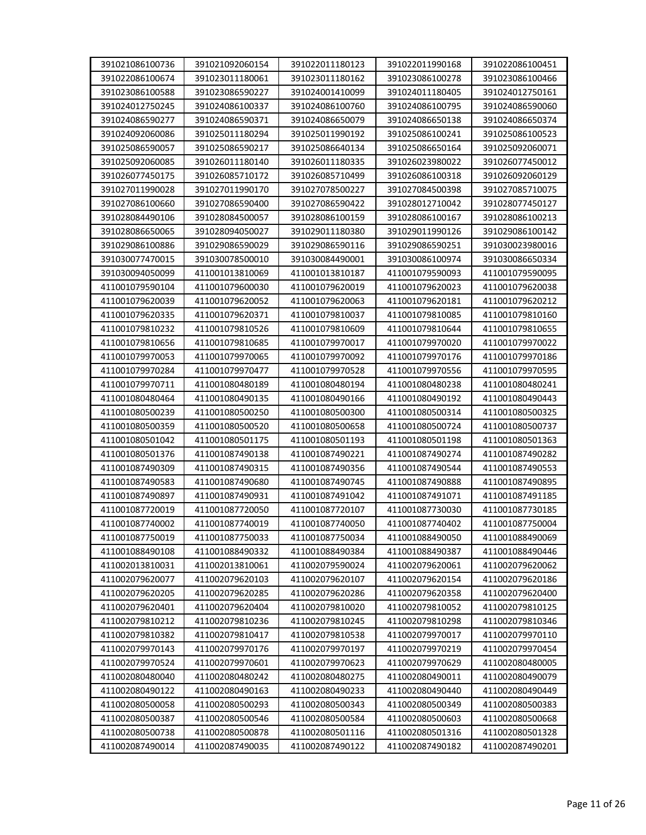|                                    | 391021092060154                    | 391022011180123                    | 391022011990168                    | 391022086100451                    |
|------------------------------------|------------------------------------|------------------------------------|------------------------------------|------------------------------------|
| 391022086100674                    | 391023011180061                    | 391023011180162                    | 391023086100278                    | 391023086100466                    |
| 391023086100588                    | 391023086590227                    | 391024001410099                    | 391024011180405                    | 391024012750161                    |
| 391024012750245                    | 391024086100337                    | 391024086100760                    | 391024086100795                    | 391024086590060                    |
| 391024086590277                    | 391024086590371                    | 391024086650079                    | 391024086650138                    | 391024086650374                    |
| 391024092060086                    | 391025011180294                    | 391025011990192                    | 391025086100241                    | 391025086100523                    |
| 391025086590057                    | 391025086590217                    | 391025086640134                    | 391025086650164                    | 391025092060071                    |
| 391025092060085                    | 391026011180140                    | 391026011180335                    | 391026023980022                    | 391026077450012                    |
| 391026077450175                    | 391026085710172                    | 391026085710499                    | 391026086100318                    | 391026092060129                    |
| 391027011990028                    | 391027011990170                    | 391027078500227                    | 391027084500398                    | 391027085710075                    |
| 391027086100660                    | 391027086590400                    | 391027086590422                    | 391028012710042                    | 391028077450127                    |
| 391028084490106                    | 391028084500057                    | 391028086100159                    | 391028086100167                    | 391028086100213                    |
| 391028086650065                    | 391028094050027                    | 391029011180380                    | 391029011990126                    | 391029086100142                    |
| 391029086100886                    | 391029086590029                    | 391029086590116                    | 391029086590251                    | 391030023980016                    |
| 391030077470015                    | 391030078500010                    | 391030084490001                    | 391030086100974                    | 391030086650334                    |
| 391030094050099                    | 411001013810069                    | 411001013810187                    | 411001079590093                    | 411001079590095                    |
| 411001079590104                    | 411001079600030                    | 411001079620019                    | 411001079620023                    | 411001079620038                    |
| 411001079620039                    | 411001079620052                    | 411001079620063                    | 411001079620181                    | 411001079620212                    |
| 411001079620335                    | 411001079620371                    | 411001079810037                    | 411001079810085                    | 411001079810160                    |
| 411001079810232                    | 411001079810526                    | 411001079810609                    | 411001079810644                    | 411001079810655                    |
| 411001079810656                    | 411001079810685                    | 411001079970017                    | 411001079970020                    | 411001079970022                    |
| 411001079970053                    | 411001079970065                    | 411001079970092                    | 411001079970176                    | 411001079970186                    |
| 411001079970284                    | 411001079970477                    | 411001079970528                    | 411001079970556                    | 411001079970595                    |
| 411001079970711                    | 411001080480189                    | 411001080480194                    | 411001080480238                    | 411001080480241                    |
| 411001080480464                    | 411001080490135                    | 411001080490166                    | 411001080490192                    | 411001080490443                    |
| 411001080500239                    | 411001080500250                    | 411001080500300                    | 411001080500314                    | 411001080500325                    |
| 411001080500359                    | 411001080500520                    | 411001080500658                    | 411001080500724                    | 411001080500737                    |
| 411001080501042                    | 411001080501175                    | 411001080501193                    | 411001080501198                    | 411001080501363                    |
| 411001080501376                    | 411001087490138                    | 411001087490221                    | 411001087490274                    | 411001087490282                    |
| 411001087490309                    | 411001087490315                    | 411001087490356                    | 411001087490544                    | 411001087490553                    |
| 411001087490583                    | 411001087490680                    | 411001087490745                    | 411001087490888                    |                                    |
| 411001087490897                    |                                    |                                    |                                    |                                    |
|                                    |                                    |                                    |                                    | 411001087490895                    |
|                                    | 411001087490931                    | 411001087491042                    | 411001087491071                    | 411001087491185                    |
| 411001087720019                    | 411001087720050                    | 411001087720107                    | 411001087730030                    | 411001087730185                    |
| 411001087740002                    | 411001087740019                    | 411001087740050                    | 411001087740402                    | 411001087750004                    |
| 411001087750019                    | 411001087750033                    | 411001087750034                    | 411001088490050                    | 411001088490069                    |
| 411001088490108                    | 411001088490332                    | 411001088490384                    | 411001088490387                    | 411001088490446                    |
| 411002013810031                    | 411002013810061                    | 411002079590024                    | 411002079620061                    | 411002079620062                    |
| 411002079620077                    | 411002079620103                    | 411002079620107                    | 411002079620154                    | 411002079620186                    |
| 411002079620205                    | 411002079620285                    | 411002079620286                    | 411002079620358                    | 411002079620400                    |
| 411002079620401                    | 411002079620404                    | 411002079810020                    | 411002079810052                    | 411002079810125                    |
| 411002079810212                    | 411002079810236                    | 411002079810245                    | 411002079810298                    | 411002079810346                    |
| 411002079810382                    | 411002079810417                    | 411002079810538                    | 411002079970017                    | 411002079970110                    |
| 411002079970143                    | 411002079970176                    | 411002079970197                    | 411002079970219                    | 411002079970454                    |
| 411002079970524                    | 411002079970601                    | 411002079970623                    | 411002079970629                    | 411002080480005                    |
| 411002080480040                    | 411002080480242                    | 411002080480275                    | 411002080490011                    | 411002080490079                    |
| 411002080490122                    | 411002080490163                    | 411002080490233                    | 411002080490440                    | 411002080490449                    |
| 411002080500058                    | 411002080500293                    | 411002080500343                    | 411002080500349                    | 411002080500383                    |
| 411002080500387                    | 411002080500546                    | 411002080500584                    | 411002080500603                    | 411002080500668                    |
| 411002080500738<br>411002087490014 | 411002080500878<br>411002087490035 | 411002080501116<br>411002087490122 | 411002080501316<br>411002087490182 | 411002080501328<br>411002087490201 |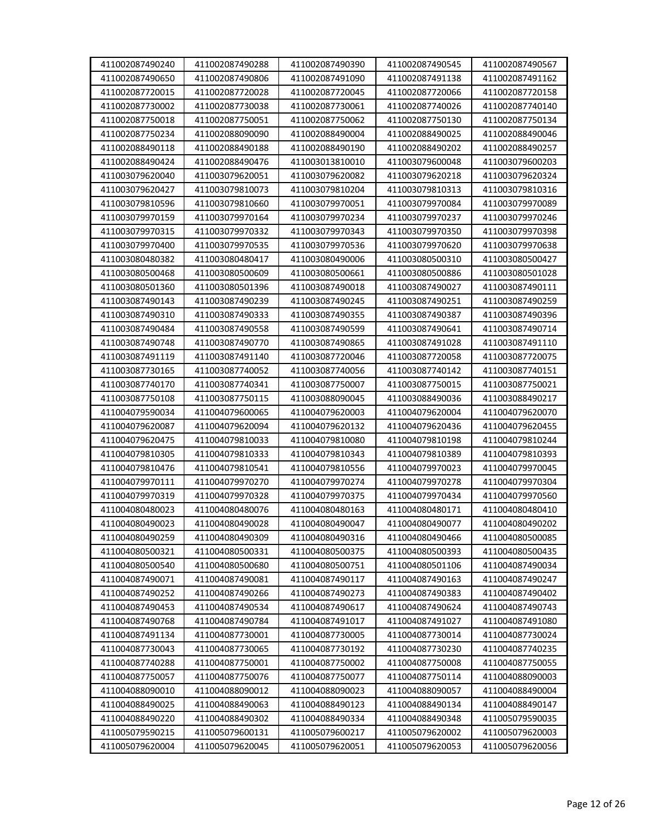| 411002087490240 | 411002087490288 | 411002087490390 | 411002087490545 | 411002087490567 |
|-----------------|-----------------|-----------------|-----------------|-----------------|
| 411002087490650 | 411002087490806 | 411002087491090 | 411002087491138 | 411002087491162 |
| 411002087720015 | 411002087720028 | 411002087720045 | 411002087720066 | 411002087720158 |
| 411002087730002 | 411002087730038 | 411002087730061 | 411002087740026 | 411002087740140 |
| 411002087750018 | 411002087750051 | 411002087750062 | 411002087750130 | 411002087750134 |
| 411002087750234 | 411002088090090 | 411002088490004 | 411002088490025 | 411002088490046 |
| 411002088490118 | 411002088490188 | 411002088490190 | 411002088490202 | 411002088490257 |
| 411002088490424 | 411002088490476 | 411003013810010 | 411003079600048 | 411003079600203 |
| 411003079620040 | 411003079620051 | 411003079620082 | 411003079620218 | 411003079620324 |
| 411003079620427 | 411003079810073 | 411003079810204 | 411003079810313 | 411003079810316 |
| 411003079810596 | 411003079810660 | 411003079970051 | 411003079970084 | 411003079970089 |
| 411003079970159 | 411003079970164 | 411003079970234 | 411003079970237 | 411003079970246 |
| 411003079970315 | 411003079970332 | 411003079970343 | 411003079970350 | 411003079970398 |
| 411003079970400 | 411003079970535 | 411003079970536 | 411003079970620 | 411003079970638 |
| 411003080480382 | 411003080480417 | 411003080490006 | 411003080500310 | 411003080500427 |
| 411003080500468 | 411003080500609 | 411003080500661 | 411003080500886 | 411003080501028 |
| 411003080501360 | 411003080501396 | 411003087490018 | 411003087490027 | 411003087490111 |
| 411003087490143 | 411003087490239 | 411003087490245 | 411003087490251 | 411003087490259 |
| 411003087490310 | 411003087490333 | 411003087490355 | 411003087490387 | 411003087490396 |
| 411003087490484 | 411003087490558 | 411003087490599 | 411003087490641 | 411003087490714 |
| 411003087490748 | 411003087490770 | 411003087490865 | 411003087491028 | 411003087491110 |
| 411003087491119 | 411003087491140 | 411003087720046 | 411003087720058 | 411003087720075 |
| 411003087730165 | 411003087740052 | 411003087740056 | 411003087740142 | 411003087740151 |
| 411003087740170 | 411003087740341 | 411003087750007 | 411003087750015 | 411003087750021 |
| 411003087750108 | 411003087750115 | 411003088090045 | 411003088490036 | 411003088490217 |
| 411004079590034 | 411004079600065 | 411004079620003 | 411004079620004 | 411004079620070 |
| 411004079620087 | 411004079620094 | 411004079620132 | 411004079620436 | 411004079620455 |
| 411004079620475 | 411004079810033 | 411004079810080 | 411004079810198 | 411004079810244 |
| 411004079810305 | 411004079810333 | 411004079810343 | 411004079810389 | 411004079810393 |
| 411004079810476 | 411004079810541 | 411004079810556 | 411004079970023 | 411004079970045 |
| 411004079970111 | 411004079970270 | 411004079970274 | 411004079970278 | 411004079970304 |
| 411004079970319 | 411004079970328 | 411004079970375 | 411004079970434 | 411004079970560 |
| 411004080480023 | 411004080480076 | 411004080480163 | 411004080480171 | 411004080480410 |
| 411004080490023 | 411004080490028 | 411004080490047 | 411004080490077 | 411004080490202 |
| 411004080490259 | 411004080490309 | 411004080490316 | 411004080490466 | 411004080500085 |
| 411004080500321 | 411004080500331 | 411004080500375 | 411004080500393 | 411004080500435 |
| 411004080500540 | 411004080500680 | 411004080500751 | 411004080501106 | 411004087490034 |
| 411004087490071 | 411004087490081 | 411004087490117 | 411004087490163 | 411004087490247 |
| 411004087490252 | 411004087490266 | 411004087490273 | 411004087490383 | 411004087490402 |
| 411004087490453 | 411004087490534 | 411004087490617 | 411004087490624 | 411004087490743 |
| 411004087490768 | 411004087490784 | 411004087491017 | 411004087491027 | 411004087491080 |
| 411004087491134 | 411004087730001 | 411004087730005 | 411004087730014 | 411004087730024 |
| 411004087730043 | 411004087730065 | 411004087730192 | 411004087730230 | 411004087740235 |
| 411004087740288 | 411004087750001 | 411004087750002 | 411004087750008 | 411004087750055 |
| 411004087750057 | 411004087750076 | 411004087750077 | 411004087750114 | 411004088090003 |
| 411004088090010 | 411004088090012 | 411004088090023 | 411004088090057 | 411004088490004 |
| 411004088490025 | 411004088490063 | 411004088490123 | 411004088490134 | 411004088490147 |
| 411004088490220 | 411004088490302 | 411004088490334 | 411004088490348 | 411005079590035 |
| 411005079590215 | 411005079600131 | 411005079600217 | 411005079620002 | 411005079620003 |
| 411005079620004 | 411005079620045 | 411005079620051 | 411005079620053 | 411005079620056 |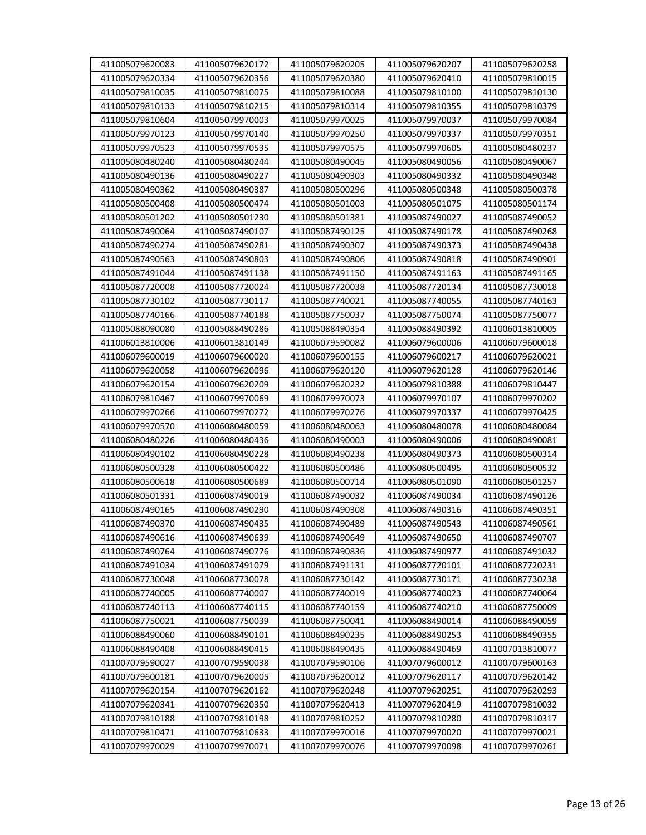| 411005079620083 | 411005079620172 | 411005079620205 | 411005079620207 | 411005079620258 |
|-----------------|-----------------|-----------------|-----------------|-----------------|
| 411005079620334 | 411005079620356 | 411005079620380 | 411005079620410 | 411005079810015 |
| 411005079810035 | 411005079810075 | 411005079810088 | 411005079810100 | 411005079810130 |
| 411005079810133 | 411005079810215 | 411005079810314 | 411005079810355 | 411005079810379 |
| 411005079810604 | 411005079970003 | 411005079970025 | 411005079970037 | 411005079970084 |
| 411005079970123 | 411005079970140 | 411005079970250 | 411005079970337 | 411005079970351 |
| 411005079970523 | 411005079970535 | 411005079970575 | 411005079970605 | 411005080480237 |
| 411005080480240 | 411005080480244 | 411005080490045 | 411005080490056 | 411005080490067 |
| 411005080490136 | 411005080490227 | 411005080490303 | 411005080490332 | 411005080490348 |
| 411005080490362 | 411005080490387 | 411005080500296 | 411005080500348 | 411005080500378 |
| 411005080500408 | 411005080500474 | 411005080501003 | 411005080501075 | 411005080501174 |
| 411005080501202 | 411005080501230 | 411005080501381 | 411005087490027 | 411005087490052 |
| 411005087490064 | 411005087490107 | 411005087490125 | 411005087490178 | 411005087490268 |
| 411005087490274 | 411005087490281 | 411005087490307 | 411005087490373 | 411005087490438 |
| 411005087490563 | 411005087490803 | 411005087490806 | 411005087490818 | 411005087490901 |
| 411005087491044 | 411005087491138 | 411005087491150 | 411005087491163 | 411005087491165 |
| 411005087720008 | 411005087720024 | 411005087720038 | 411005087720134 | 411005087730018 |
| 411005087730102 | 411005087730117 | 411005087740021 | 411005087740055 | 411005087740163 |
| 411005087740166 | 411005087740188 | 411005087750037 | 411005087750074 | 411005087750077 |
| 411005088090080 | 411005088490286 | 411005088490354 | 411005088490392 | 411006013810005 |
| 411006013810006 | 411006013810149 | 411006079590082 | 411006079600006 | 411006079600018 |
| 411006079600019 | 411006079600020 | 411006079600155 | 411006079600217 | 411006079620021 |
| 411006079620058 | 411006079620096 | 411006079620120 | 411006079620128 | 411006079620146 |
| 411006079620154 | 411006079620209 | 411006079620232 | 411006079810388 | 411006079810447 |
| 411006079810467 | 411006079970069 | 411006079970073 | 411006079970107 | 411006079970202 |
| 411006079970266 | 411006079970272 | 411006079970276 | 411006079970337 | 411006079970425 |
| 411006079970570 | 411006080480059 | 411006080480063 | 411006080480078 | 411006080480084 |
| 411006080480226 | 411006080480436 | 411006080490003 | 411006080490006 | 411006080490081 |
| 411006080490102 | 411006080490228 | 411006080490238 | 411006080490373 | 411006080500314 |
| 411006080500328 | 411006080500422 | 411006080500486 | 411006080500495 | 411006080500532 |
| 411006080500618 | 411006080500689 | 411006080500714 | 411006080501090 | 411006080501257 |
| 411006080501331 | 411006087490019 | 411006087490032 | 411006087490034 | 411006087490126 |
| 411006087490165 | 411006087490290 | 411006087490308 | 411006087490316 | 411006087490351 |
| 411006087490370 | 411006087490435 | 411006087490489 | 411006087490543 | 411006087490561 |
| 411006087490616 | 411006087490639 | 411006087490649 | 411006087490650 | 411006087490707 |
| 411006087490764 | 411006087490776 | 411006087490836 | 411006087490977 | 411006087491032 |
| 411006087491034 | 411006087491079 | 411006087491131 | 411006087720101 | 411006087720231 |
| 411006087730048 | 411006087730078 | 411006087730142 | 411006087730171 | 411006087730238 |
| 411006087740005 | 411006087740007 | 411006087740019 | 411006087740023 | 411006087740064 |
| 411006087740113 | 411006087740115 | 411006087740159 | 411006087740210 | 411006087750009 |
| 411006087750021 | 411006087750039 | 411006087750041 | 411006088490014 | 411006088490059 |
| 411006088490060 | 411006088490101 | 411006088490235 | 411006088490253 | 411006088490355 |
| 411006088490408 | 411006088490415 | 411006088490435 | 411006088490469 | 411007013810077 |
| 411007079590027 | 411007079590038 | 411007079590106 | 411007079600012 | 411007079600163 |
| 411007079600181 | 411007079620005 | 411007079620012 | 411007079620117 | 411007079620142 |
| 411007079620154 | 411007079620162 | 411007079620248 | 411007079620251 | 411007079620293 |
| 411007079620341 | 411007079620350 | 411007079620413 | 411007079620419 | 411007079810032 |
| 411007079810188 | 411007079810198 | 411007079810252 | 411007079810280 | 411007079810317 |
| 411007079810471 | 411007079810633 | 411007079970016 | 411007079970020 | 411007079970021 |
| 411007079970029 | 411007079970071 | 411007079970076 | 411007079970098 | 411007079970261 |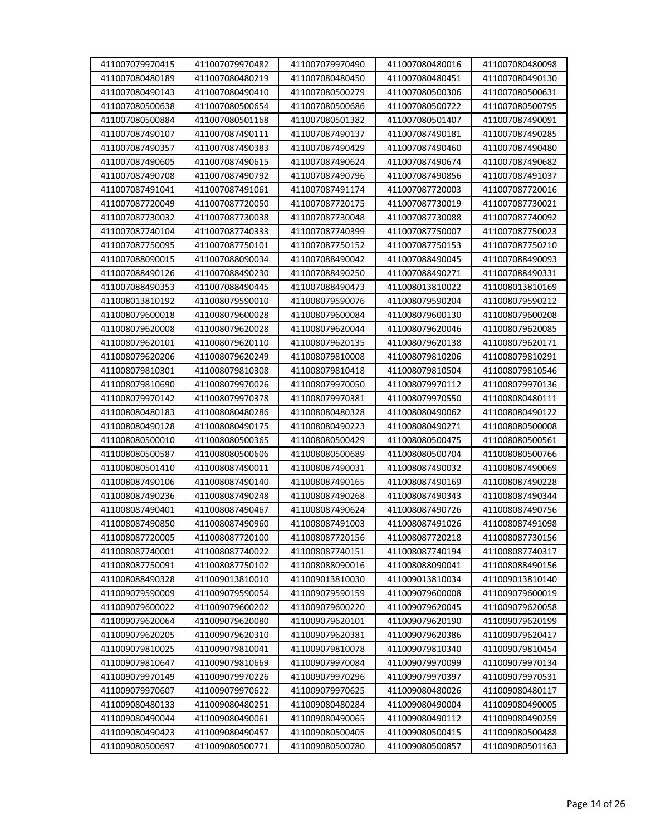| 411007079970415 | 411007079970482 | 411007079970490 | 411007080480016 | 411007080480098 |
|-----------------|-----------------|-----------------|-----------------|-----------------|
| 411007080480189 | 411007080480219 | 411007080480450 | 411007080480451 | 411007080490130 |
| 411007080490143 | 411007080490410 | 411007080500279 | 411007080500306 | 411007080500631 |
| 411007080500638 | 411007080500654 | 411007080500686 | 411007080500722 | 411007080500795 |
| 411007080500884 | 411007080501168 | 411007080501382 | 411007080501407 | 411007087490091 |
| 411007087490107 | 411007087490111 | 411007087490137 | 411007087490181 | 411007087490285 |
| 411007087490357 | 411007087490383 | 411007087490429 | 411007087490460 | 411007087490480 |
| 411007087490605 | 411007087490615 | 411007087490624 | 411007087490674 | 411007087490682 |
| 411007087490708 | 411007087490792 | 411007087490796 | 411007087490856 | 411007087491037 |
| 411007087491041 | 411007087491061 | 411007087491174 | 411007087720003 | 411007087720016 |
| 411007087720049 | 411007087720050 | 411007087720175 | 411007087730019 | 411007087730021 |
| 411007087730032 | 411007087730038 | 411007087730048 | 411007087730088 | 411007087740092 |
| 411007087740104 | 411007087740333 | 411007087740399 | 411007087750007 | 411007087750023 |
| 411007087750095 | 411007087750101 | 411007087750152 | 411007087750153 | 411007087750210 |
| 411007088090015 | 411007088090034 | 411007088490042 | 411007088490045 | 411007088490093 |
| 411007088490126 | 411007088490230 | 411007088490250 | 411007088490271 | 411007088490331 |
| 411007088490353 | 411007088490445 | 411007088490473 | 411008013810022 | 411008013810169 |
| 411008013810192 | 411008079590010 | 411008079590076 | 411008079590204 | 411008079590212 |
| 411008079600018 | 411008079600028 | 411008079600084 | 411008079600130 | 411008079600208 |
| 411008079620008 | 411008079620028 | 411008079620044 | 411008079620046 | 411008079620085 |
| 411008079620101 | 411008079620110 | 411008079620135 | 411008079620138 | 411008079620171 |
| 411008079620206 | 411008079620249 | 411008079810008 | 411008079810206 | 411008079810291 |
| 411008079810301 | 411008079810308 | 411008079810418 | 411008079810504 | 411008079810546 |
| 411008079810690 | 411008079970026 | 411008079970050 | 411008079970112 | 411008079970136 |
| 411008079970142 | 411008079970378 | 411008079970381 | 411008079970550 | 411008080480111 |
| 411008080480183 | 411008080480286 | 411008080480328 | 411008080490062 | 411008080490122 |
| 411008080490128 | 411008080490175 | 411008080490223 | 411008080490271 | 411008080500008 |
| 411008080500010 | 411008080500365 | 411008080500429 | 411008080500475 | 411008080500561 |
| 411008080500587 | 411008080500606 | 411008080500689 | 411008080500704 | 411008080500766 |
| 411008080501410 | 411008087490011 | 411008087490031 | 411008087490032 | 411008087490069 |
| 411008087490106 | 411008087490140 | 411008087490165 | 411008087490169 | 411008087490228 |
| 411008087490236 | 411008087490248 | 411008087490268 | 411008087490343 | 411008087490344 |
| 411008087490401 | 411008087490467 | 411008087490624 | 411008087490726 | 411008087490756 |
| 411008087490850 | 411008087490960 | 411008087491003 | 411008087491026 | 411008087491098 |
| 411008087720005 | 411008087720100 | 411008087720156 | 411008087720218 | 411008087730156 |
| 411008087740001 | 411008087740022 | 411008087740151 | 411008087740194 | 411008087740317 |
| 411008087750091 | 411008087750102 | 411008088090016 | 411008088090041 | 411008088490156 |
| 411008088490328 | 411009013810010 | 411009013810030 | 411009013810034 | 411009013810140 |
| 411009079590009 | 411009079590054 | 411009079590159 | 411009079600008 | 411009079600019 |
| 411009079600022 | 411009079600202 | 411009079600220 | 411009079620045 | 411009079620058 |
| 411009079620064 | 411009079620080 | 411009079620101 | 411009079620190 | 411009079620199 |
| 411009079620205 | 411009079620310 | 411009079620381 | 411009079620386 | 411009079620417 |
| 411009079810025 | 411009079810041 | 411009079810078 | 411009079810340 | 411009079810454 |
| 411009079810647 | 411009079810669 | 411009079970084 | 411009079970099 | 411009079970134 |
| 411009079970149 | 411009079970226 | 411009079970296 | 411009079970397 | 411009079970531 |
| 411009079970607 | 411009079970622 | 411009079970625 | 411009080480026 | 411009080480117 |
| 411009080480133 | 411009080480251 | 411009080480284 | 411009080490004 | 411009080490005 |
| 411009080490044 | 411009080490061 | 411009080490065 | 411009080490112 | 411009080490259 |
| 411009080490423 | 411009080490457 | 411009080500405 | 411009080500415 | 411009080500488 |
| 411009080500697 | 411009080500771 | 411009080500780 | 411009080500857 | 411009080501163 |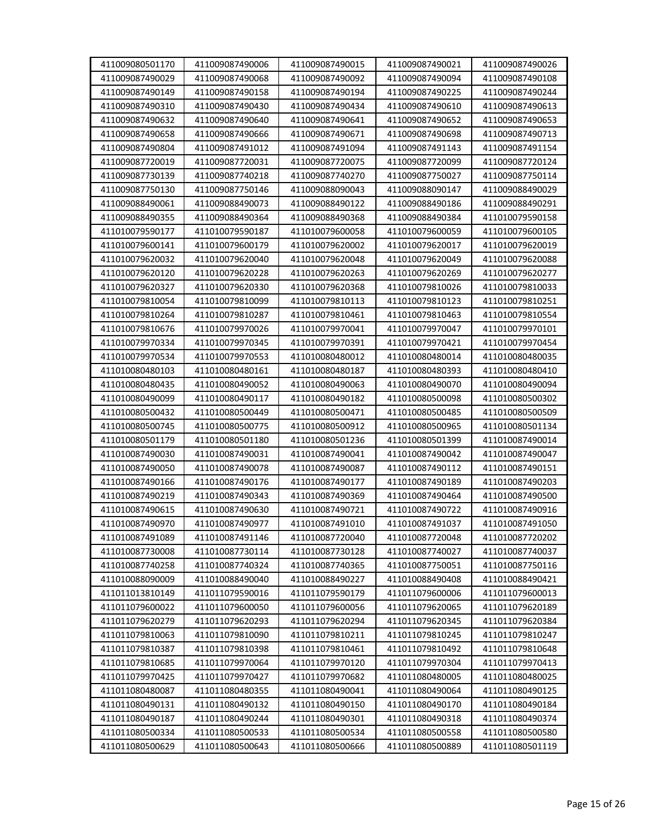| 411009080501170 | 411009087490006 | 411009087490015 | 411009087490021 | 411009087490026 |
|-----------------|-----------------|-----------------|-----------------|-----------------|
| 411009087490029 | 411009087490068 | 411009087490092 | 411009087490094 | 411009087490108 |
| 411009087490149 | 411009087490158 | 411009087490194 | 411009087490225 | 411009087490244 |
| 411009087490310 | 411009087490430 | 411009087490434 | 411009087490610 | 411009087490613 |
| 411009087490632 | 411009087490640 | 411009087490641 | 411009087490652 | 411009087490653 |
| 411009087490658 | 411009087490666 | 411009087490671 | 411009087490698 | 411009087490713 |
| 411009087490804 | 411009087491012 | 411009087491094 | 411009087491143 | 411009087491154 |
| 411009087720019 | 411009087720031 | 411009087720075 | 411009087720099 | 411009087720124 |
| 411009087730139 | 411009087740218 | 411009087740270 | 411009087750027 | 411009087750114 |
| 411009087750130 | 411009087750146 | 411009088090043 | 411009088090147 | 411009088490029 |
| 411009088490061 | 411009088490073 | 411009088490122 | 411009088490186 | 411009088490291 |
| 411009088490355 | 411009088490364 | 411009088490368 | 411009088490384 | 411010079590158 |
| 411010079590177 | 411010079590187 | 411010079600058 | 411010079600059 | 411010079600105 |
| 411010079600141 | 411010079600179 | 411010079620002 | 411010079620017 | 411010079620019 |
| 411010079620032 | 411010079620040 | 411010079620048 | 411010079620049 | 411010079620088 |
| 411010079620120 | 411010079620228 | 411010079620263 | 411010079620269 | 411010079620277 |
| 411010079620327 | 411010079620330 | 411010079620368 | 411010079810026 | 411010079810033 |
| 411010079810054 | 411010079810099 | 411010079810113 | 411010079810123 | 411010079810251 |
| 411010079810264 | 411010079810287 | 411010079810461 | 411010079810463 | 411010079810554 |
| 411010079810676 | 411010079970026 | 411010079970041 | 411010079970047 | 411010079970101 |
| 411010079970334 | 411010079970345 | 411010079970391 | 411010079970421 | 411010079970454 |
| 411010079970534 | 411010079970553 | 411010080480012 | 411010080480014 | 411010080480035 |
| 411010080480103 | 411010080480161 | 411010080480187 | 411010080480393 | 411010080480410 |
| 411010080480435 | 411010080490052 | 411010080490063 | 411010080490070 | 411010080490094 |
| 411010080490099 | 411010080490117 | 411010080490182 | 411010080500098 | 411010080500302 |
| 411010080500432 | 411010080500449 | 411010080500471 | 411010080500485 | 411010080500509 |
| 411010080500745 | 411010080500775 | 411010080500912 | 411010080500965 | 411010080501134 |
| 411010080501179 | 411010080501180 | 411010080501236 | 411010080501399 | 411010087490014 |
| 411010087490030 | 411010087490031 | 411010087490041 | 411010087490042 | 411010087490047 |
| 411010087490050 | 411010087490078 | 411010087490087 | 411010087490112 | 411010087490151 |
| 411010087490166 | 411010087490176 | 411010087490177 | 411010087490189 | 411010087490203 |
| 411010087490219 | 411010087490343 | 411010087490369 | 411010087490464 | 411010087490500 |
| 411010087490615 | 411010087490630 | 411010087490721 | 411010087490722 | 411010087490916 |
| 411010087490970 | 411010087490977 | 411010087491010 | 411010087491037 | 411010087491050 |
| 411010087491089 | 411010087491146 | 411010087720040 | 411010087720048 | 411010087720202 |
| 411010087730008 | 411010087730114 | 411010087730128 | 411010087740027 | 411010087740037 |
| 411010087740258 | 411010087740324 | 411010087740365 | 411010087750051 | 411010087750116 |
| 411010088090009 | 411010088490040 | 411010088490227 | 411010088490408 | 411010088490421 |
| 411011013810149 | 411011079590016 | 411011079590179 | 411011079600006 | 411011079600013 |
| 411011079600022 | 411011079600050 | 411011079600056 | 411011079620065 | 411011079620189 |
| 411011079620279 | 411011079620293 | 411011079620294 | 411011079620345 | 411011079620384 |
| 411011079810063 | 411011079810090 | 411011079810211 | 411011079810245 | 411011079810247 |
| 411011079810387 | 411011079810398 | 411011079810461 | 411011079810492 | 411011079810648 |
| 411011079810685 | 411011079970064 | 411011079970120 | 411011079970304 | 411011079970413 |
| 411011079970425 | 411011079970427 | 411011079970682 | 411011080480005 | 411011080480025 |
| 411011080480087 | 411011080480355 | 411011080490041 | 411011080490064 | 411011080490125 |
| 411011080490131 | 411011080490132 | 411011080490150 | 411011080490170 | 411011080490184 |
| 411011080490187 | 411011080490244 | 411011080490301 | 411011080490318 | 411011080490374 |
| 411011080500334 | 411011080500533 | 411011080500534 | 411011080500558 | 411011080500580 |
| 411011080500629 | 411011080500643 | 411011080500666 | 411011080500889 | 411011080501119 |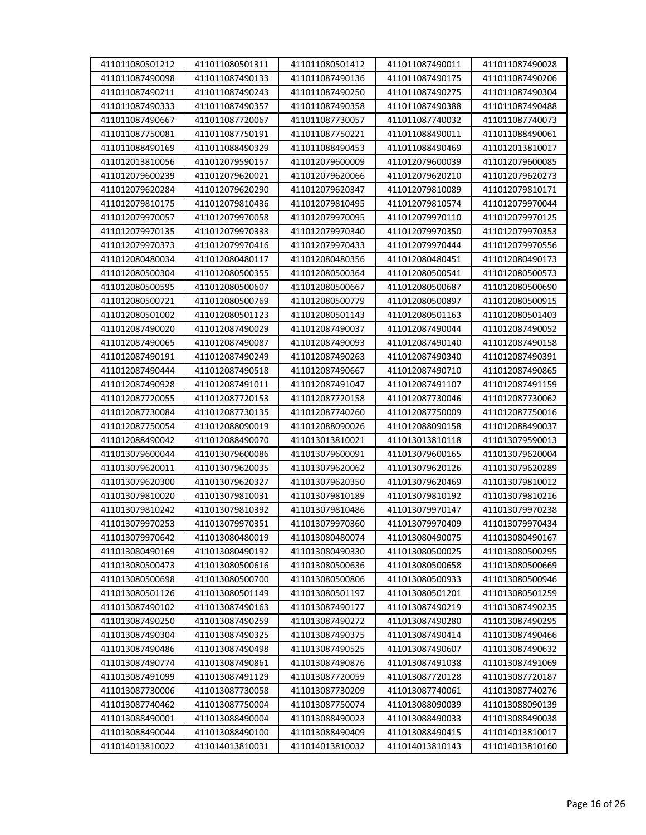| 411011080501212 | 411011080501311 | 411011080501412 | 411011087490011 | 411011087490028 |
|-----------------|-----------------|-----------------|-----------------|-----------------|
| 411011087490098 | 411011087490133 | 411011087490136 | 411011087490175 | 411011087490206 |
| 411011087490211 | 411011087490243 | 411011087490250 | 411011087490275 | 411011087490304 |
| 411011087490333 | 411011087490357 | 411011087490358 | 411011087490388 | 411011087490488 |
| 411011087490667 | 411011087720067 | 411011087730057 | 411011087740032 | 411011087740073 |
| 411011087750081 | 411011087750191 | 411011087750221 | 411011088490011 | 411011088490061 |
| 411011088490169 | 411011088490329 | 411011088490453 | 411011088490469 | 411012013810017 |
|                 |                 |                 |                 |                 |
| 411012013810056 | 411012079590157 | 411012079600009 | 411012079600039 | 411012079600085 |
| 411012079600239 | 411012079620021 | 411012079620066 | 411012079620210 | 411012079620273 |
| 411012079620284 | 411012079620290 | 411012079620347 | 411012079810089 | 411012079810171 |
| 411012079810175 | 411012079810436 | 411012079810495 | 411012079810574 | 411012079970044 |
| 411012079970057 | 411012079970058 | 411012079970095 | 411012079970110 | 411012079970125 |
| 411012079970135 | 411012079970333 | 411012079970340 | 411012079970350 | 411012079970353 |
| 411012079970373 | 411012079970416 | 411012079970433 | 411012079970444 | 411012079970556 |
| 411012080480034 | 411012080480117 | 411012080480356 | 411012080480451 | 411012080490173 |
| 411012080500304 | 411012080500355 | 411012080500364 | 411012080500541 | 411012080500573 |
| 411012080500595 | 411012080500607 | 411012080500667 | 411012080500687 | 411012080500690 |
| 411012080500721 | 411012080500769 | 411012080500779 | 411012080500897 | 411012080500915 |
| 411012080501002 | 411012080501123 | 411012080501143 | 411012080501163 | 411012080501403 |
| 411012087490020 | 411012087490029 | 411012087490037 | 411012087490044 | 411012087490052 |
| 411012087490065 | 411012087490087 | 411012087490093 | 411012087490140 | 411012087490158 |
| 411012087490191 | 411012087490249 | 411012087490263 | 411012087490340 | 411012087490391 |
| 411012087490444 | 411012087490518 | 411012087490667 | 411012087490710 | 411012087490865 |
| 411012087490928 | 411012087491011 | 411012087491047 | 411012087491107 | 411012087491159 |
| 411012087720055 | 411012087720153 | 411012087720158 | 411012087730046 | 411012087730062 |
| 411012087730084 | 411012087730135 | 411012087740260 | 411012087750009 | 411012087750016 |
| 411012087750054 | 411012088090019 | 411012088090026 | 411012088090158 | 411012088490037 |
| 411012088490042 | 411012088490070 | 411013013810021 | 411013013810118 | 411013079590013 |
| 411013079600044 | 411013079600086 | 411013079600091 | 411013079600165 | 411013079620004 |
| 411013079620011 | 411013079620035 | 411013079620062 | 411013079620126 | 411013079620289 |
| 411013079620300 | 411013079620327 | 411013079620350 | 411013079620469 | 411013079810012 |
| 411013079810020 | 411013079810031 | 411013079810189 | 411013079810192 | 411013079810216 |
| 411013079810242 | 411013079810392 | 411013079810486 | 411013079970147 | 411013079970238 |
| 411013079970253 | 411013079970351 | 411013079970360 | 411013079970409 | 411013079970434 |
| 411013079970642 | 411013080480019 | 411013080480074 | 411013080490075 | 411013080490167 |
| 411013080490169 | 411013080490192 | 411013080490330 | 411013080500025 | 411013080500295 |
| 411013080500473 | 411013080500616 | 411013080500636 | 411013080500658 | 411013080500669 |
| 411013080500698 | 411013080500700 | 411013080500806 | 411013080500933 | 411013080500946 |
| 411013080501126 | 411013080501149 | 411013080501197 | 411013080501201 | 411013080501259 |
| 411013087490102 | 411013087490163 | 411013087490177 | 411013087490219 | 411013087490235 |
| 411013087490250 | 411013087490259 | 411013087490272 | 411013087490280 | 411013087490295 |
| 411013087490304 | 411013087490325 | 411013087490375 | 411013087490414 | 411013087490466 |
| 411013087490486 | 411013087490498 | 411013087490525 | 411013087490607 | 411013087490632 |
| 411013087490774 | 411013087490861 | 411013087490876 | 411013087491038 | 411013087491069 |
| 411013087491099 | 411013087491129 | 411013087720059 | 411013087720128 | 411013087720187 |
| 411013087730006 | 411013087730058 | 411013087730209 | 411013087740061 | 411013087740276 |
| 411013087740462 | 411013087750004 | 411013087750074 | 411013088090039 | 411013088090139 |
| 411013088490001 | 411013088490004 | 411013088490023 | 411013088490033 | 411013088490038 |
| 411013088490044 | 411013088490100 | 411013088490409 | 411013088490415 | 411014013810017 |
| 411014013810022 | 411014013810031 | 411014013810032 | 411014013810143 | 411014013810160 |
|                 |                 |                 |                 |                 |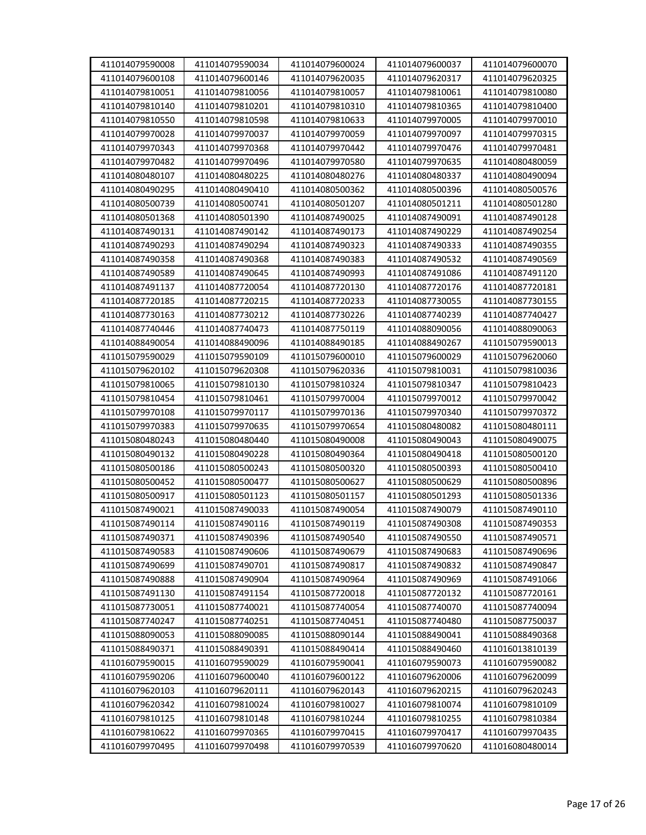| 411014079590008 | 411014079590034 | 411014079600024 | 411014079600037 | 411014079600070 |
|-----------------|-----------------|-----------------|-----------------|-----------------|
| 411014079600108 | 411014079600146 | 411014079620035 | 411014079620317 | 411014079620325 |
| 411014079810051 | 411014079810056 | 411014079810057 | 411014079810061 | 411014079810080 |
| 411014079810140 | 411014079810201 | 411014079810310 | 411014079810365 | 411014079810400 |
| 411014079810550 | 411014079810598 | 411014079810633 | 411014079970005 | 411014079970010 |
| 411014079970028 | 411014079970037 | 411014079970059 | 411014079970097 | 411014079970315 |
| 411014079970343 | 411014079970368 | 411014079970442 | 411014079970476 | 411014079970481 |
| 411014079970482 | 411014079970496 | 411014079970580 | 411014079970635 | 411014080480059 |
| 411014080480107 | 411014080480225 | 411014080480276 | 411014080480337 | 411014080490094 |
|                 |                 |                 |                 | 411014080500576 |
| 411014080490295 | 411014080490410 | 411014080500362 | 411014080500396 |                 |
| 411014080500739 | 411014080500741 | 411014080501207 | 411014080501211 | 411014080501280 |
| 411014080501368 | 411014080501390 | 411014087490025 | 411014087490091 | 411014087490128 |
| 411014087490131 | 411014087490142 | 411014087490173 | 411014087490229 | 411014087490254 |
| 411014087490293 | 411014087490294 | 411014087490323 | 411014087490333 | 411014087490355 |
| 411014087490358 | 411014087490368 | 411014087490383 | 411014087490532 | 411014087490569 |
| 411014087490589 | 411014087490645 | 411014087490993 | 411014087491086 | 411014087491120 |
| 411014087491137 | 411014087720054 | 411014087720130 | 411014087720176 | 411014087720181 |
| 411014087720185 | 411014087720215 | 411014087720233 | 411014087730055 | 411014087730155 |
| 411014087730163 | 411014087730212 | 411014087730226 | 411014087740239 | 411014087740427 |
| 411014087740446 | 411014087740473 | 411014087750119 | 411014088090056 | 411014088090063 |
| 411014088490054 | 411014088490096 | 411014088490185 | 411014088490267 | 411015079590013 |
| 411015079590029 | 411015079590109 | 411015079600010 | 411015079600029 | 411015079620060 |
| 411015079620102 | 411015079620308 | 411015079620336 | 411015079810031 | 411015079810036 |
| 411015079810065 | 411015079810130 | 411015079810324 | 411015079810347 | 411015079810423 |
| 411015079810454 | 411015079810461 | 411015079970004 | 411015079970012 | 411015079970042 |
| 411015079970108 | 411015079970117 | 411015079970136 | 411015079970340 | 411015079970372 |
| 411015079970383 | 411015079970635 | 411015079970654 | 411015080480082 | 411015080480111 |
| 411015080480243 | 411015080480440 | 411015080490008 | 411015080490043 | 411015080490075 |
| 411015080490132 | 411015080490228 | 411015080490364 | 411015080490418 | 411015080500120 |
| 411015080500186 | 411015080500243 | 411015080500320 | 411015080500393 | 411015080500410 |
| 411015080500452 | 411015080500477 | 411015080500627 | 411015080500629 | 411015080500896 |
| 411015080500917 | 411015080501123 | 411015080501157 | 411015080501293 | 411015080501336 |
| 411015087490021 | 411015087490033 | 411015087490054 | 411015087490079 | 411015087490110 |
| 411015087490114 | 411015087490116 | 411015087490119 | 411015087490308 | 411015087490353 |
| 411015087490371 | 411015087490396 | 411015087490540 | 411015087490550 | 411015087490571 |
| 411015087490583 | 411015087490606 | 411015087490679 | 411015087490683 | 411015087490696 |
| 411015087490699 | 411015087490701 | 411015087490817 | 411015087490832 | 411015087490847 |
| 411015087490888 | 411015087490904 | 411015087490964 | 411015087490969 | 411015087491066 |
| 411015087491130 | 411015087491154 | 411015087720018 | 411015087720132 | 411015087720161 |
| 411015087730051 | 411015087740021 | 411015087740054 | 411015087740070 | 411015087740094 |
| 411015087740247 | 411015087740251 | 411015087740451 | 411015087740480 | 411015087750037 |
| 411015088090053 | 411015088090085 | 411015088090144 | 411015088490041 | 411015088490368 |
| 411015088490371 | 411015088490391 | 411015088490414 | 411015088490460 | 411016013810139 |
| 411016079590015 | 411016079590029 | 411016079590041 | 411016079590073 | 411016079590082 |
| 411016079590206 | 411016079600040 | 411016079600122 | 411016079620006 | 411016079620099 |
| 411016079620103 | 411016079620111 | 411016079620143 | 411016079620215 | 411016079620243 |
| 411016079620342 | 411016079810024 | 411016079810027 | 411016079810074 | 411016079810109 |
| 411016079810125 | 411016079810148 | 411016079810244 | 411016079810255 | 411016079810384 |
| 411016079810622 | 411016079970365 | 411016079970415 | 411016079970417 | 411016079970435 |
| 411016079970495 | 411016079970498 | 411016079970539 | 411016079970620 | 411016080480014 |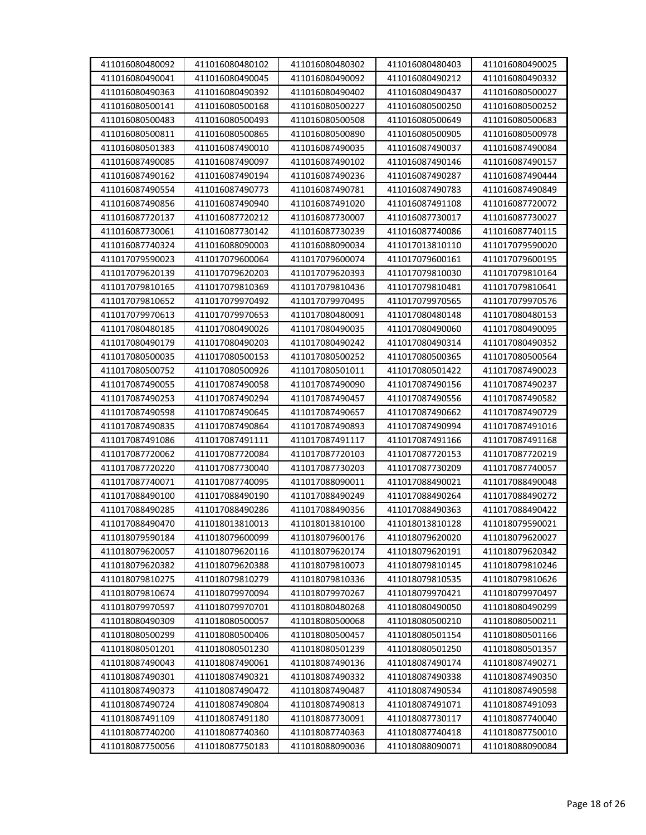| 411016080480092 | 411016080480102 | 411016080480302 | 411016080480403 | 411016080490025 |
|-----------------|-----------------|-----------------|-----------------|-----------------|
| 411016080490041 | 411016080490045 | 411016080490092 | 411016080490212 | 411016080490332 |
| 411016080490363 | 411016080490392 | 411016080490402 | 411016080490437 | 411016080500027 |
| 411016080500141 | 411016080500168 | 411016080500227 | 411016080500250 | 411016080500252 |
| 411016080500483 | 411016080500493 | 411016080500508 | 411016080500649 | 411016080500683 |
| 411016080500811 | 411016080500865 | 411016080500890 | 411016080500905 | 411016080500978 |
| 411016080501383 | 411016087490010 | 411016087490035 | 411016087490037 | 411016087490084 |
| 411016087490085 | 411016087490097 | 411016087490102 | 411016087490146 | 411016087490157 |
| 411016087490162 | 411016087490194 | 411016087490236 | 411016087490287 | 411016087490444 |
| 411016087490554 | 411016087490773 | 411016087490781 | 411016087490783 | 411016087490849 |
| 411016087490856 | 411016087490940 | 411016087491020 | 411016087491108 | 411016087720072 |
| 411016087720137 | 411016087720212 | 411016087730007 | 411016087730017 | 411016087730027 |
| 411016087730061 | 411016087730142 | 411016087730239 | 411016087740086 | 411016087740115 |
| 411016087740324 | 411016088090003 | 411016088090034 | 411017013810110 | 411017079590020 |
| 411017079590023 | 411017079600064 | 411017079600074 | 411017079600161 | 411017079600195 |
| 411017079620139 | 411017079620203 | 411017079620393 | 411017079810030 | 411017079810164 |
| 411017079810165 | 411017079810369 | 411017079810436 | 411017079810481 | 411017079810641 |
| 411017079810652 | 411017079970492 | 411017079970495 | 411017079970565 | 411017079970576 |
| 411017079970613 | 411017079970653 | 411017080480091 | 411017080480148 | 411017080480153 |
| 411017080480185 | 411017080490026 | 411017080490035 | 411017080490060 | 411017080490095 |
| 411017080490179 | 411017080490203 | 411017080490242 | 411017080490314 | 411017080490352 |
| 411017080500035 | 411017080500153 | 411017080500252 | 411017080500365 | 411017080500564 |
| 411017080500752 | 411017080500926 | 411017080501011 | 411017080501422 | 411017087490023 |
| 411017087490055 | 411017087490058 | 411017087490090 | 411017087490156 | 411017087490237 |
| 411017087490253 | 411017087490294 | 411017087490457 | 411017087490556 | 411017087490582 |
| 411017087490598 | 411017087490645 | 411017087490657 | 411017087490662 | 411017087490729 |
| 411017087490835 | 411017087490864 | 411017087490893 | 411017087490994 | 411017087491016 |
| 411017087491086 | 411017087491111 | 411017087491117 | 411017087491166 | 411017087491168 |
| 411017087720062 | 411017087720084 | 411017087720103 | 411017087720153 | 411017087720219 |
| 411017087720220 | 411017087730040 | 411017087730203 | 411017087730209 | 411017087740057 |
| 411017087740071 | 411017087740095 | 411017088090011 | 411017088490021 | 411017088490048 |
| 411017088490100 | 411017088490190 | 411017088490249 | 411017088490264 | 411017088490272 |
| 411017088490285 | 411017088490286 | 411017088490356 | 411017088490363 | 411017088490422 |
| 411017088490470 | 411018013810013 | 411018013810100 | 411018013810128 | 411018079590021 |
| 411018079590184 | 411018079600099 | 411018079600176 | 411018079620020 | 411018079620027 |
| 411018079620057 | 411018079620116 | 411018079620174 | 411018079620191 | 411018079620342 |
| 411018079620382 | 411018079620388 | 411018079810073 | 411018079810145 | 411018079810246 |
| 411018079810275 | 411018079810279 | 411018079810336 | 411018079810535 | 411018079810626 |
| 411018079810674 | 411018079970094 | 411018079970267 | 411018079970421 | 411018079970497 |
| 411018079970597 | 411018079970701 | 411018080480268 | 411018080490050 | 411018080490299 |
| 411018080490309 | 411018080500057 | 411018080500068 | 411018080500210 | 411018080500211 |
| 411018080500299 | 411018080500406 | 411018080500457 | 411018080501154 | 411018080501166 |
| 411018080501201 | 411018080501230 | 411018080501239 | 411018080501250 | 411018080501357 |
| 411018087490043 | 411018087490061 | 411018087490136 | 411018087490174 | 411018087490271 |
| 411018087490301 | 411018087490321 | 411018087490332 | 411018087490338 | 411018087490350 |
| 411018087490373 | 411018087490472 | 411018087490487 | 411018087490534 | 411018087490598 |
| 411018087490724 | 411018087490804 | 411018087490813 | 411018087491071 | 411018087491093 |
| 411018087491109 | 411018087491180 | 411018087730091 | 411018087730117 | 411018087740040 |
| 411018087740200 | 411018087740360 | 411018087740363 | 411018087740418 | 411018087750010 |
| 411018087750056 | 411018087750183 | 411018088090036 | 411018088090071 | 411018088090084 |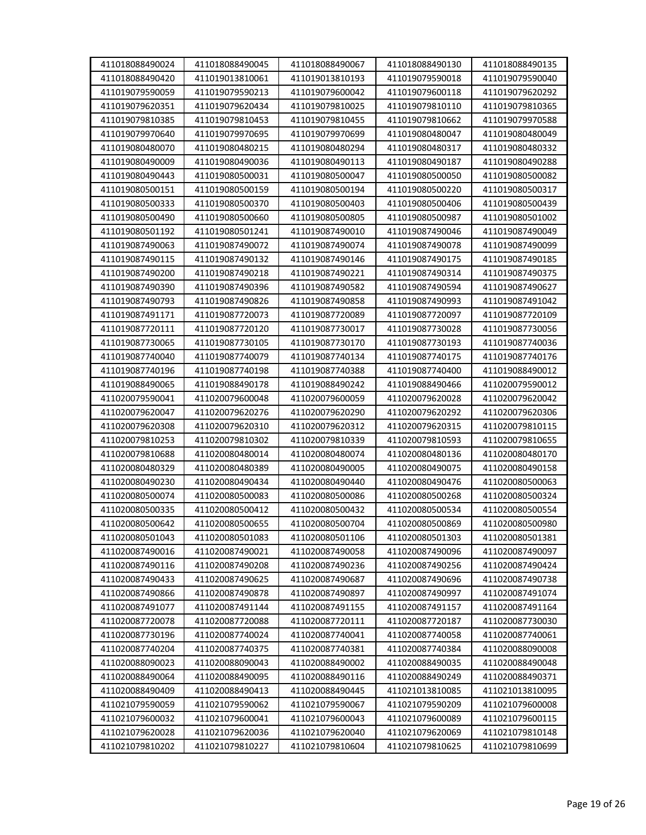| 411018088490024                    | 411018088490045                    | 411018088490067                    | 411018088490130                    | 411018088490135                    |
|------------------------------------|------------------------------------|------------------------------------|------------------------------------|------------------------------------|
| 411018088490420                    | 411019013810061                    | 411019013810193                    | 411019079590018                    | 411019079590040                    |
| 411019079590059                    | 411019079590213                    | 411019079600042                    | 411019079600118                    | 411019079620292                    |
| 411019079620351                    | 411019079620434                    | 411019079810025                    | 411019079810110                    | 411019079810365                    |
| 411019079810385                    | 411019079810453                    | 411019079810455                    | 411019079810662                    | 411019079970588                    |
| 411019079970640                    | 411019079970695                    | 411019079970699                    | 411019080480047                    | 411019080480049                    |
| 411019080480070                    | 411019080480215                    | 411019080480294                    | 411019080480317                    | 411019080480332                    |
| 411019080490009                    | 411019080490036                    | 411019080490113                    | 411019080490187                    | 411019080490288                    |
| 411019080490443                    | 411019080500031                    | 411019080500047                    | 411019080500050                    | 411019080500082                    |
| 411019080500151                    | 411019080500159                    | 411019080500194                    | 411019080500220                    | 411019080500317                    |
| 411019080500333                    | 411019080500370                    | 411019080500403                    | 411019080500406                    | 411019080500439                    |
| 411019080500490                    | 411019080500660                    | 411019080500805                    | 411019080500987                    | 411019080501002                    |
| 411019080501192                    | 411019080501241                    | 411019087490010                    | 411019087490046                    | 411019087490049                    |
| 411019087490063                    | 411019087490072                    | 411019087490074                    | 411019087490078                    | 411019087490099                    |
| 411019087490115                    | 411019087490132                    | 411019087490146                    | 411019087490175                    | 411019087490185                    |
| 411019087490200                    | 411019087490218                    | 411019087490221                    | 411019087490314                    | 411019087490375                    |
| 411019087490390                    | 411019087490396                    | 411019087490582                    | 411019087490594                    | 411019087490627                    |
| 411019087490793                    | 411019087490826                    | 411019087490858                    | 411019087490993                    | 411019087491042                    |
| 411019087491171                    | 411019087720073                    | 411019087720089                    | 411019087720097                    | 411019087720109                    |
| 411019087720111                    | 411019087720120                    | 411019087730017                    | 411019087730028                    | 411019087730056                    |
| 411019087730065                    | 411019087730105                    | 411019087730170                    | 411019087730193                    | 411019087740036                    |
| 411019087740040                    | 411019087740079                    | 411019087740134                    | 411019087740175                    | 411019087740176                    |
| 411019087740196                    | 411019087740198                    | 411019087740388                    | 411019087740400                    | 411019088490012                    |
|                                    |                                    |                                    |                                    |                                    |
| 411019088490065<br>411020079590041 | 411019088490178<br>411020079600048 | 411019088490242<br>411020079600059 | 411019088490466<br>411020079620028 | 411020079590012<br>411020079620042 |
|                                    |                                    |                                    |                                    |                                    |
| 411020079620047                    | 411020079620276                    | 411020079620290                    | 411020079620292                    | 411020079620306                    |
| 411020079620308                    | 411020079620310                    | 411020079620312                    | 411020079620315                    | 411020079810115                    |
| 411020079810253                    | 411020079810302                    | 411020079810339                    | 411020079810593                    | 411020079810655                    |
| 411020079810688                    | 411020080480014                    | 411020080480074                    | 411020080480136                    | 411020080480170                    |
| 411020080480329                    | 411020080480389                    | 411020080490005                    | 411020080490075                    | 411020080490158                    |
| 411020080490230                    | 411020080490434                    | 411020080490440                    | 411020080490476                    | 411020080500063                    |
| 411020080500074                    | 411020080500083                    | 411020080500086                    | 411020080500268                    | 411020080500324                    |
| 411020080500335                    | 411020080500412                    | 411020080500432                    | 411020080500534                    | 411020080500554                    |
| 411020080500642                    | 411020080500655                    | 411020080500704                    | 411020080500869                    | 411020080500980                    |
| 411020080501043                    | 411020080501083                    | 411020080501106                    | 411020080501303                    | 411020080501381                    |
| 411020087490016                    | 411020087490021                    | 411020087490058                    | 411020087490096                    | 411020087490097                    |
| 411020087490116                    | 411020087490208                    | 411020087490236                    | 411020087490256                    | 411020087490424                    |
| 411020087490433                    | 411020087490625                    | 411020087490687                    | 411020087490696                    | 411020087490738                    |
| 411020087490866                    | 411020087490878                    | 411020087490897                    | 411020087490997                    | 411020087491074                    |
| 411020087491077                    | 411020087491144                    | 411020087491155                    | 411020087491157                    | 411020087491164                    |
| 411020087720078                    | 411020087720088                    | 411020087720111                    | 411020087720187                    | 411020087730030                    |
| 411020087730196                    | 411020087740024                    | 411020087740041                    | 411020087740058                    | 411020087740061                    |
| 411020087740204                    | 411020087740375                    | 411020087740381                    | 411020087740384                    | 411020088090008                    |
| 411020088090023                    | 411020088090043                    | 411020088490002                    | 411020088490035                    | 411020088490048                    |
| 411020088490064                    | 411020088490095                    | 411020088490116                    | 411020088490249                    | 411020088490371                    |
| 411020088490409                    | 411020088490413                    | 411020088490445                    | 411021013810085                    | 411021013810095                    |
| 411021079590059                    | 411021079590062                    | 411021079590067                    | 411021079590209                    | 411021079600008                    |
| 411021079600032                    | 411021079600041                    | 411021079600043                    | 411021079600089                    | 411021079600115                    |
| 411021079620028                    | 411021079620036                    | 411021079620040                    | 411021079620069                    | 411021079810148                    |
| 411021079810202                    | 411021079810227                    | 411021079810604                    | 411021079810625                    | 411021079810699                    |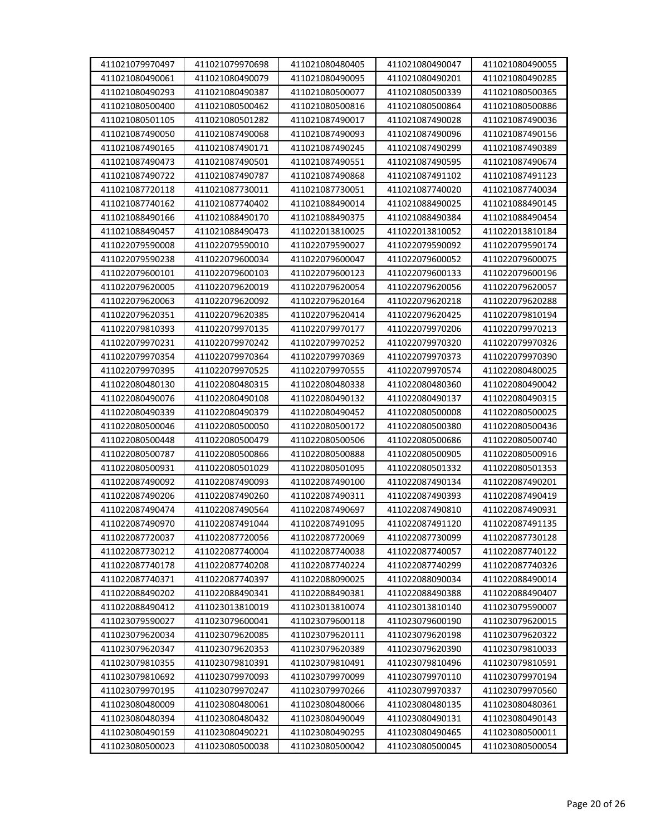| 411021079970497 | 411021079970698 | 411021080480405 | 411021080490047 | 411021080490055 |
|-----------------|-----------------|-----------------|-----------------|-----------------|
| 411021080490061 | 411021080490079 | 411021080490095 | 411021080490201 | 411021080490285 |
| 411021080490293 | 411021080490387 | 411021080500077 | 411021080500339 | 411021080500365 |
| 411021080500400 | 411021080500462 | 411021080500816 | 411021080500864 | 411021080500886 |
| 411021080501105 | 411021080501282 | 411021087490017 | 411021087490028 | 411021087490036 |
| 411021087490050 | 411021087490068 | 411021087490093 | 411021087490096 | 411021087490156 |
| 411021087490165 | 411021087490171 | 411021087490245 | 411021087490299 | 411021087490389 |
| 411021087490473 | 411021087490501 | 411021087490551 | 411021087490595 | 411021087490674 |
| 411021087490722 | 411021087490787 | 411021087490868 | 411021087491102 | 411021087491123 |
| 411021087720118 | 411021087730011 | 411021087730051 | 411021087740020 | 411021087740034 |
| 411021087740162 | 411021087740402 | 411021088490014 | 411021088490025 | 411021088490145 |
| 411021088490166 | 411021088490170 | 411021088490375 | 411021088490384 | 411021088490454 |
| 411021088490457 | 411021088490473 | 411022013810025 | 411022013810052 | 411022013810184 |
| 411022079590008 | 411022079590010 | 411022079590027 | 411022079590092 | 411022079590174 |
| 411022079590238 | 411022079600034 | 411022079600047 | 411022079600052 | 411022079600075 |
| 411022079600101 | 411022079600103 | 411022079600123 | 411022079600133 | 411022079600196 |
| 411022079620005 | 411022079620019 | 411022079620054 | 411022079620056 | 411022079620057 |
| 411022079620063 | 411022079620092 | 411022079620164 | 411022079620218 | 411022079620288 |
| 411022079620351 | 411022079620385 | 411022079620414 | 411022079620425 | 411022079810194 |
| 411022079810393 | 411022079970135 | 411022079970177 | 411022079970206 | 411022079970213 |
| 411022079970231 | 411022079970242 | 411022079970252 | 411022079970320 | 411022079970326 |
| 411022079970354 | 411022079970364 | 411022079970369 | 411022079970373 | 411022079970390 |
| 411022079970395 | 411022079970525 | 411022079970555 | 411022079970574 | 411022080480025 |
| 411022080480130 | 411022080480315 | 411022080480338 | 411022080480360 | 411022080490042 |
| 411022080490076 | 411022080490108 | 411022080490132 | 411022080490137 | 411022080490315 |
| 411022080490339 | 411022080490379 | 411022080490452 | 411022080500008 | 411022080500025 |
| 411022080500046 | 411022080500050 | 411022080500172 | 411022080500380 | 411022080500436 |
| 411022080500448 | 411022080500479 | 411022080500506 | 411022080500686 | 411022080500740 |
| 411022080500787 | 411022080500866 | 411022080500888 | 411022080500905 | 411022080500916 |
| 411022080500931 | 411022080501029 | 411022080501095 | 411022080501332 | 411022080501353 |
| 411022087490092 | 411022087490093 | 411022087490100 | 411022087490134 | 411022087490201 |
| 411022087490206 | 411022087490260 | 411022087490311 | 411022087490393 | 411022087490419 |
| 411022087490474 | 411022087490564 | 411022087490697 | 411022087490810 | 411022087490931 |
| 411022087490970 | 411022087491044 | 411022087491095 | 411022087491120 | 411022087491135 |
| 411022087720037 | 411022087720056 | 411022087720069 | 411022087730099 | 411022087730128 |
| 411022087730212 | 411022087740004 | 411022087740038 | 411022087740057 | 411022087740122 |
| 411022087740178 | 411022087740208 | 411022087740224 | 411022087740299 | 411022087740326 |
| 411022087740371 | 411022087740397 | 411022088090025 | 411022088090034 | 411022088490014 |
| 411022088490202 | 411022088490341 | 411022088490381 | 411022088490388 | 411022088490407 |
| 411022088490412 | 411023013810019 | 411023013810074 | 411023013810140 | 411023079590007 |
| 411023079590027 | 411023079600041 | 411023079600118 | 411023079600190 | 411023079620015 |
| 411023079620034 | 411023079620085 | 411023079620111 | 411023079620198 | 411023079620322 |
| 411023079620347 | 411023079620353 | 411023079620389 | 411023079620390 | 411023079810033 |
| 411023079810355 | 411023079810391 | 411023079810491 | 411023079810496 | 411023079810591 |
| 411023079810692 | 411023079970093 | 411023079970099 | 411023079970110 | 411023079970194 |
| 411023079970195 | 411023079970247 | 411023079970266 | 411023079970337 | 411023079970560 |
| 411023080480009 | 411023080480061 | 411023080480066 | 411023080480135 | 411023080480361 |
| 411023080480394 | 411023080480432 | 411023080490049 | 411023080490131 | 411023080490143 |
| 411023080490159 | 411023080490221 | 411023080490295 | 411023080490465 | 411023080500011 |
| 411023080500023 | 411023080500038 | 411023080500042 | 411023080500045 | 411023080500054 |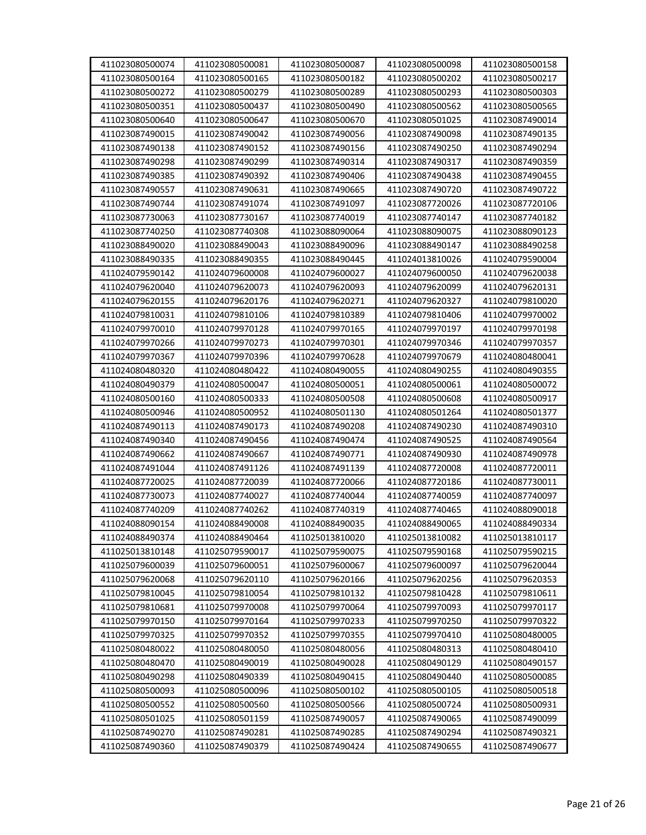| 411023080500074 | 411023080500081 | 411023080500087 | 411023080500098 | 411023080500158 |
|-----------------|-----------------|-----------------|-----------------|-----------------|
| 411023080500164 | 411023080500165 | 411023080500182 | 411023080500202 | 411023080500217 |
| 411023080500272 | 411023080500279 | 411023080500289 | 411023080500293 | 411023080500303 |
| 411023080500351 | 411023080500437 | 411023080500490 | 411023080500562 | 411023080500565 |
| 411023080500640 | 411023080500647 | 411023080500670 | 411023080501025 | 411023087490014 |
| 411023087490015 | 411023087490042 | 411023087490056 | 411023087490098 | 411023087490135 |
| 411023087490138 | 411023087490152 | 411023087490156 | 411023087490250 | 411023087490294 |
| 411023087490298 | 411023087490299 | 411023087490314 | 411023087490317 | 411023087490359 |
| 411023087490385 | 411023087490392 | 411023087490406 | 411023087490438 | 411023087490455 |
|                 | 411023087490631 |                 |                 | 411023087490722 |
| 411023087490557 |                 | 411023087490665 | 411023087490720 |                 |
| 411023087490744 | 411023087491074 | 411023087491097 | 411023087720026 | 411023087720106 |
| 411023087730063 | 411023087730167 | 411023087740019 | 411023087740147 | 411023087740182 |
| 411023087740250 | 411023087740308 | 411023088090064 | 411023088090075 | 411023088090123 |
| 411023088490020 | 411023088490043 | 411023088490096 | 411023088490147 | 411023088490258 |
| 411023088490335 | 411023088490355 | 411023088490445 | 411024013810026 | 411024079590004 |
| 411024079590142 | 411024079600008 | 411024079600027 | 411024079600050 | 411024079620038 |
| 411024079620040 | 411024079620073 | 411024079620093 | 411024079620099 | 411024079620131 |
| 411024079620155 | 411024079620176 | 411024079620271 | 411024079620327 | 411024079810020 |
| 411024079810031 | 411024079810106 | 411024079810389 | 411024079810406 | 411024079970002 |
| 411024079970010 | 411024079970128 | 411024079970165 | 411024079970197 | 411024079970198 |
| 411024079970266 | 411024079970273 | 411024079970301 | 411024079970346 | 411024079970357 |
| 411024079970367 | 411024079970396 | 411024079970628 | 411024079970679 | 411024080480041 |
| 411024080480320 | 411024080480422 | 411024080490055 | 411024080490255 | 411024080490355 |
| 411024080490379 | 411024080500047 | 411024080500051 | 411024080500061 | 411024080500072 |
| 411024080500160 | 411024080500333 | 411024080500508 | 411024080500608 | 411024080500917 |
| 411024080500946 | 411024080500952 | 411024080501130 | 411024080501264 | 411024080501377 |
| 411024087490113 | 411024087490173 | 411024087490208 | 411024087490230 | 411024087490310 |
| 411024087490340 | 411024087490456 | 411024087490474 | 411024087490525 | 411024087490564 |
| 411024087490662 | 411024087490667 | 411024087490771 | 411024087490930 | 411024087490978 |
| 411024087491044 | 411024087491126 | 411024087491139 | 411024087720008 | 411024087720011 |
| 411024087720025 | 411024087720039 | 411024087720066 | 411024087720186 | 411024087730011 |
| 411024087730073 | 411024087740027 | 411024087740044 | 411024087740059 | 411024087740097 |
| 411024087740209 | 411024087740262 | 411024087740319 | 411024087740465 | 411024088090018 |
| 411024088090154 | 411024088490008 | 411024088490035 | 411024088490065 | 411024088490334 |
| 411024088490374 | 411024088490464 | 411025013810020 | 411025013810082 | 411025013810117 |
| 411025013810148 | 411025079590017 | 411025079590075 | 411025079590168 | 411025079590215 |
| 411025079600039 | 411025079600051 | 411025079600067 | 411025079600097 | 411025079620044 |
| 411025079620068 | 411025079620110 | 411025079620166 | 411025079620256 | 411025079620353 |
| 411025079810045 | 411025079810054 | 411025079810132 | 411025079810428 | 411025079810611 |
| 411025079810681 | 411025079970008 | 411025079970064 | 411025079970093 | 411025079970117 |
| 411025079970150 | 411025079970164 | 411025079970233 | 411025079970250 | 411025079970322 |
| 411025079970325 | 411025079970352 | 411025079970355 | 411025079970410 | 411025080480005 |
| 411025080480022 | 411025080480050 | 411025080480056 | 411025080480313 | 411025080480410 |
| 411025080480470 | 411025080490019 | 411025080490028 | 411025080490129 | 411025080490157 |
| 411025080490298 | 411025080490339 | 411025080490415 | 411025080490440 | 411025080500085 |
| 411025080500093 | 411025080500096 | 411025080500102 | 411025080500105 | 411025080500518 |
| 411025080500552 | 411025080500560 | 411025080500566 | 411025080500724 | 411025080500931 |
| 411025080501025 | 411025080501159 | 411025087490057 | 411025087490065 | 411025087490099 |
| 411025087490270 | 411025087490281 | 411025087490285 | 411025087490294 | 411025087490321 |
| 411025087490360 | 411025087490379 | 411025087490424 | 411025087490655 | 411025087490677 |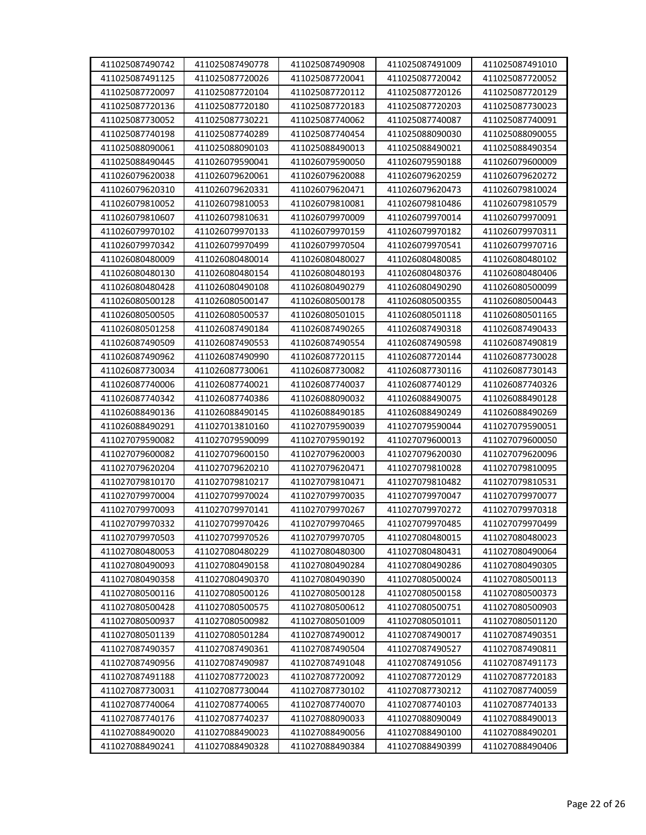| 411025087490742<br>411025087491125 | 411025087490778<br>411025087720026 | 411025087490908<br>411025087720041 | 411025087491009<br>411025087720042 | 411025087491010<br>411025087720052 |
|------------------------------------|------------------------------------|------------------------------------|------------------------------------|------------------------------------|
| 411025087720097                    | 411025087720104                    | 411025087720112                    | 411025087720126                    | 411025087720129                    |
| 411025087720136                    |                                    |                                    | 411025087720203                    |                                    |
|                                    | 411025087720180                    | 411025087720183                    |                                    | 411025087730023<br>411025087740091 |
| 411025087730052                    | 411025087730221                    | 411025087740062                    | 411025087740087                    |                                    |
| 411025087740198                    | 411025087740289                    | 411025087740454                    | 411025088090030                    | 411025088090055                    |
| 411025088090061                    | 411025088090103                    | 411025088490013                    | 411025088490021                    | 411025088490354                    |
| 411025088490445                    | 411026079590041                    | 411026079590050                    | 411026079590188                    | 411026079600009                    |
| 411026079620038                    | 411026079620061                    | 411026079620088                    | 411026079620259                    | 411026079620272                    |
| 411026079620310                    | 411026079620331                    | 411026079620471                    | 411026079620473                    | 411026079810024                    |
| 411026079810052                    | 411026079810053                    | 411026079810081                    | 411026079810486                    | 411026079810579                    |
| 411026079810607                    | 411026079810631                    | 411026079970009                    | 411026079970014                    | 411026079970091                    |
| 411026079970102                    | 411026079970133                    | 411026079970159                    | 411026079970182                    | 411026079970311                    |
| 411026079970342                    | 411026079970499                    | 411026079970504                    | 411026079970541                    | 411026079970716                    |
| 411026080480009                    | 411026080480014                    | 411026080480027                    | 411026080480085                    | 411026080480102                    |
| 411026080480130                    | 411026080480154                    | 411026080480193                    | 411026080480376                    | 411026080480406                    |
| 411026080480428                    | 411026080490108                    | 411026080490279                    | 411026080490290                    | 411026080500099                    |
| 411026080500128                    | 411026080500147                    | 411026080500178                    | 411026080500355                    | 411026080500443                    |
| 411026080500505                    | 411026080500537                    | 411026080501015                    | 411026080501118                    | 411026080501165                    |
| 411026080501258                    | 411026087490184                    | 411026087490265                    | 411026087490318                    | 411026087490433                    |
| 411026087490509                    | 411026087490553                    | 411026087490554                    | 411026087490598                    | 411026087490819                    |
| 411026087490962                    | 411026087490990                    | 411026087720115                    | 411026087720144                    | 411026087730028                    |
| 411026087730034                    | 411026087730061                    | 411026087730082                    | 411026087730116                    | 411026087730143                    |
| 411026087740006                    | 411026087740021                    | 411026087740037                    | 411026087740129                    | 411026087740326                    |
| 411026087740342                    | 411026087740386                    | 411026088090032                    | 411026088490075                    | 411026088490128                    |
| 411026088490136                    | 411026088490145                    | 411026088490185                    | 411026088490249                    | 411026088490269                    |
| 411026088490291                    | 411027013810160                    | 411027079590039                    | 411027079590044                    | 411027079590051                    |
| 411027079590082                    | 411027079590099                    | 411027079590192                    | 411027079600013                    | 411027079600050                    |
| 411027079600082                    | 411027079600150                    | 411027079620003                    | 411027079620030                    | 411027079620096                    |
| 411027079620204                    | 411027079620210                    | 411027079620471                    | 411027079810028                    | 411027079810095                    |
| 411027079810170                    | 411027079810217                    | 411027079810471                    | 411027079810482                    | 411027079810531                    |
| 411027079970004                    | 411027079970024                    | 411027079970035                    | 411027079970047                    | 411027079970077                    |
| 411027079970093                    | 411027079970141                    | 411027079970267                    | 411027079970272                    | 411027079970318                    |
| 411027079970332                    | 411027079970426                    | 411027079970465                    | 411027079970485                    | 411027079970499                    |
| 411027079970503                    | 411027079970526                    | 411027079970705                    | 411027080480015                    | 411027080480023                    |
| 411027080480053                    | 411027080480229                    | 411027080480300                    | 411027080480431                    | 411027080490064                    |
| 411027080490093                    | 411027080490158                    | 411027080490284                    | 411027080490286                    | 411027080490305                    |
| 411027080490358                    | 411027080490370                    | 411027080490390                    | 411027080500024                    | 411027080500113                    |
| 411027080500116                    | 411027080500126                    | 411027080500128                    | 411027080500158                    | 411027080500373                    |
| 411027080500428                    | 411027080500575                    | 411027080500612                    | 411027080500751                    | 411027080500903                    |
| 411027080500937                    | 411027080500982                    | 411027080501009                    | 411027080501011                    | 411027080501120                    |
| 411027080501139                    | 411027080501284                    | 411027087490012                    | 411027087490017                    | 411027087490351                    |
| 411027087490357                    | 411027087490361                    | 411027087490504                    | 411027087490527                    | 411027087490811                    |
| 411027087490956                    | 411027087490987                    | 411027087491048                    | 411027087491056                    | 411027087491173                    |
| 411027087491188                    | 411027087720023                    | 411027087720092                    | 411027087720129                    | 411027087720183                    |
| 411027087730031                    | 411027087730044                    | 411027087730102                    | 411027087730212                    | 411027087740059                    |
| 411027087740064                    | 411027087740065                    | 411027087740070                    | 411027087740103                    | 411027087740133                    |
| 411027087740176                    | 411027087740237                    | 411027088090033                    | 411027088090049                    | 411027088490013                    |
| 411027088490020                    | 411027088490023                    | 411027088490056                    | 411027088490100                    | 411027088490201                    |
| 411027088490241                    | 411027088490328                    | 411027088490384                    | 411027088490399                    | 411027088490406                    |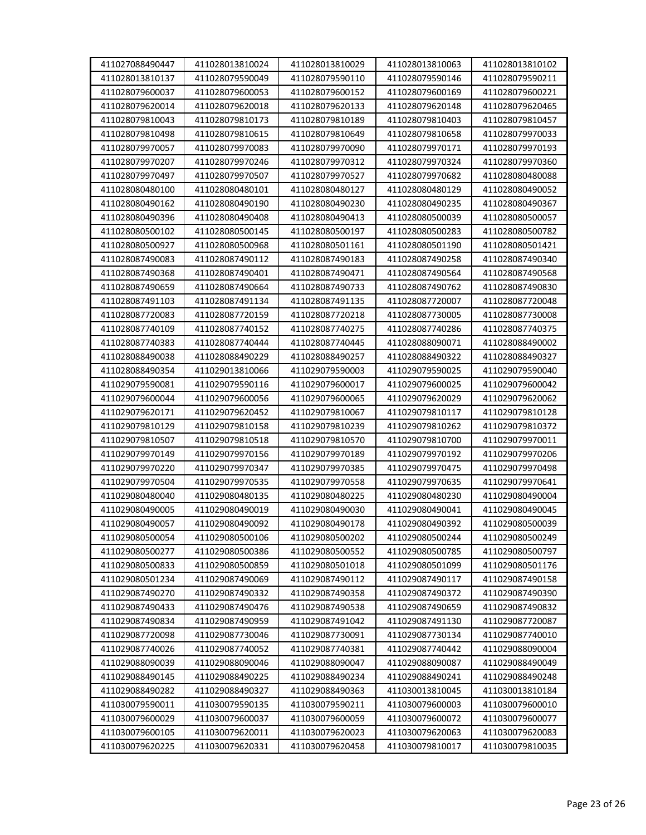| 411027088490447 | 411028013810024 | 411028013810029 | 411028013810063 | 411028013810102 |
|-----------------|-----------------|-----------------|-----------------|-----------------|
| 411028013810137 | 411028079590049 | 411028079590110 | 411028079590146 | 411028079590211 |
| 411028079600037 | 411028079600053 | 411028079600152 | 411028079600169 | 411028079600221 |
| 411028079620014 | 411028079620018 | 411028079620133 | 411028079620148 | 411028079620465 |
| 411028079810043 | 411028079810173 | 411028079810189 | 411028079810403 | 411028079810457 |
| 411028079810498 | 411028079810615 | 411028079810649 | 411028079810658 | 411028079970033 |
| 411028079970057 | 411028079970083 | 411028079970090 | 411028079970171 | 411028079970193 |
| 411028079970207 | 411028079970246 | 411028079970312 | 411028079970324 | 411028079970360 |
| 411028079970497 | 411028079970507 | 411028079970527 | 411028079970682 | 411028080480088 |
| 411028080480100 | 411028080480101 | 411028080480127 | 411028080480129 | 411028080490052 |
| 411028080490162 | 411028080490190 | 411028080490230 | 411028080490235 | 411028080490367 |
| 411028080490396 | 411028080490408 | 411028080490413 | 411028080500039 | 411028080500057 |
| 411028080500102 | 411028080500145 | 411028080500197 | 411028080500283 | 411028080500782 |
| 411028080500927 | 411028080500968 | 411028080501161 | 411028080501190 | 411028080501421 |
| 411028087490083 | 411028087490112 | 411028087490183 | 411028087490258 | 411028087490340 |
| 411028087490368 | 411028087490401 | 411028087490471 | 411028087490564 | 411028087490568 |
| 411028087490659 | 411028087490664 | 411028087490733 | 411028087490762 | 411028087490830 |
| 411028087491103 | 411028087491134 | 411028087491135 | 411028087720007 | 411028087720048 |
| 411028087720083 | 411028087720159 | 411028087720218 | 411028087730005 | 411028087730008 |
| 411028087740109 | 411028087740152 | 411028087740275 | 411028087740286 | 411028087740375 |
| 411028087740383 | 411028087740444 | 411028087740445 | 411028088090071 | 411028088490002 |
| 411028088490038 | 411028088490229 | 411028088490257 | 411028088490322 | 411028088490327 |
| 411028088490354 | 411029013810066 | 411029079590003 | 411029079590025 | 411029079590040 |
| 411029079590081 | 411029079590116 | 411029079600017 | 411029079600025 | 411029079600042 |
| 411029079600044 | 411029079600056 | 411029079600065 | 411029079620029 | 411029079620062 |
| 411029079620171 | 411029079620452 | 411029079810067 | 411029079810117 | 411029079810128 |
| 411029079810129 | 411029079810158 | 411029079810239 | 411029079810262 | 411029079810372 |
| 411029079810507 | 411029079810518 | 411029079810570 | 411029079810700 | 411029079970011 |
| 411029079970149 | 411029079970156 | 411029079970189 | 411029079970192 | 411029079970206 |
| 411029079970220 | 411029079970347 | 411029079970385 | 411029079970475 | 411029079970498 |
| 411029079970504 | 411029079970535 | 411029079970558 | 411029079970635 | 411029079970641 |
| 411029080480040 | 411029080480135 | 411029080480225 | 411029080480230 | 411029080490004 |
| 411029080490005 | 411029080490019 | 411029080490030 | 411029080490041 | 411029080490045 |
| 411029080490057 | 411029080490092 | 411029080490178 | 411029080490392 | 411029080500039 |
| 411029080500054 | 411029080500106 | 411029080500202 | 411029080500244 | 411029080500249 |
| 411029080500277 | 411029080500386 | 411029080500552 | 411029080500785 | 411029080500797 |
| 411029080500833 | 411029080500859 | 411029080501018 | 411029080501099 | 411029080501176 |
| 411029080501234 | 411029087490069 | 411029087490112 | 411029087490117 | 411029087490158 |
| 411029087490270 | 411029087490332 | 411029087490358 | 411029087490372 | 411029087490390 |
| 411029087490433 | 411029087490476 | 411029087490538 | 411029087490659 | 411029087490832 |
| 411029087490834 | 411029087490959 | 411029087491042 | 411029087491130 | 411029087720087 |
| 411029087720098 | 411029087730046 | 411029087730091 | 411029087730134 | 411029087740010 |
| 411029087740026 | 411029087740052 | 411029087740381 | 411029087740442 | 411029088090004 |
| 411029088090039 | 411029088090046 | 411029088090047 | 411029088090087 | 411029088490049 |
| 411029088490145 | 411029088490225 | 411029088490234 | 411029088490241 | 411029088490248 |
| 411029088490282 | 411029088490327 | 411029088490363 | 411030013810045 | 411030013810184 |
| 411030079590011 | 411030079590135 | 411030079590211 | 411030079600003 | 411030079600010 |
| 411030079600029 | 411030079600037 | 411030079600059 | 411030079600072 | 411030079600077 |
| 411030079600105 | 411030079620011 | 411030079620023 | 411030079620063 | 411030079620083 |
| 411030079620225 | 411030079620331 | 411030079620458 | 411030079810017 | 411030079810035 |
|                 |                 |                 |                 |                 |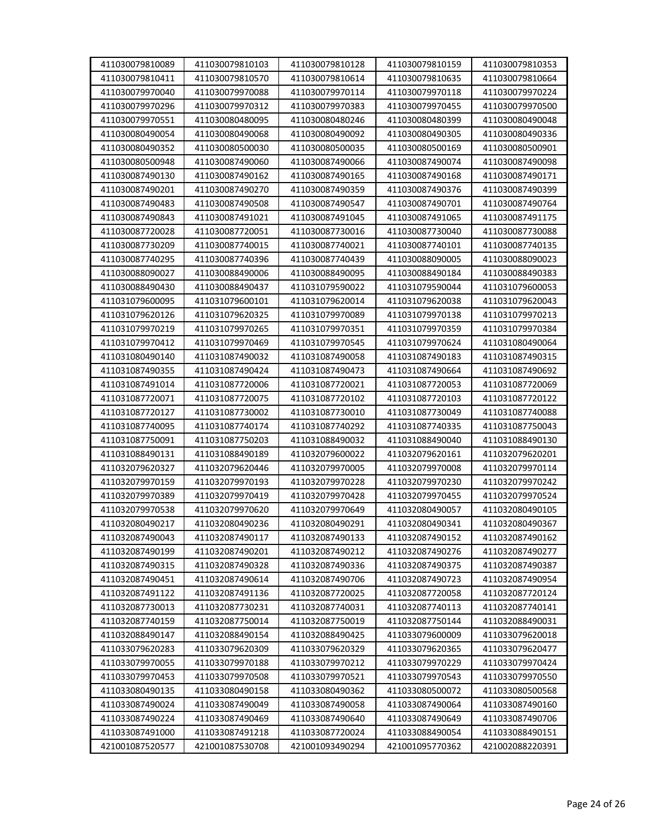| 411030079810089 | 411030079810103 | 411030079810128 | 411030079810159 | 411030079810353 |
|-----------------|-----------------|-----------------|-----------------|-----------------|
| 411030079810411 | 411030079810570 | 411030079810614 | 411030079810635 | 411030079810664 |
| 411030079970040 | 411030079970088 | 411030079970114 | 411030079970118 | 411030079970224 |
| 411030079970296 | 411030079970312 | 411030079970383 | 411030079970455 | 411030079970500 |
| 411030079970551 | 411030080480095 | 411030080480246 | 411030080480399 | 411030080490048 |
| 411030080490054 | 411030080490068 | 411030080490092 | 411030080490305 | 411030080490336 |
| 411030080490352 | 411030080500030 | 411030080500035 | 411030080500169 | 411030080500901 |
| 411030080500948 | 411030087490060 | 411030087490066 | 411030087490074 | 411030087490098 |
| 411030087490130 | 411030087490162 | 411030087490165 | 411030087490168 | 411030087490171 |
| 411030087490201 | 411030087490270 | 411030087490359 | 411030087490376 | 411030087490399 |
| 411030087490483 | 411030087490508 | 411030087490547 | 411030087490701 | 411030087490764 |
| 411030087490843 | 411030087491021 | 411030087491045 | 411030087491065 | 411030087491175 |
| 411030087720028 | 411030087720051 | 411030087730016 | 411030087730040 | 411030087730088 |
| 411030087730209 | 411030087740015 | 411030087740021 | 411030087740101 | 411030087740135 |
| 411030087740295 | 411030087740396 | 411030087740439 | 411030088090005 | 411030088090023 |
| 411030088090027 | 411030088490006 | 411030088490095 | 411030088490184 | 411030088490383 |
| 411030088490430 | 411030088490437 | 411031079590022 | 411031079590044 | 411031079600053 |
| 411031079600095 | 411031079600101 | 411031079620014 | 411031079620038 | 411031079620043 |
| 411031079620126 | 411031079620325 | 411031079970089 | 411031079970138 | 411031079970213 |
| 411031079970219 | 411031079970265 | 411031079970351 | 411031079970359 | 411031079970384 |
| 411031079970412 | 411031079970469 | 411031079970545 | 411031079970624 | 411031080490064 |
| 411031080490140 | 411031087490032 | 411031087490058 | 411031087490183 | 411031087490315 |
| 411031087490355 | 411031087490424 | 411031087490473 | 411031087490664 | 411031087490692 |
| 411031087491014 | 411031087720006 | 411031087720021 | 411031087720053 | 411031087720069 |
| 411031087720071 | 411031087720075 | 411031087720102 | 411031087720103 | 411031087720122 |
| 411031087720127 | 411031087730002 | 411031087730010 | 411031087730049 | 411031087740088 |
| 411031087740095 | 411031087740174 | 411031087740292 | 411031087740335 | 411031087750043 |
| 411031087750091 | 411031087750203 | 411031088490032 | 411031088490040 | 411031088490130 |
| 411031088490131 | 411031088490189 | 411032079600022 | 411032079620161 | 411032079620201 |
| 411032079620327 | 411032079620446 | 411032079970005 | 411032079970008 | 411032079970114 |
| 411032079970159 | 411032079970193 | 411032079970228 | 411032079970230 | 411032079970242 |
| 411032079970389 | 411032079970419 | 411032079970428 | 411032079970455 | 411032079970524 |
| 411032079970538 | 411032079970620 | 411032079970649 | 411032080490057 | 411032080490105 |
| 411032080490217 | 411032080490236 | 411032080490291 | 411032080490341 | 411032080490367 |
| 411032087490043 | 411032087490117 | 411032087490133 | 411032087490152 | 411032087490162 |
| 411032087490199 | 411032087490201 | 411032087490212 | 411032087490276 | 411032087490277 |
| 411032087490315 | 411032087490328 | 411032087490336 | 411032087490375 | 411032087490387 |
| 411032087490451 | 411032087490614 | 411032087490706 | 411032087490723 | 411032087490954 |
| 411032087491122 | 411032087491136 | 411032087720025 | 411032087720058 | 411032087720124 |
| 411032087730013 | 411032087730231 | 411032087740031 | 411032087740113 | 411032087740141 |
| 411032087740159 | 411032087750014 | 411032087750019 | 411032087750144 | 411032088490031 |
| 411032088490147 | 411032088490154 | 411032088490425 | 411033079600009 | 411033079620018 |
| 411033079620283 | 411033079620309 | 411033079620329 | 411033079620365 | 411033079620477 |
| 411033079970055 | 411033079970188 | 411033079970212 | 411033079970229 | 411033079970424 |
| 411033079970453 |                 | 411033079970521 | 411033079970543 | 411033079970550 |
|                 | 411033079970508 |                 |                 |                 |
| 411033080490135 | 411033080490158 | 411033080490362 | 411033080500072 | 411033080500568 |
| 411033087490024 | 411033087490049 | 411033087490058 | 411033087490064 | 411033087490160 |
| 411033087490224 | 411033087490469 | 411033087490640 | 411033087490649 | 411033087490706 |
| 411033087491000 | 411033087491218 | 411033087720024 | 411033088490054 | 411033088490151 |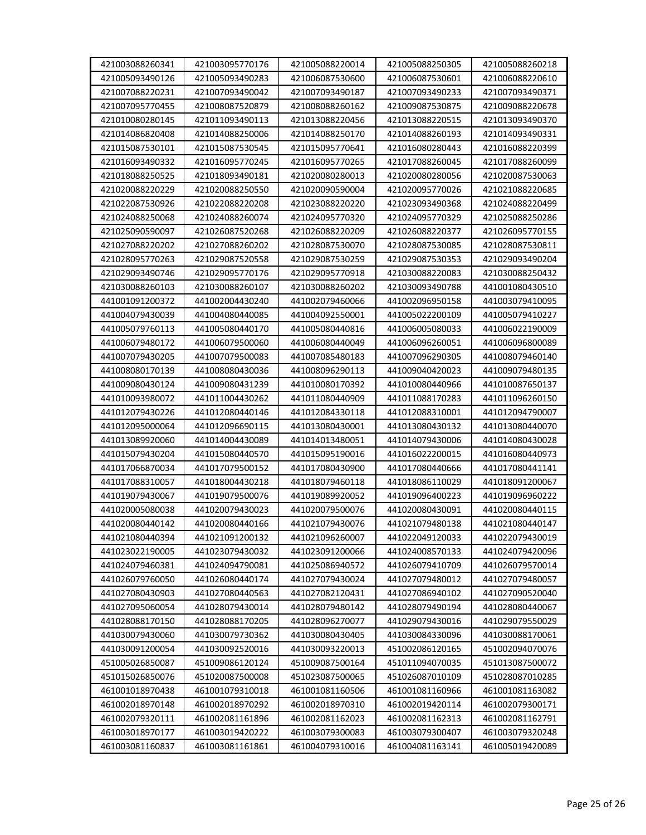| 421003088260341 | 421003095770176 | 421005088220014 | 421005088250305 | 421005088260218 |
|-----------------|-----------------|-----------------|-----------------|-----------------|
| 421005093490126 | 421005093490283 | 421006087530600 | 421006087530601 | 421006088220610 |
| 421007088220231 | 421007093490042 | 421007093490187 | 421007093490233 | 421007093490371 |
| 421007095770455 | 421008087520879 | 421008088260162 | 421009087530875 | 421009088220678 |
| 421010080280145 | 421011093490113 | 421013088220456 | 421013088220515 | 421013093490370 |
| 421014086820408 | 421014088250006 | 421014088250170 | 421014088260193 | 421014093490331 |
| 421015087530101 | 421015087530545 | 421015095770641 | 421016080280443 | 421016088220399 |
| 421016093490332 | 421016095770245 | 421016095770265 | 421017088260045 | 421017088260099 |
| 421018088250525 | 421018093490181 | 421020080280013 | 421020080280056 | 421020087530063 |
| 421020088220229 | 421020088250550 | 421020090590004 | 421020095770026 | 421021088220685 |
| 421022087530926 | 421022088220208 | 421023088220220 | 421023093490368 | 421024088220499 |
| 421024088250068 | 421024088260074 | 421024095770320 | 421024095770329 | 421025088250286 |
|                 |                 |                 |                 |                 |
| 421025090590097 | 421026087520268 | 421026088220209 | 421026088220377 | 421026095770155 |
| 421027088220202 | 421027088260202 | 421028087530070 | 421028087530085 | 421028087530811 |
| 421028095770263 | 421029087520558 | 421029087530259 | 421029087530353 | 421029093490204 |
| 421029093490746 | 421029095770176 | 421029095770918 | 421030088220083 | 421030088250432 |
| 421030088260103 | 421030088260107 | 421030088260202 | 421030093490788 | 441001080430510 |
| 441001091200372 | 441002004430240 | 441002079460066 | 441002096950158 | 441003079410095 |
| 441004079430039 | 441004080440085 | 441004092550001 | 441005022200109 | 441005079410227 |
| 441005079760113 | 441005080440170 | 441005080440816 | 441006005080033 | 441006022190009 |
| 441006079480172 | 441006079500060 | 441006080440049 | 441006096260051 | 441006096800089 |
| 441007079430205 | 441007079500083 | 441007085480183 | 441007096290305 | 441008079460140 |
| 441008080170139 | 441008080430036 | 441008096290113 | 441009040420023 | 441009079480135 |
| 441009080430124 | 441009080431239 | 441010080170392 | 441010080440966 | 441010087650137 |
| 441010093980072 | 441011004430262 | 441011080440909 | 441011088170283 | 441011096260150 |
| 441012079430226 | 441012080440146 | 441012084330118 | 441012088310001 | 441012094790007 |
| 441012095000064 | 441012096690115 | 441013080430001 | 441013080430132 | 441013080440070 |
| 441013089920060 | 441014004430089 | 441014013480051 | 441014079430006 | 441014080430028 |
| 441015079430204 | 441015080440570 | 441015095190016 | 441016022200015 | 441016080440973 |
| 441017066870034 | 441017079500152 | 441017080430900 | 441017080440666 | 441017080441141 |
| 441017088310057 | 441018004430218 | 441018079460118 | 441018086110029 | 441018091200067 |
| 441019079430067 | 441019079500076 | 441019089920052 | 441019096400223 | 441019096960222 |
| 441020005080038 | 441020079430023 | 441020079500076 | 441020080430091 | 441020080440115 |
| 441020080440142 | 441020080440166 | 441021079430076 | 441021079480138 | 441021080440147 |
| 441021080440394 | 441021091200132 | 441021096260007 | 441022049120033 | 441022079430019 |
| 441023022190005 | 441023079430032 | 441023091200066 | 441024008570133 | 441024079420096 |
| 441024079460381 | 441024094790081 | 441025086940572 | 441026079410709 | 441026079570014 |
| 441026079760050 | 441026080440174 | 441027079430024 | 441027079480012 | 441027079480057 |
| 441027080430903 | 441027080440563 | 441027082120431 | 441027086940102 | 441027090520040 |
| 441027095060054 | 441028079430014 | 441028079480142 | 441028079490194 | 441028080440067 |
| 441028088170150 | 441028088170205 | 441028096270077 | 441029079430016 | 441029079550029 |
| 441030079430060 | 441030079730362 | 441030080430405 | 441030084330096 | 441030088170061 |
| 441030091200054 | 441030092520016 | 441030093220013 | 451002086120165 | 451002094070076 |
| 451005026850087 | 451009086120124 | 451009087500164 | 451011094070035 | 451013087500072 |
| 451015026850076 | 451020087500008 | 451023087500065 | 451026087010109 | 451028087010285 |
| 461001018970438 | 461001079310018 | 461001081160506 | 461001081160966 | 461001081163082 |
| 461002018970148 | 461002018970292 | 461002018970310 | 461002019420114 | 461002079300171 |
| 461002079320111 | 461002081161896 | 461002081162023 | 461002081162313 | 461002081162791 |
| 461003018970177 | 461003019420222 | 461003079300083 | 461003079300407 | 461003079320248 |
| 461003081160837 | 461003081161861 | 461004079310016 | 461004081163141 | 461005019420089 |